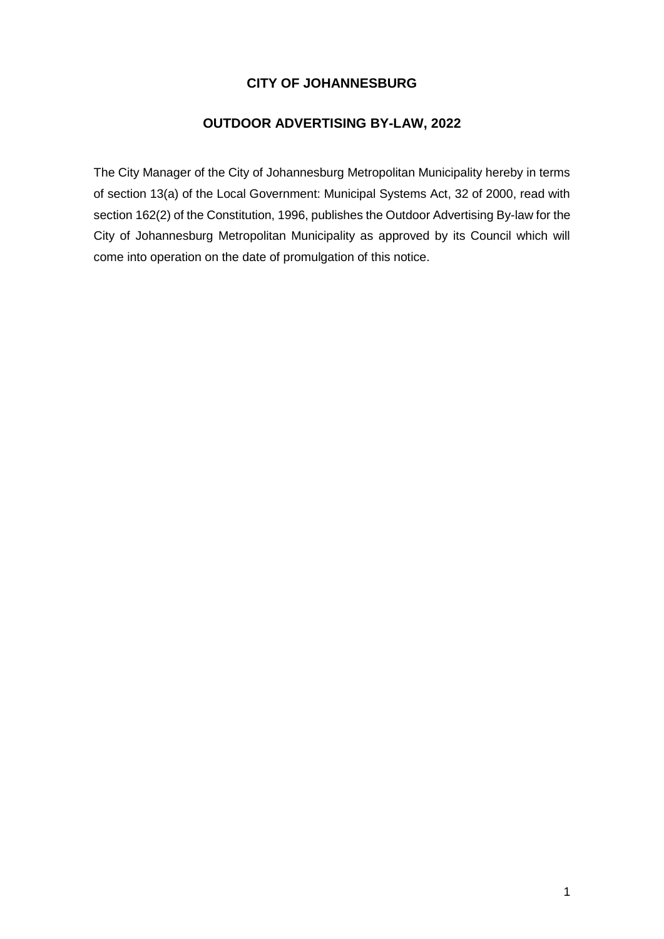# **CITY OF JOHANNESBURG**

# **OUTDOOR ADVERTISING BY-LAW, 2022**

The City Manager of the City of Johannesburg Metropolitan Municipality hereby in terms of section 13(a) of the Local Government: Municipal Systems Act, 32 of 2000, read with section 162(2) of the Constitution, 1996, publishes the Outdoor Advertising By-law for the City of Johannesburg Metropolitan Municipality as approved by its Council which will come into operation on the date of promulgation of this notice.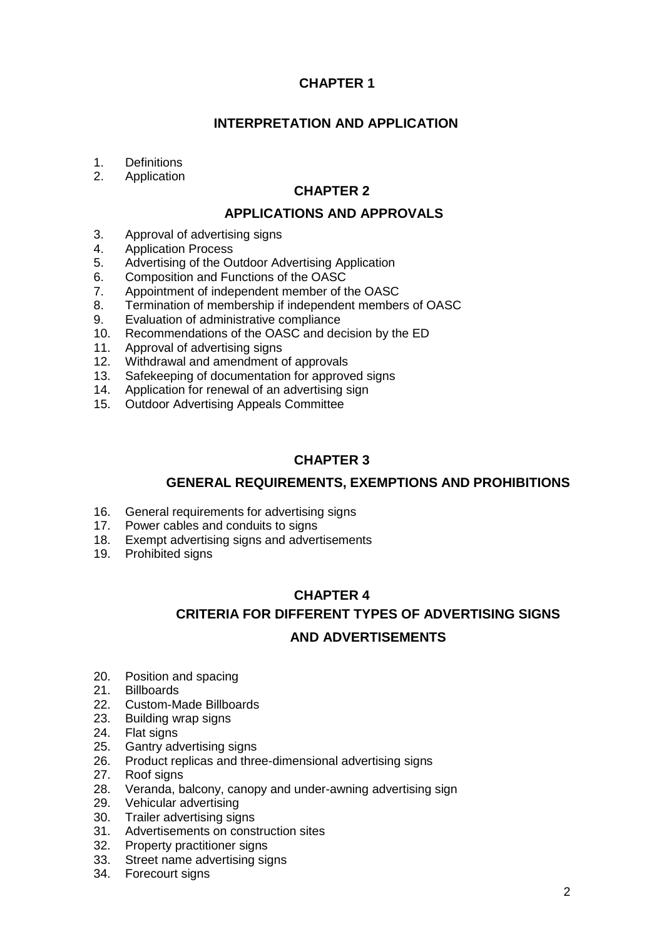# **CHAPTER 1**

# **INTERPRETATION AND APPLICATION**

- 1. Definitions<br>2. Application
- **Application**

## **CHAPTER 2**

## **APPLICATIONS AND APPROVALS**

- 3. Approval of advertising signs
- 4. Application Process
- 5. Advertising of the Outdoor Advertising Application<br>6. Composition and Functions of the OASC
- 6. Composition and Functions of the OASC
- 7. Appointment of independent member of the OASC<br>8. Termination of membership if independent member
- Termination of membership if independent members of OASC
- 9. Evaluation of administrative compliance
- 10. Recommendations of the OASC and decision by the ED
- 11. Approval of advertising signs
- 12. Withdrawal and amendment of approvals
- 13. Safekeeping of documentation for approved signs
- 14. Application for renewal of an advertising sign
- 15. Outdoor Advertising Appeals Committee

# **CHAPTER 3**

## **GENERAL REQUIREMENTS, EXEMPTIONS AND PROHIBITIONS**

- 16. General requirements for advertising signs<br>17. Power cables and conduits to signs
- Power cables and conduits to signs
- 18. Exempt advertising signs and advertisements
- 19. Prohibited signs

# **CHAPTER 4 CRITERIA FOR DIFFERENT TYPES OF ADVERTISING SIGNS AND ADVERTISEMENTS**

- 20. Position and spacing
- 21. Billboards
- 22. Custom-Made Billboards
- 23. Building wrap signs
- 24. Flat signs
- 25. Gantry advertising signs
- 26. Product replicas and three-dimensional advertising signs<br>27. Roof signs
- Roof signs
- 28. Veranda, balcony, canopy and under-awning advertising sign
- 29. Vehicular advertising
- 30. Trailer advertising signs
- 31. Advertisements on construction sites
- 32. Property practitioner signs
- 33. Street name advertising signs
- 34. Forecourt signs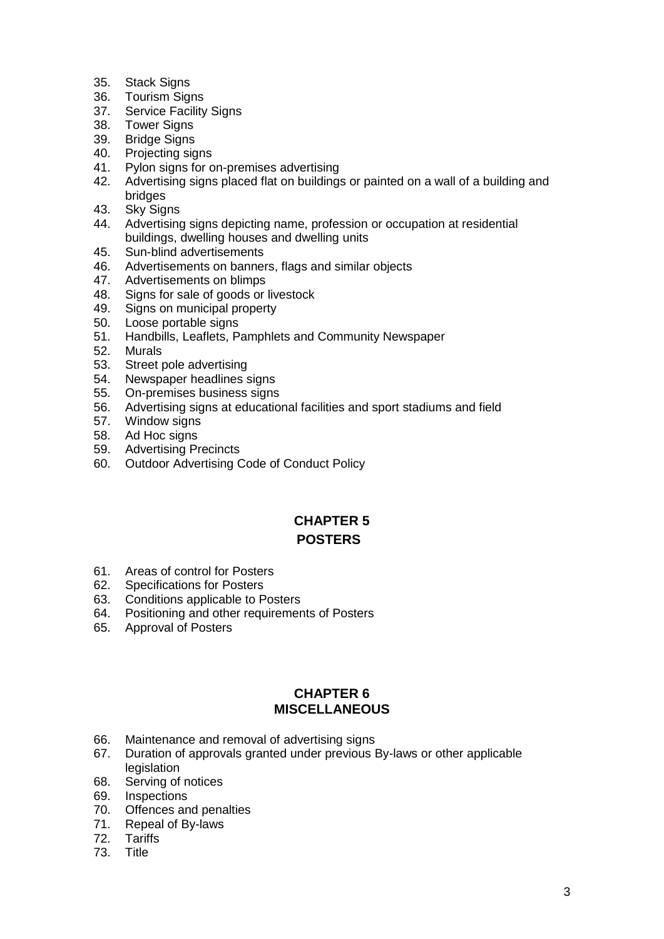- 35. Stack Signs
- 36. Tourism Signs
- 37. Service Facility Signs
- 38. Tower Signs
- 39. Bridge Signs
- 40. Projecting signs<br>41. Pylon signs for a
- Pylon signs for on-premises advertising
- 42. Advertising signs placed flat on buildings or painted on a wall of a building and bridges
- 43. Sky Signs
- 44. Advertising signs depicting name, profession or occupation at residential buildings, dwelling houses and dwelling units
- 45. Sun-blind advertisements
- 46. Advertisements on banners, flags and similar objects
- 47. Advertisements on blimps
- 48. Signs for sale of goods or livestock
- 49. Signs on municipal property
- 50. Loose portable signs
- 51. Handbills, Leaflets, Pamphlets and Community Newspaper
- 52. Murals
- 53. Street pole advertising
- 54. Newspaper headlines signs
- 55. On-premises business signs
- 56. Advertising signs at educational facilities and sport stadiums and field
- 57. Window signs
- 58. Ad Hoc signs
- 59. Advertising Precincts
- 60. Outdoor Advertising Code of Conduct Policy

# **CHAPTER 5 POSTERS**

- 61. Areas of control for Posters
- 62. Specifications for Posters<br>63. Conditions applicable to P
- Conditions applicable to Posters
- 64. Positioning and other requirements of Posters
- 65. Approval of Posters

## **CHAPTER 6 MISCELLANEOUS**

- 66. Maintenance and removal of advertising signs
- 67. Duration of approvals granted under previous By-laws or other applicable legislation
- 68. Serving of notices
- 69. Inspections
- 70. Offences and penalties
- 71. Repeal of By-laws
- 72. Tariffs
- 73. Title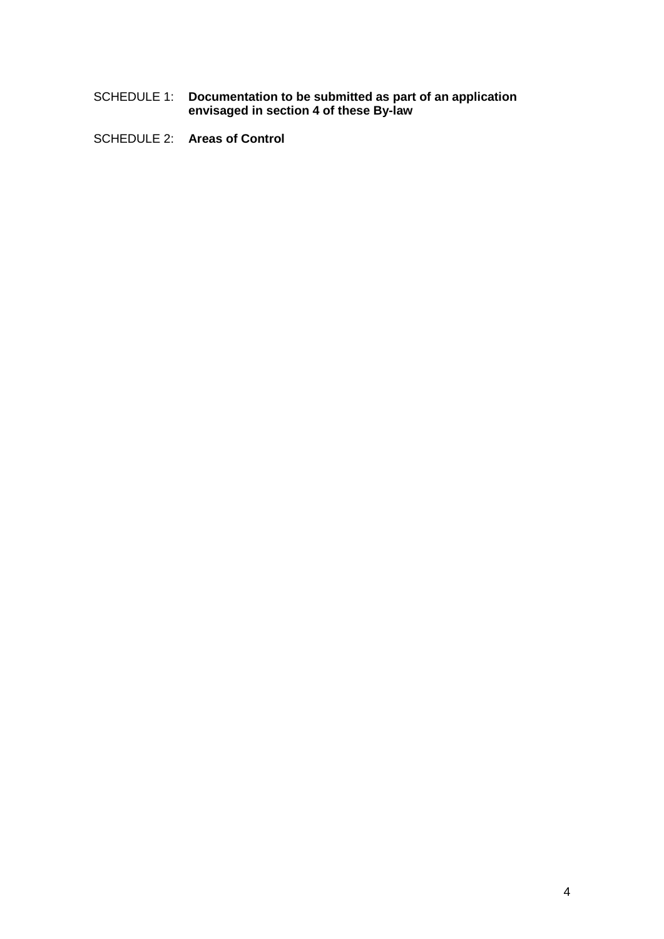- SCHEDULE 1: **Documentation to be submitted as part of an application envisaged in section 4 of these By-law**
- SCHEDULE 2: **Areas of Control**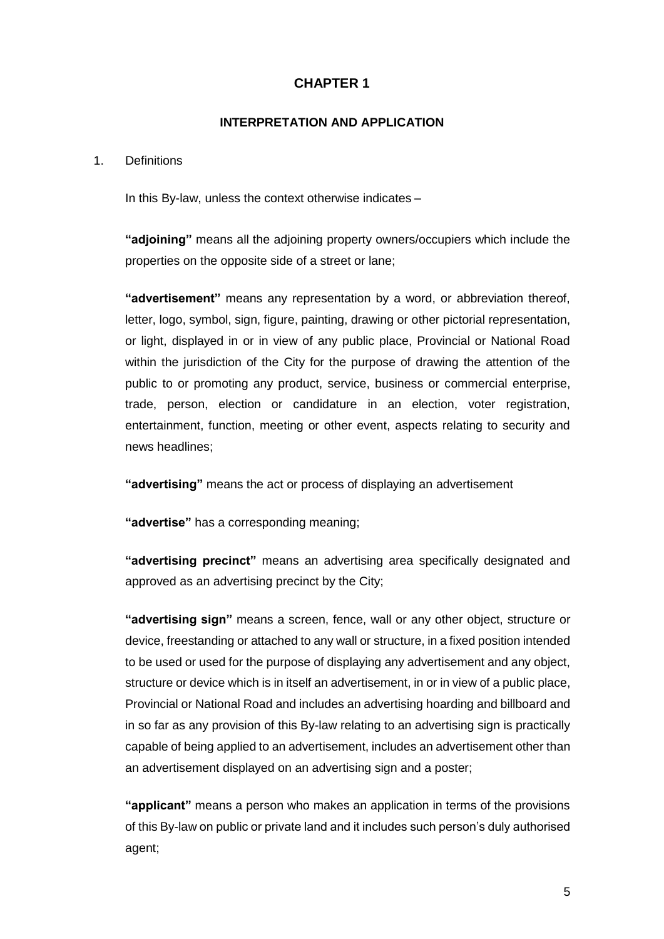# **CHAPTER 1**

## **INTERPRETATION AND APPLICATION**

#### 1. Definitions

In this By-law, unless the context otherwise indicates –

**"adjoining"** means all the adjoining property owners/occupiers which include the properties on the opposite side of a street or lane;

**"advertisement"** means any representation by a word, or abbreviation thereof, letter, logo, symbol, sign, figure, painting, drawing or other pictorial representation, or light, displayed in or in view of any public place, Provincial or National Road within the jurisdiction of the City for the purpose of drawing the attention of the public to or promoting any product, service, business or commercial enterprise, trade, person, election or candidature in an election, voter registration, entertainment, function, meeting or other event, aspects relating to security and news headlines;

**"advertising"** means the act or process of displaying an advertisement

**"advertise"** has a corresponding meaning;

**"advertising precinct"** means an advertising area specifically designated and approved as an advertising precinct by the City;

**"advertising sign"** means a screen, fence, wall or any other object, structure or device, freestanding or attached to any wall or structure, in a fixed position intended to be used or used for the purpose of displaying any advertisement and any object, structure or device which is in itself an advertisement, in or in view of a public place, Provincial or National Road and includes an advertising hoarding and billboard and in so far as any provision of this By-law relating to an advertising sign is practically capable of being applied to an advertisement, includes an advertisement other than an advertisement displayed on an advertising sign and a poster;

**"applicant"** means a person who makes an application in terms of the provisions of this By-law on public or private land and it includes such person's duly authorised agent;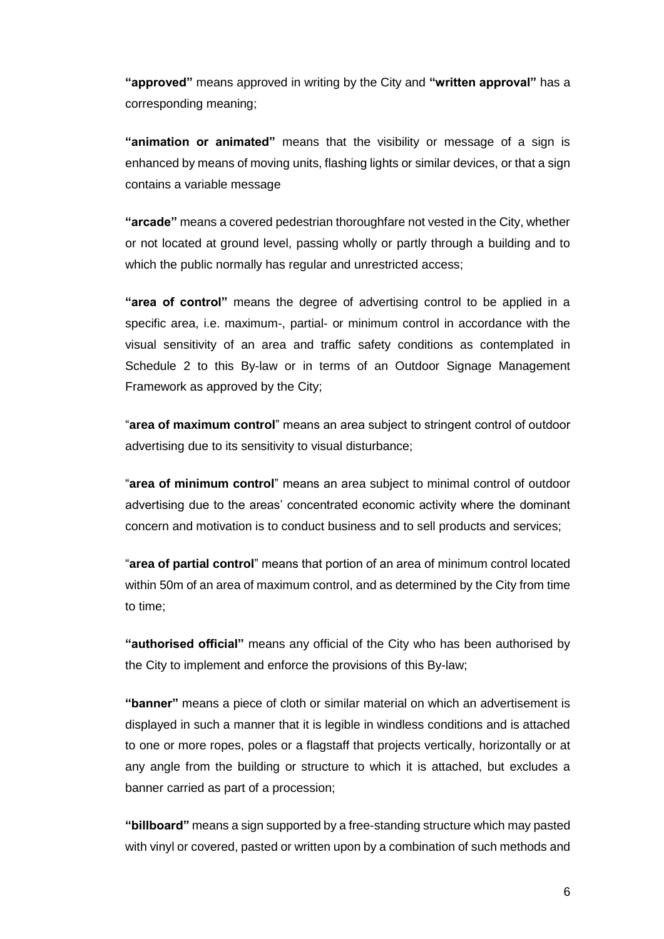**"approved"** means approved in writing by the City and **"written approval"** has a corresponding meaning;

**"animation or animated"** means that the visibility or message of a sign is enhanced by means of moving units, flashing lights or similar devices, or that a sign contains a variable message

**"arcade"** means a covered pedestrian thoroughfare not vested in the City, whether or not located at ground level, passing wholly or partly through a building and to which the public normally has regular and unrestricted access;

**"area of control"** means the degree of advertising control to be applied in a specific area, i.e. maximum-, partial- or minimum control in accordance with the visual sensitivity of an area and traffic safety conditions as contemplated in Schedule 2 to this By-law or in terms of an Outdoor Signage Management Framework as approved by the City;

"**area of maximum control**" means an area subject to stringent control of outdoor advertising due to its sensitivity to visual disturbance;

"**area of minimum control**" means an area subject to minimal control of outdoor advertising due to the areas' concentrated economic activity where the dominant concern and motivation is to conduct business and to sell products and services;

"**area of partial control**" means that portion of an area of minimum control located within 50m of an area of maximum control, and as determined by the City from time to time;

**"authorised official"** means any official of the City who has been authorised by the City to implement and enforce the provisions of this By-law;

**"banner"** means a piece of cloth or similar material on which an advertisement is displayed in such a manner that it is legible in windless conditions and is attached to one or more ropes, poles or a flagstaff that projects vertically, horizontally or at any angle from the building or structure to which it is attached, but excludes a banner carried as part of a procession;

**"billboard"** means a sign supported by a free-standing structure which may pasted with vinyl or covered, pasted or written upon by a combination of such methods and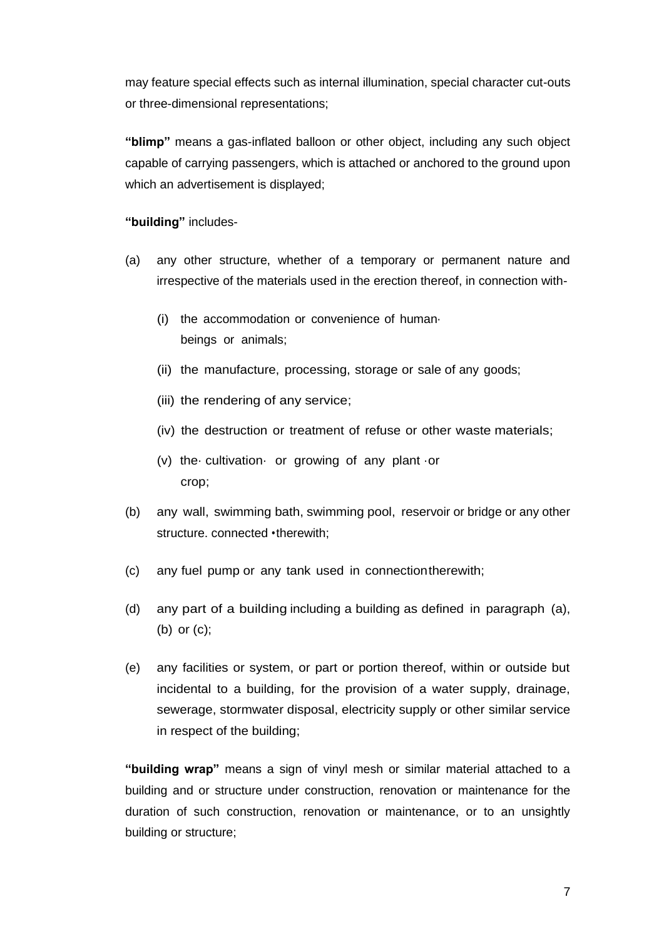may feature special effects such as internal illumination, special character cut-outs or three-dimensional representations;

**"blimp"** means a gas-inflated balloon or other object, including any such object capable of carrying passengers, which is attached or anchored to the ground upon which an advertisement is displayed;

**"building"** includes-

- (a) any other structure, whether of a temporary or permanent nature and irrespective of the materials used in the erection thereof, in connection with-
	- (i) the accommodation or convenience of human· beings or animals;
	- (ii) the manufacture, processing, storage or sale of any goods;
	- (iii) the rendering of any service;
	- (iv) the destruction or treatment of refuse or other waste materials;
	- (v) the· cultivation· or growing of any plant ·or crop;
- (b) any wall, swimming bath, swimming pool, reservoir or bridge or any other structure. connected •therewith;
- (c) any fuel pump or any tank used in connectiontherewith;
- (d) any part of a building including a building as defined in paragraph (a), (b) or (c);
- (e) any facilities or system, or part or portion thereof, within or outside but incidental to a building, for the provision of a water supply, drainage, sewerage, stormwater disposal, electricity supply or other similar service in respect of the building;

**"building wrap"** means a sign of vinyl mesh or similar material attached to a building and or structure under construction, renovation or maintenance for the duration of such construction, renovation or maintenance, or to an unsightly building or structure;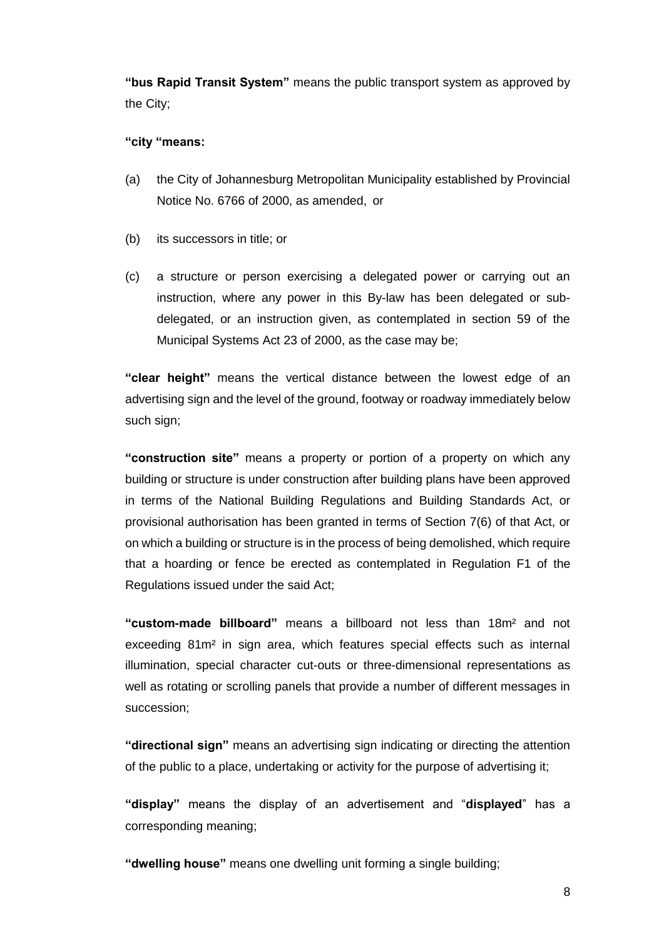**"bus Rapid Transit System"** means the public transport system as approved by the City;

## **"city "means:**

- (a) the City of Johannesburg Metropolitan Municipality established by Provincial Notice No. 6766 of 2000, as amended, or
- (b) its successors in title; or
- (c) a structure or person exercising a delegated power or carrying out an instruction, where any power in this By-law has been delegated or subdelegated, or an instruction given, as contemplated in section 59 of the Municipal Systems Act 23 of 2000, as the case may be;

**"clear height"** means the vertical distance between the lowest edge of an advertising sign and the level of the ground, footway or roadway immediately below such sign;

**"construction site"** means a property or portion of a property on which any building or structure is under construction after building plans have been approved in terms of the National Building Regulations and Building Standards Act, or provisional authorisation has been granted in terms of Section 7(6) of that Act, or on which a building or structure is in the process of being demolished, which require that a hoarding or fence be erected as contemplated in Regulation F1 of the Regulations issued under the said Act;

**"custom-made billboard"** means a billboard not less than 18m² and not exceeding 81m² in sign area, which features special effects such as internal illumination, special character cut-outs or three-dimensional representations as well as rotating or scrolling panels that provide a number of different messages in succession;

**"directional sign"** means an advertising sign indicating or directing the attention of the public to a place, undertaking or activity for the purpose of advertising it;

**"display"** means the display of an advertisement and "**displayed**" has a corresponding meaning;

**"dwelling house"** means one dwelling unit forming a single building;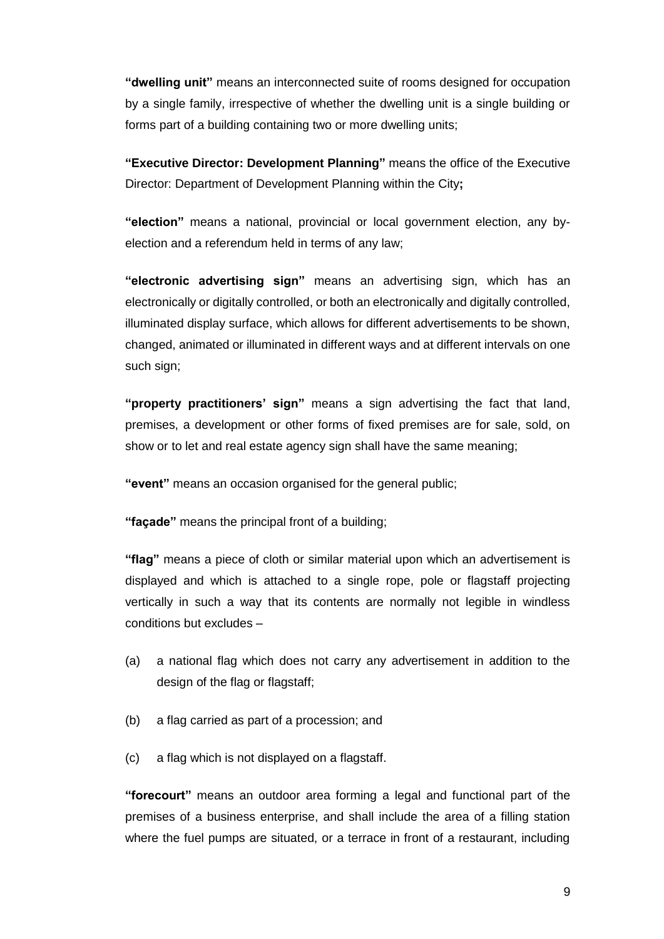**"dwelling unit"** means an interconnected suite of rooms designed for occupation by a single family, irrespective of whether the dwelling unit is a single building or forms part of a building containing two or more dwelling units;

**"Executive Director: Development Planning"** means the office of the Executive Director: Department of Development Planning within the City**;**

**"election"** means a national, provincial or local government election, any byelection and a referendum held in terms of any law;

**"electronic advertising sign"** means an advertising sign, which has an electronically or digitally controlled, or both an electronically and digitally controlled, illuminated display surface, which allows for different advertisements to be shown, changed, animated or illuminated in different ways and at different intervals on one such sign;

**"property practitioners' sign"** means a sign advertising the fact that land, premises, a development or other forms of fixed premises are for sale, sold, on show or to let and real estate agency sign shall have the same meaning;

**"event"** means an occasion organised for the general public;

**"façade"** means the principal front of a building;

**"flag"** means a piece of cloth or similar material upon which an advertisement is displayed and which is attached to a single rope, pole or flagstaff projecting vertically in such a way that its contents are normally not legible in windless conditions but excludes –

- (a) a national flag which does not carry any advertisement in addition to the design of the flag or flagstaff;
- (b) a flag carried as part of a procession; and
- (c) a flag which is not displayed on a flagstaff.

**"forecourt"** means an outdoor area forming a legal and functional part of the premises of a business enterprise, and shall include the area of a filling station where the fuel pumps are situated, or a terrace in front of a restaurant, including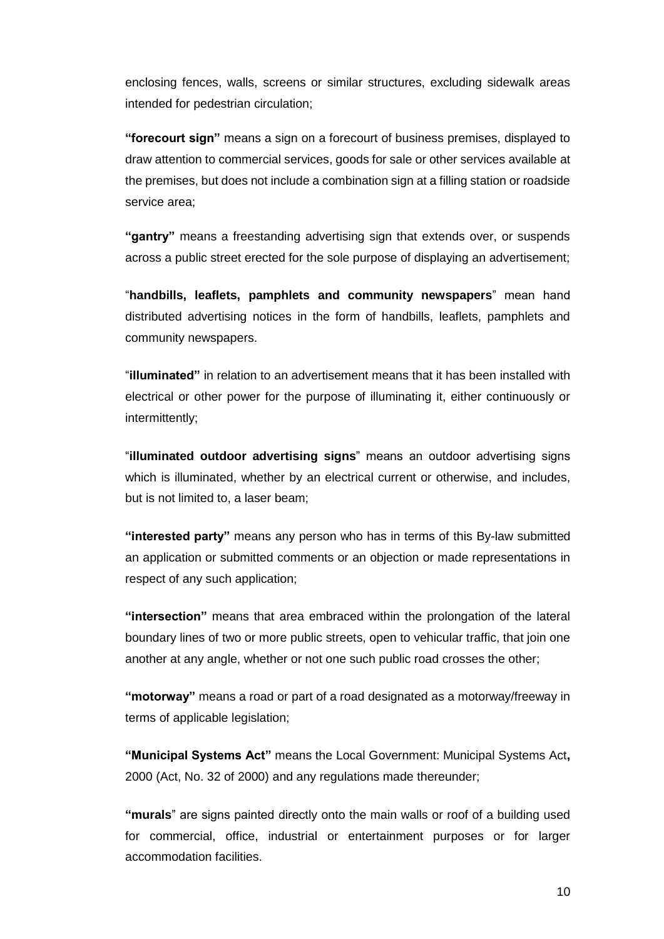enclosing fences, walls, screens or similar structures, excluding sidewalk areas intended for pedestrian circulation;

**"forecourt sign"** means a sign on a forecourt of business premises, displayed to draw attention to commercial services, goods for sale or other services available at the premises, but does not include a combination sign at a filling station or roadside service area;

**"gantry"** means a freestanding advertising sign that extends over, or suspends across a public street erected for the sole purpose of displaying an advertisement;

"**handbills, leaflets, pamphlets and community newspapers**" mean hand distributed advertising notices in the form of handbills, leaflets, pamphlets and community newspapers.

"**illuminated"** in relation to an advertisement means that it has been installed with electrical or other power for the purpose of illuminating it, either continuously or intermittently;

"**illuminated outdoor advertising signs**" means an outdoor advertising signs which is illuminated, whether by an electrical current or otherwise, and includes, but is not limited to, a laser beam;

**"interested party"** means any person who has in terms of this By-law submitted an application or submitted comments or an objection or made representations in respect of any such application;

**"intersection"** means that area embraced within the prolongation of the lateral boundary lines of two or more public streets, open to vehicular traffic, that join one another at any angle, whether or not one such public road crosses the other;

**"motorway"** means a road or part of a road designated as a motorway/freeway in terms of applicable legislation;

**"Municipal Systems Act"** means the Local Government: Municipal Systems Act**,**  2000 (Act, No. 32 of 2000) and any regulations made thereunder;

**"murals**" are signs painted directly onto the main walls or roof of a building used for commercial, office, industrial or entertainment purposes or for larger accommodation facilities.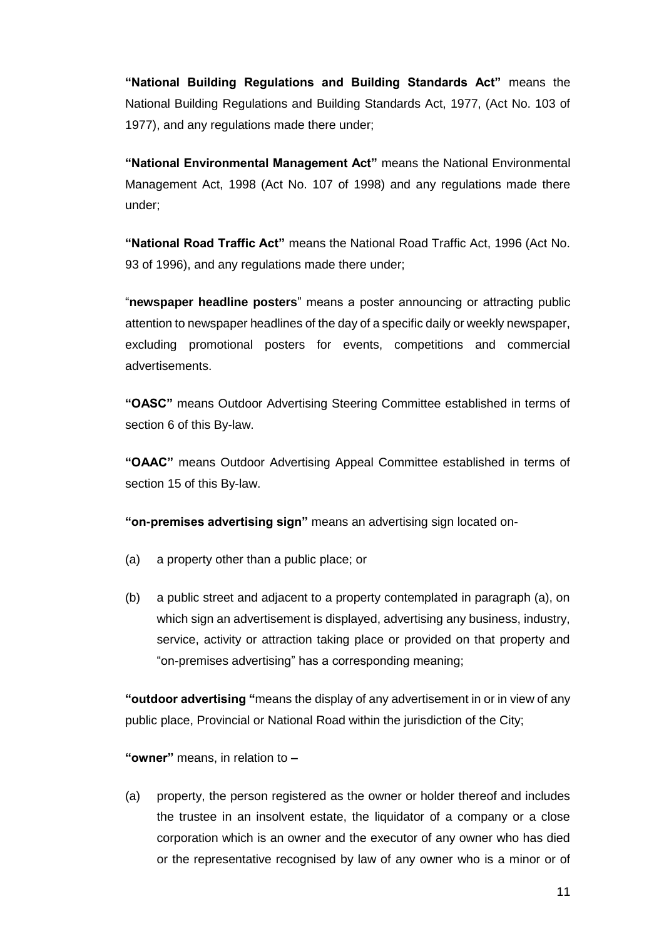**"National Building Regulations and Building Standards Act"** means the National Building Regulations and Building Standards Act, 1977, (Act No. 103 of 1977), and any regulations made there under;

**"National Environmental Management Act"** means the National Environmental Management Act, 1998 (Act No. 107 of 1998) and any regulations made there under;

**"National Road Traffic Act"** means the National Road Traffic Act, 1996 (Act No. 93 of 1996), and any regulations made there under;

"**newspaper headline posters**" means a poster announcing or attracting public attention to newspaper headlines of the day of a specific daily or weekly newspaper, excluding promotional posters for events, competitions and commercial advertisements.

**"OASC"** means Outdoor Advertising Steering Committee established in terms of section 6 of this By-law.

**"OAAC"** means Outdoor Advertising Appeal Committee established in terms of section 15 of this By-law.

**"on-premises advertising sign"** means an advertising sign located on-

- (a) a property other than a public place; or
- (b) a public street and adjacent to a property contemplated in paragraph (a), on which sign an advertisement is displayed, advertising any business, industry, service, activity or attraction taking place or provided on that property and "on-premises advertising" has a corresponding meaning;

**"outdoor advertising "**means the display of any advertisement in or in view of any public place, Provincial or National Road within the jurisdiction of the City;

**"owner"** means, in relation to **–**

(a) property, the person registered as the owner or holder thereof and includes the trustee in an insolvent estate, the liquidator of a company or a close corporation which is an owner and the executor of any owner who has died or the representative recognised by law of any owner who is a minor or of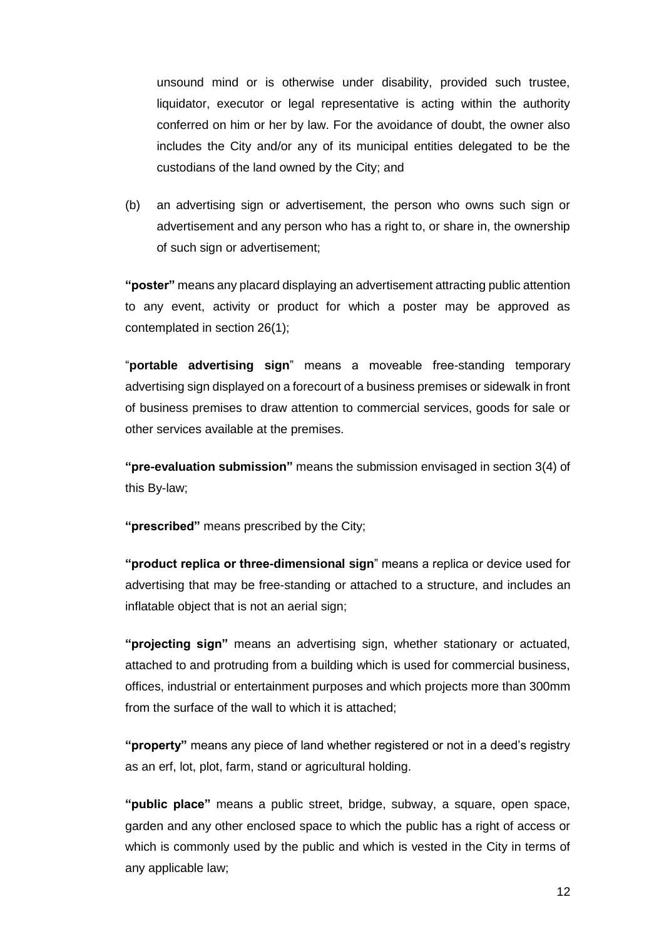unsound mind or is otherwise under disability, provided such trustee, liquidator, executor or legal representative is acting within the authority conferred on him or her by law. For the avoidance of doubt, the owner also includes the City and/or any of its municipal entities delegated to be the custodians of the land owned by the City; and

(b) an advertising sign or advertisement, the person who owns such sign or advertisement and any person who has a right to, or share in, the ownership of such sign or advertisement;

**"poster"** means any placard displaying an advertisement attracting public attention to any event, activity or product for which a poster may be approved as contemplated in section 26(1);

"**portable advertising sign**" means a moveable free-standing temporary advertising sign displayed on a forecourt of a business premises or sidewalk in front of business premises to draw attention to commercial services, goods for sale or other services available at the premises.

**"pre-evaluation submission"** means the submission envisaged in section 3(4) of this By-law;

**"prescribed"** means prescribed by the City;

**"product replica or three-dimensional sign**" means a replica or device used for advertising that may be free-standing or attached to a structure, and includes an inflatable object that is not an aerial sign;

**"projecting sign"** means an advertising sign, whether stationary or actuated, attached to and protruding from a building which is used for commercial business, offices, industrial or entertainment purposes and which projects more than 300mm from the surface of the wall to which it is attached;

**"property"** means any piece of land whether registered or not in a deed's registry as an erf, lot, plot, farm, stand or agricultural holding.

**"public place"** means a public street, bridge, subway, a square, open space, garden and any other enclosed space to which the public has a right of access or which is commonly used by the public and which is vested in the City in terms of any applicable law;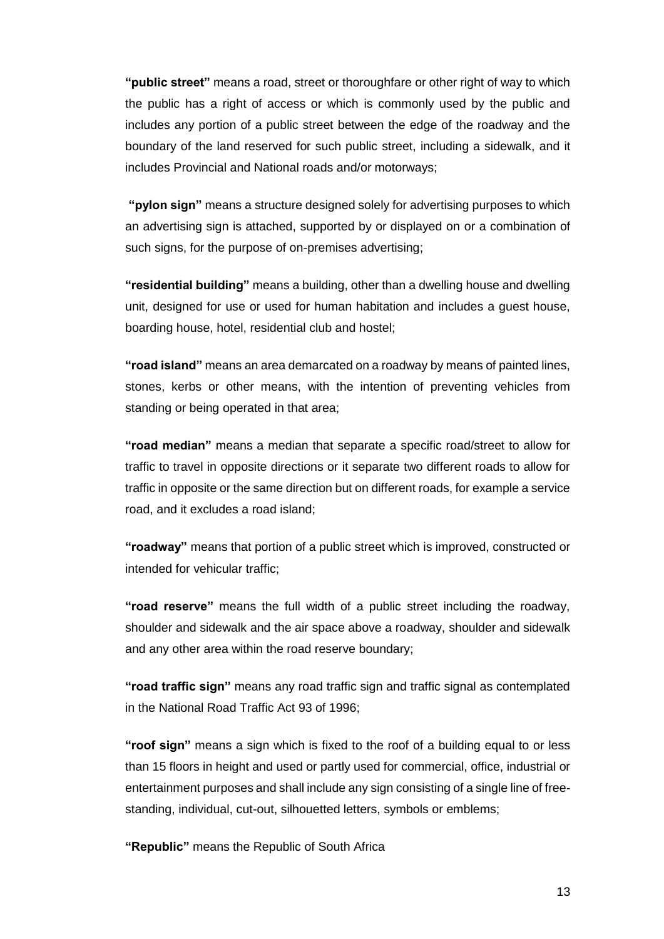**"public street"** means a road, street or thoroughfare or other right of way to which the public has a right of access or which is commonly used by the public and includes any portion of a public street between the edge of the roadway and the boundary of the land reserved for such public street, including a sidewalk, and it includes Provincial and National roads and/or motorways;

**"pylon sign"** means a structure designed solely for advertising purposes to which an advertising sign is attached, supported by or displayed on or a combination of such signs, for the purpose of on-premises advertising;

**"residential building"** means a building, other than a dwelling house and dwelling unit, designed for use or used for human habitation and includes a guest house, boarding house, hotel, residential club and hostel;

**"road island"** means an area demarcated on a roadway by means of painted lines, stones, kerbs or other means, with the intention of preventing vehicles from standing or being operated in that area;

**"road median"** means a median that separate a specific road/street to allow for traffic to travel in opposite directions or it separate two different roads to allow for traffic in opposite or the same direction but on different roads, for example a service road, and it excludes a road island;

**"roadway"** means that portion of a public street which is improved, constructed or intended for vehicular traffic;

**"road reserve"** means the full width of a public street including the roadway, shoulder and sidewalk and the air space above a roadway, shoulder and sidewalk and any other area within the road reserve boundary;

**"road traffic sign"** means any road traffic sign and traffic signal as contemplated in the National Road Traffic Act 93 of 1996;

**"roof sign"** means a sign which is fixed to the roof of a building equal to or less than 15 floors in height and used or partly used for commercial, office, industrial or entertainment purposes and shall include any sign consisting of a single line of freestanding, individual, cut-out, silhouetted letters, symbols or emblems;

**"Republic"** means the Republic of South Africa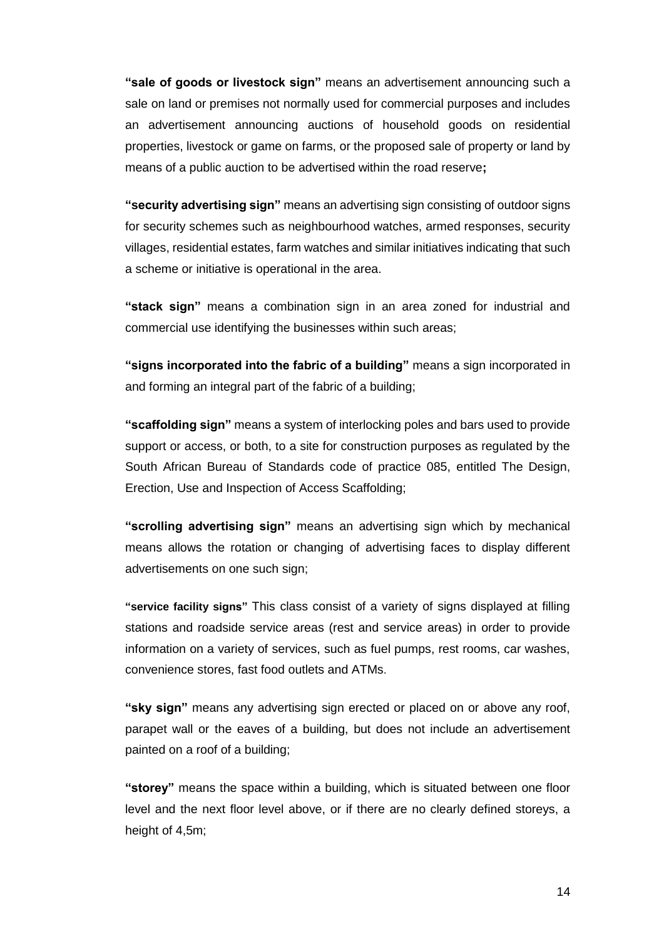**"sale of goods or livestock sign"** means an advertisement announcing such a sale on land or premises not normally used for commercial purposes and includes an advertisement announcing auctions of household goods on residential properties, livestock or game on farms, or the proposed sale of property or land by means of a public auction to be advertised within the road reserve**;**

**"security advertising sign"** means an advertising sign consisting of outdoor signs for security schemes such as neighbourhood watches, armed responses, security villages, residential estates, farm watches and similar initiatives indicating that such a scheme or initiative is operational in the area.

**"stack sign"** means a combination sign in an area zoned for industrial and commercial use identifying the businesses within such areas;

**"signs incorporated into the fabric of a building"** means a sign incorporated in and forming an integral part of the fabric of a building;

**"scaffolding sign"** means a system of interlocking poles and bars used to provide support or access, or both, to a site for construction purposes as regulated by the South African Bureau of Standards code of practice 085, entitled The Design, Erection, Use and Inspection of Access Scaffolding;

**"scrolling advertising sign"** means an advertising sign which by mechanical means allows the rotation or changing of advertising faces to display different advertisements on one such sign;

**"service facility signs"** This class consist of a variety of signs displayed at filling stations and roadside service areas (rest and service areas) in order to provide information on a variety of services, such as fuel pumps, rest rooms, car washes, convenience stores, fast food outlets and ATMs.

**"sky sign"** means any advertising sign erected or placed on or above any roof, parapet wall or the eaves of a building, but does not include an advertisement painted on a roof of a building;

**"storey"** means the space within a building, which is situated between one floor level and the next floor level above, or if there are no clearly defined storeys, a height of 4,5m;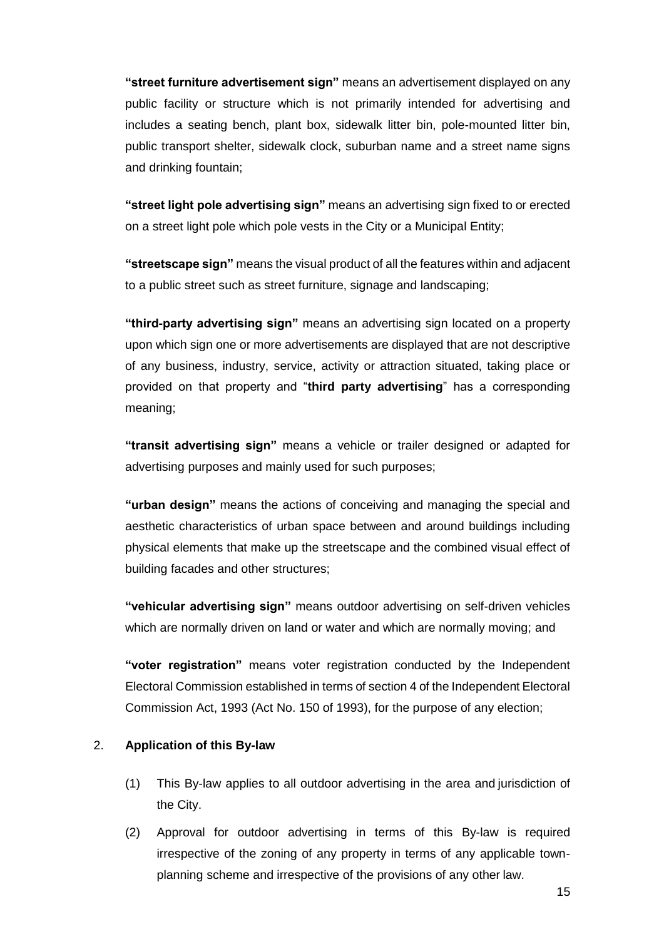**"street furniture advertisement sign"** means an advertisement displayed on any public facility or structure which is not primarily intended for advertising and includes a seating bench, plant box, sidewalk litter bin, pole-mounted litter bin, public transport shelter, sidewalk clock, suburban name and a street name signs and drinking fountain;

**"street light pole advertising sign"** means an advertising sign fixed to or erected on a street light pole which pole vests in the City or a Municipal Entity;

**"streetscape sign"** means the visual product of all the features within and adjacent to a public street such as street furniture, signage and landscaping;

**"third-party advertising sign"** means an advertising sign located on a property upon which sign one or more advertisements are displayed that are not descriptive of any business, industry, service, activity or attraction situated, taking place or provided on that property and "**third party advertising**" has a corresponding meaning;

**"transit advertising sign"** means a vehicle or trailer designed or adapted for advertising purposes and mainly used for such purposes;

**"urban design"** means the actions of conceiving and managing the special and aesthetic characteristics of urban space between and around buildings including physical elements that make up the streetscape and the combined visual effect of building facades and other structures;

**"vehicular advertising sign"** means outdoor advertising on self-driven vehicles which are normally driven on land or water and which are normally moving; and

**"voter registration"** means voter registration conducted by the Independent Electoral Commission established in terms of section 4 of the Independent Electoral Commission Act, 1993 (Act No. 150 of 1993), for the purpose of any election;

#### 2. **Application of this By-law**

- (1) This By-law applies to all outdoor advertising in the area and jurisdiction of the City.
- (2) Approval for outdoor advertising in terms of this By-law is required irrespective of the zoning of any property in terms of any applicable townplanning scheme and irrespective of the provisions of any other law.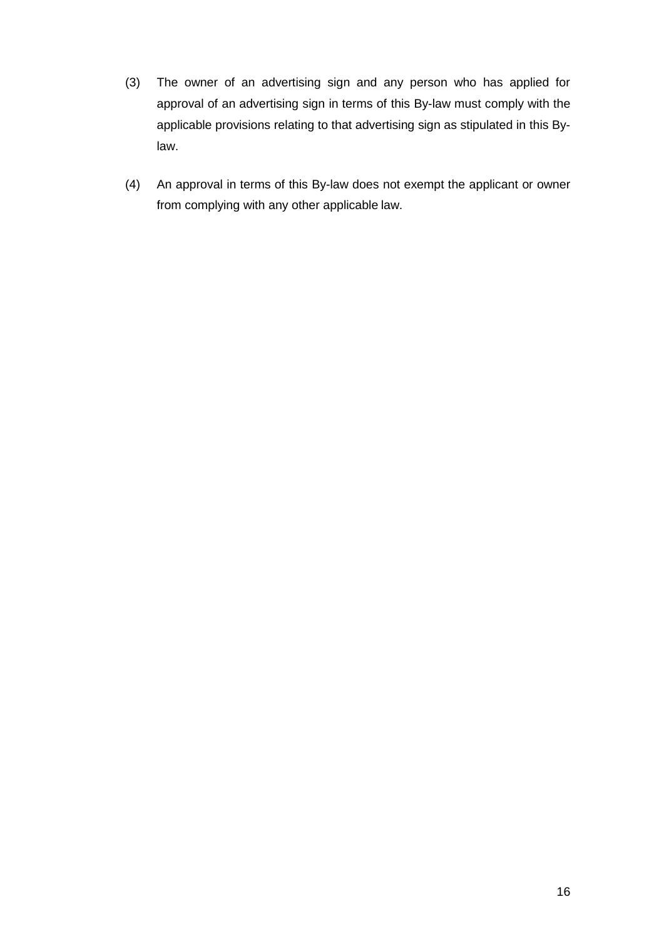- (3) The owner of an advertising sign and any person who has applied for approval of an advertising sign in terms of this By-law must comply with the applicable provisions relating to that advertising sign as stipulated in this Bylaw.
- (4) An approval in terms of this By-law does not exempt the applicant or owner from complying with any other applicable law.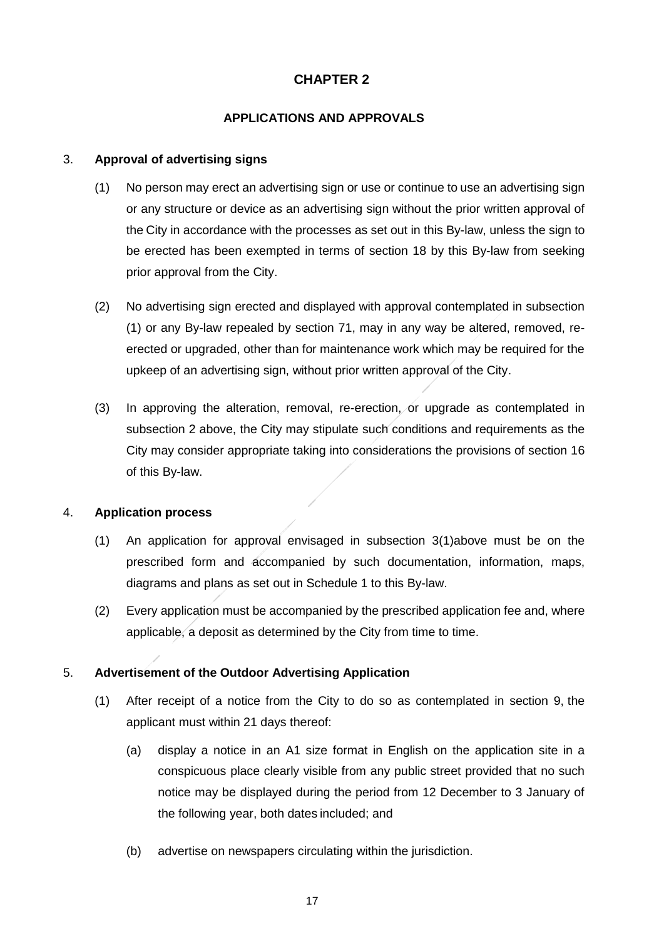# **CHAPTER 2**

## **APPLICATIONS AND APPROVALS**

#### <span id="page-16-1"></span><span id="page-16-0"></span>3. **Approval of advertising signs**

- (1) No person may erect an advertising sign or use or continue to use an advertising sign or any structure or device as an advertising sign without the prior written approval of the City in accordance with the processes as set out in this By-law, unless the sign to be erected has been exempted in terms of section 18 by this By-law from seeking prior approval from the City.
- (2) No advertising sign erected and displayed with approval contemplated in subsection (1) or any By-law repealed by section 71, may in any way be altered, removed, reerected or upgraded, other than for maintenance work which may be required for the upkeep of an advertising sign, without prior written approval of the City.
- (3) In approving the alteration, removal, re-erection, or upgrade as contemplated in subsection 2 above, the City may stipulate such conditions and requirements as the City may consider appropriate taking into considerations the provisions of section 16 of this By-law.

#### 4. **Application process**

- (1) An application for approval envisaged in subsection [3](#page-16-0)[\(1\)a](#page-16-1)bove must be on the prescribed form and accompanied by such documentation, information, maps, diagrams and plans as set out in Schedule 1 to this By-law.
- (2) Every application must be accompanied by the prescribed application fee and, where applicable, a deposit as determined by the City from time to time.

#### 5. **Advertisement of the Outdoor Advertising Application**

- (1) After receipt of a notice from the City to do so as contemplated in section 9, the applicant must within 21 days thereof:
	- (a) display a notice in an A1 size format in English on the application site in a conspicuous place clearly visible from any public street provided that no such notice may be displayed during the period from 12 December to 3 January of the following year, both dates included; and
	- (b) advertise on newspapers circulating within the jurisdiction.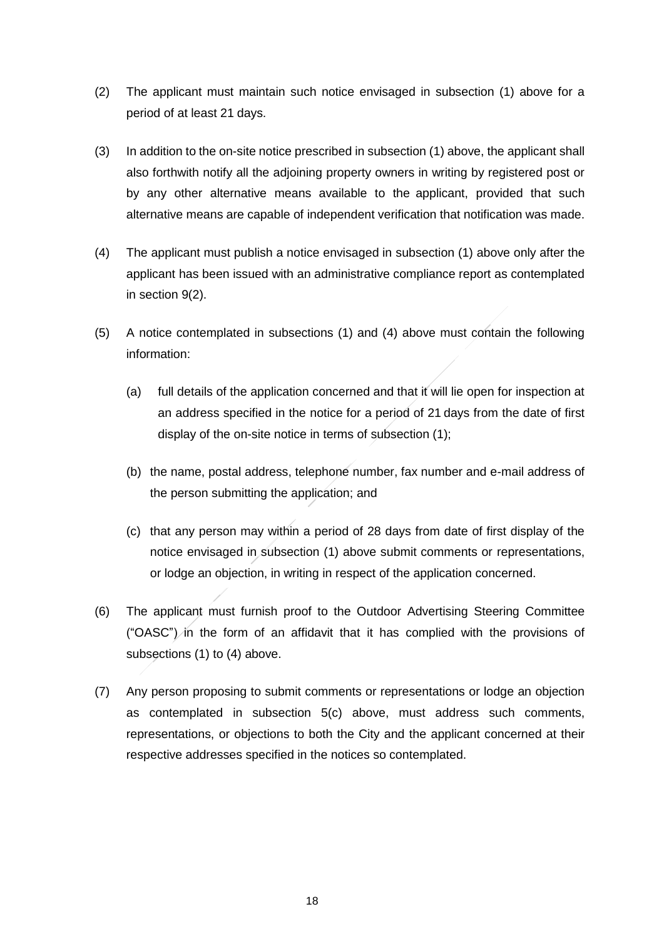- (2) The applicant must maintain such notice envisaged in subsection (1) above for a period of at least 21 days.
- (3) In addition to the on-site notice prescribed in subsection (1) above, the applicant shall also forthwith notify all the adjoining property owners in writing by registered post or by any other alternative means available to the applicant, provided that such alternative means are capable of independent verification that notification was made.
- (4) The applicant must publish a notice envisaged in subsection (1) above only after the applicant has been issued with an administrative compliance report as contemplated in section 9(2).
- (5) A notice contemplated in subsections (1) and (4) above must contain the following information:
	- (a) full details of the application concerned and that it will lie open for inspection at an address specified in the notice for a period of 21 days from the date of first display of the on-site notice in terms of subsection (1);
	- (b) the name, postal address, telephone number, fax number and e-mail address of the person submitting the application; and
	- (c) that any person may within a period of 28 days from date of first display of the notice envisaged in subsection (1) above submit comments or representations, or lodge an objection, in writing in respect of the application concerned.
- <span id="page-17-0"></span>(6) The applicant must furnish proof to the Outdoor Advertising Steering Committee ("OASC") in the form of an affidavit that it has complied with the provisions of subsections (1) to (4) above.
- (7) Any person proposing to submit comments or representations or lodge an objection as contemplated in subsection [5\(c\)](#page-17-0) above, must address such comments, representations, or objections to both the City and the applicant concerned at their respective addresses specified in the notices so contemplated.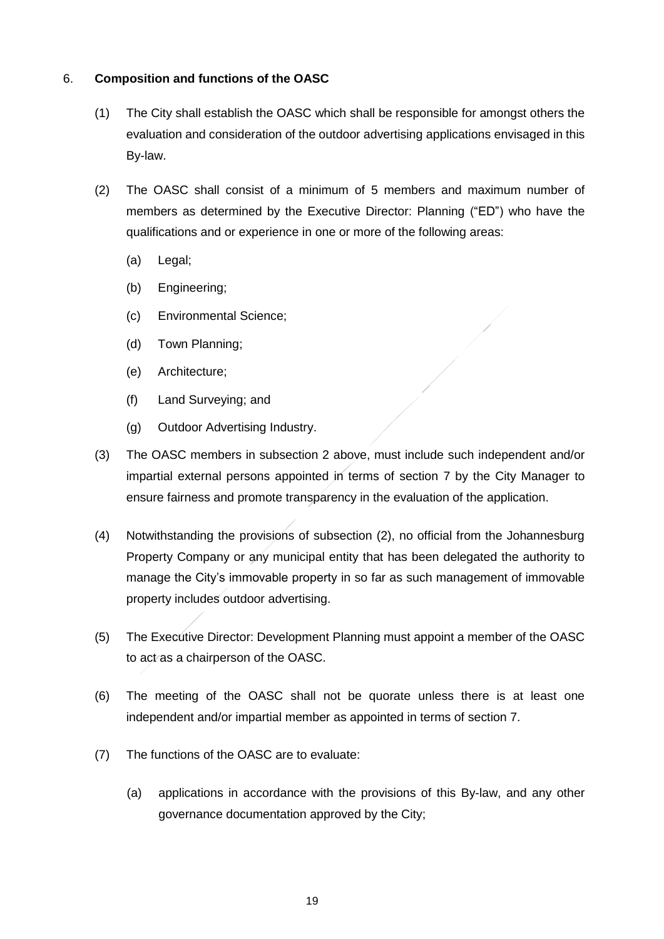### <span id="page-18-0"></span>6. **Composition and functions of the OASC**

- (1) The City shall establish the OASC which shall be responsible for amongst others the evaluation and consideration of the outdoor advertising applications envisaged in this By-law.
- (2) The OASC shall consist of a minimum of 5 members and maximum number of members as determined by the Executive Director: Planning ("ED") who have the qualifications and or experience in one or more of the following areas:
	- (a) Legal;
	- (b) Engineering;
	- (c) Environmental Science;
	- (d) Town Planning;
	- (e) Architecture;
	- (f) Land Surveying; and
	- (g) Outdoor Advertising Industry.
- (3) The OASC members in subsection 2 above, must include such independent and/or impartial external persons appointed in terms of section [7](#page-19-0) by the City Manager to ensure fairness and promote transparency in the evaluation of the application.
- (4) Notwithstanding the provisions of subsection (2), no official from the Johannesburg Property Company or any municipal entity that has been delegated the authority to manage the City's immovable property in so far as such management of immovable property includes outdoor advertising.
- (5) The Executive Director: Development Planning must appoint a member of the OASC to act as a chairperson of the OASC.
- (6) The meeting of the OASC shall not be quorate unless there is at least one independent and/or impartial member as appointed in terms of section [7.](#page-19-0)
- <span id="page-18-1"></span>(7) The functions of the OASC are to evaluate:
	- (a) applications in accordance with the provisions of this By-law, and any other governance documentation approved by the City;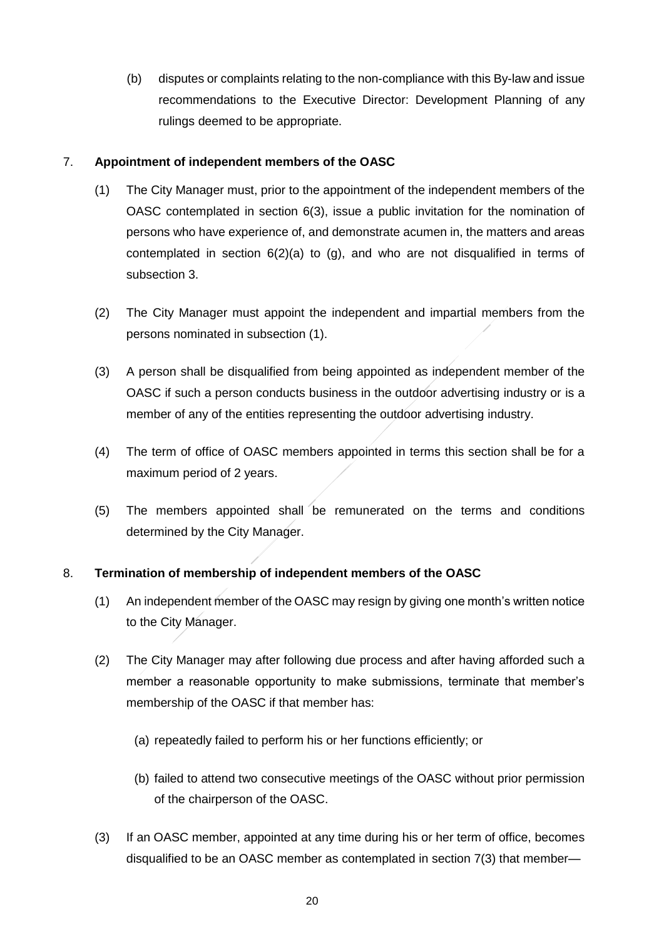(b) disputes or complaints relating to the non-compliance with this By-law and issue recommendations to the Executive Director: Development Planning of any rulings deemed to be appropriate.

## <span id="page-19-0"></span>7. **Appointment of independent members of the OASC**

- (1) The City Manager must, prior to the appointment of the independent members of the OASC contemplated in section 6(3), issue a public invitation for the nomination of persons who have experience of, and demonstrate acumen in, the matters and areas contemplated in section  $6(2)(a)$  to  $(g)$ , and who are not disqualified in terms of subsection 3.
- (2) The City Manager must appoint the independent and impartial members from the persons nominated in subsection (1).
- (3) A person shall be disqualified from being appointed as independent member of the OASC if such a person conducts business in the outdoor advertising industry or is a member of any of the entities representing the outdoor advertising industry.
- (4) The term of office of OASC members appointed in terms this section shall be for a maximum period of 2 years.
- (5) The members appointed shall be remunerated on the terms and conditions determined by the City Manager.

## 8. **Termination of membership of independent members of the OASC**

- (1) An independent member of the OASC may resign by giving one month's written notice to the City Manager.
- (2) The City Manager may after following due process and after having afforded such a member a reasonable opportunity to make submissions, terminate that member's membership of the OASC if that member has:
	- (a) repeatedly failed to perform his or her functions efficiently; or
	- (b) failed to attend two consecutive meetings of the OASC without prior permission of the chairperson of the OASC.
- (3) If an OASC member, appointed at any time during his or her term of office, becomes disqualified to be an OASC member as contemplated in section 7(3) that member—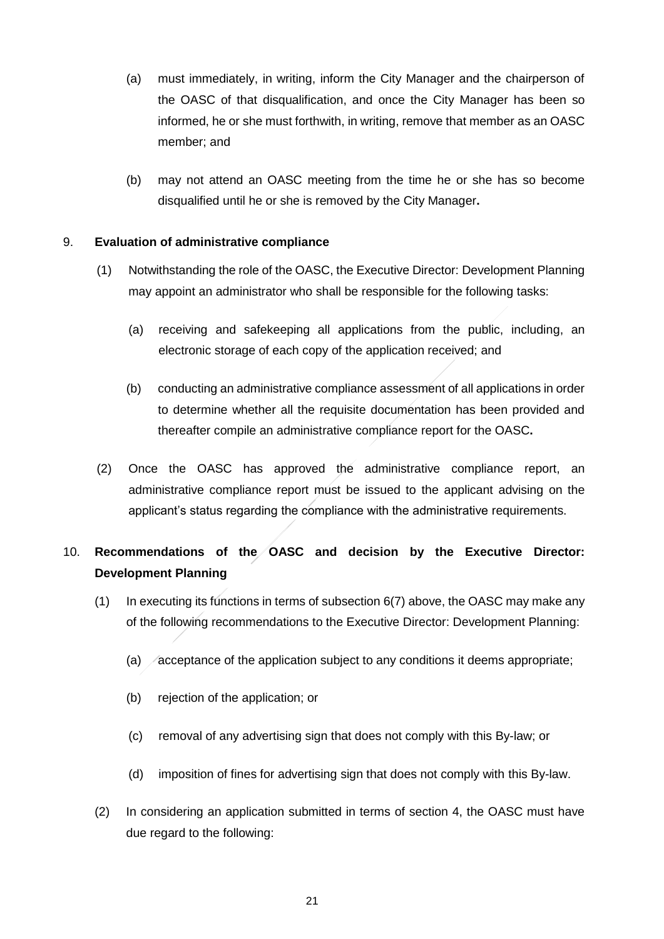- (a) must immediately, in writing, inform the City Manager and the chairperson of the OASC of that disqualification, and once the City Manager has been so informed, he or she must forthwith, in writing, remove that member as an OASC member; and
- (b) may not attend an OASC meeting from the time he or she has so become disqualified until he or she is removed by the City Manager**.**

## 9. **Evaluation of administrative compliance**

- (1) Notwithstanding the role of the OASC, the Executive Director: Development Planning may appoint an administrator who shall be responsible for the following tasks:
	- (a) receiving and safekeeping all applications from the public, including, an electronic storage of each copy of the application received; and
	- (b) conducting an administrative compliance assessment of all applications in order to determine whether all the requisite documentation has been provided and thereafter compile an administrative compliance report for the OASC**.**
- (2) Once the OASC has approved the administrative compliance report, an administrative compliance report must be issued to the applicant advising on the applicant's status regarding the compliance with the administrative requirements.

# 10. **Recommendations of the OASC and decision by the Executive Director: Development Planning**

- (1) In executing its functions in terms of subsection [6](#page-18-0)[\(7\)](#page-18-1) above, the OASC may make any of the following recommendations to the Executive Director: Development Planning:
	- (a) acceptance of the application subject to any conditions it deems appropriate;
	- (b) rejection of the application; or
	- (c) removal of any advertising sign that does not comply with this By-law; or
	- (d) imposition of fines for advertising sign that does not comply with this By-law.
- (2) In considering an application submitted in terms of section 4, the OASC must have due regard to the following: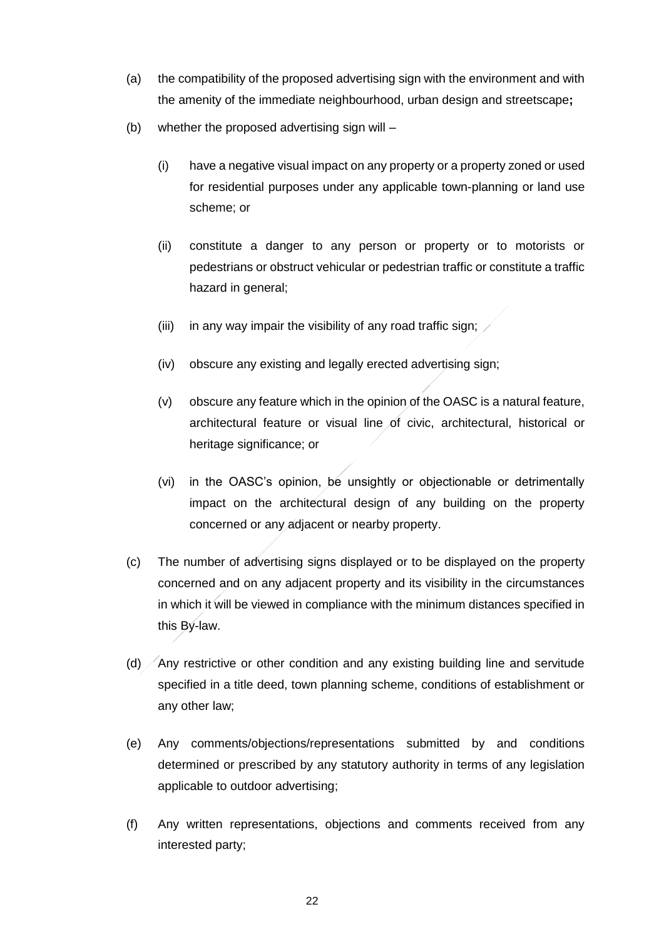- (a) the compatibility of the proposed advertising sign with the environment and with the amenity of the immediate neighbourhood, urban design and streetscape**;**
- (b) whether the proposed advertising sign will
	- (i) have a negative visual impact on any property or a property zoned or used for residential purposes under any applicable town-planning or land use scheme; or
	- (ii) constitute a danger to any person or property or to motorists or pedestrians or obstruct vehicular or pedestrian traffic or constitute a traffic hazard in general;
	- (iii) in any way impair the visibility of any road traffic sign;  $\angle$
	- (iv) obscure any existing and legally erected advertising sign;
	- (v) obscure any feature which in the opinion of the OASC is a natural feature, architectural feature or visual line of civic, architectural, historical or heritage significance; or
	- (vi) in the OASC's opinion, be unsightly or objectionable or detrimentally impact on the architectural design of any building on the property concerned or any adjacent or nearby property.
- (c) The number of advertising signs displayed or to be displayed on the property concerned and on any adjacent property and its visibility in the circumstances in which it will be viewed in compliance with the minimum distances specified in this By-law.
- (d) Any restrictive or other condition and any existing building line and servitude specified in a title deed, town planning scheme, conditions of establishment or any other law;
- (e) Any comments/objections/representations submitted by and conditions determined or prescribed by any statutory authority in terms of any legislation applicable to outdoor advertising;
- (f) Any written representations, objections and comments received from any interested party;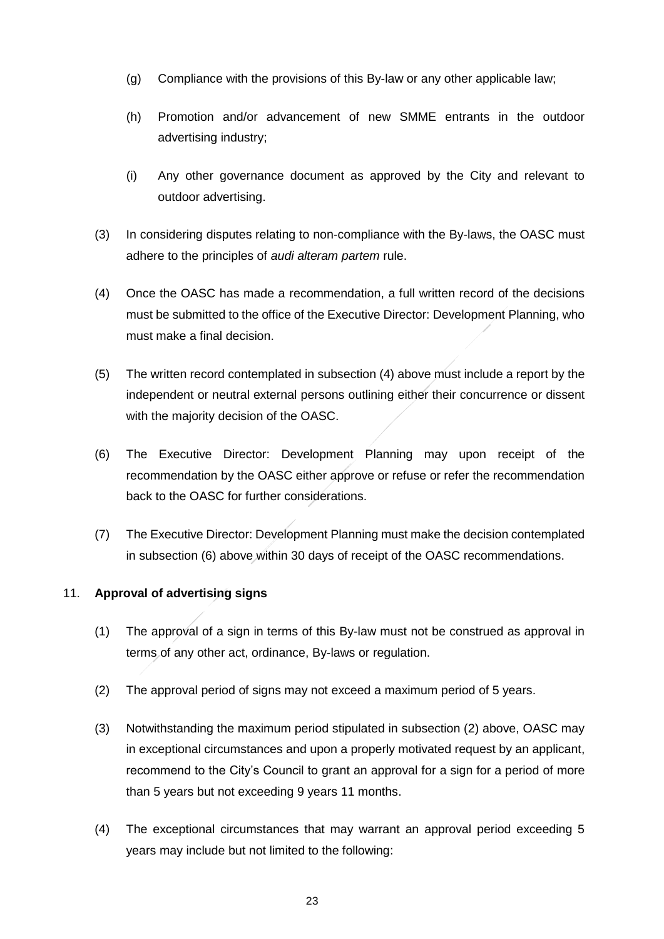- (g) Compliance with the provisions of this By-law or any other applicable law;
- (h) Promotion and/or advancement of new SMME entrants in the outdoor advertising industry;
- (i) Any other governance document as approved by the City and relevant to outdoor advertising.
- (3) In considering disputes relating to non-compliance with the By-laws, the OASC must adhere to the principles of *audi alteram partem* rule.
- <span id="page-22-0"></span>(4) Once the OASC has made a recommendation, a full written record of the decisions must be submitted to the office of the Executive Director: Development Planning, who must make a final decision.
- (5) The written record contemplated in subsection [\(4\)](#page-22-0) above must include a report by the independent or neutral external persons outlining either their concurrence or dissent with the majority decision of the OASC.
- <span id="page-22-1"></span>(6) The Executive Director: Development Planning may upon receipt of the recommendation by the OASC either approve or refuse or refer the recommendation back to the OASC for further considerations.
- (7) The Executive Director: Development Planning must make the decision contemplated in subsection [\(6\)](#page-22-1) above within 30 days of receipt of the OASC recommendations.

## 11. **Approval of advertising signs**

- (1) The approval of a sign in terms of this By-law must not be construed as approval in terms of any other act, ordinance, By-laws or regulation.
- (2) The approval period of signs may not exceed a maximum period of 5 years.
- (3) Notwithstanding the maximum period stipulated in subsection (2) above, OASC may in exceptional circumstances and upon a properly motivated request by an applicant, recommend to the City's Council to grant an approval for a sign for a period of more than 5 years but not exceeding 9 years 11 months.
- (4) The exceptional circumstances that may warrant an approval period exceeding 5 years may include but not limited to the following: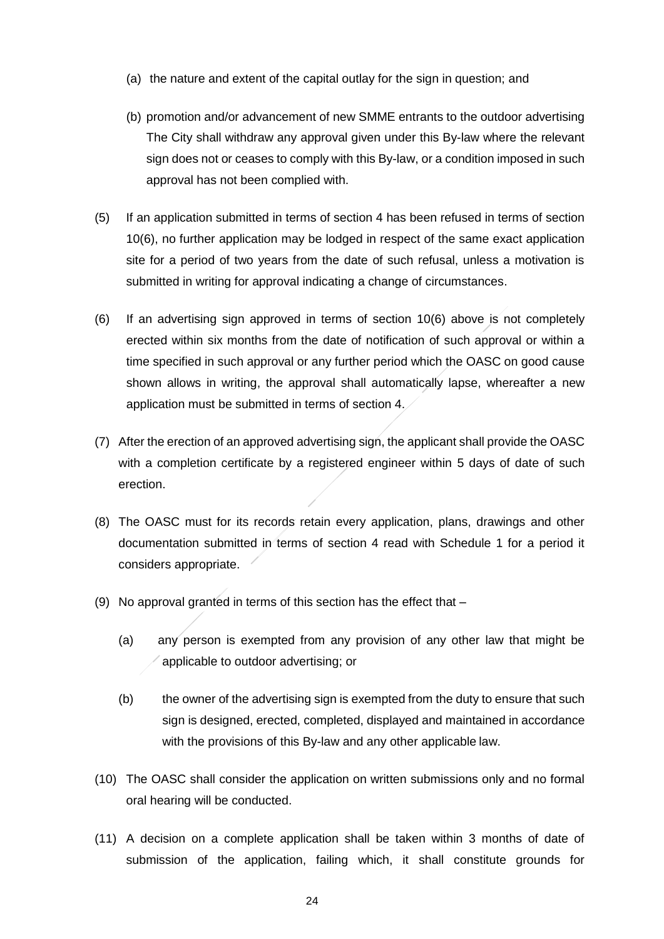- (a) the nature and extent of the capital outlay for the sign in question; and
- (b) promotion and/or advancement of new SMME entrants to the outdoor advertising The City shall withdraw any approval given under this By-law where the relevant sign does not or ceases to comply with this By-law, or a condition imposed in such approval has not been complied with.
- (5) If an application submitted in terms of section 4 has been refused in terms of section 10(6), no further application may be lodged in respect of the same exact application site for a period of two years from the date of such refusal, unless a motivation is submitted in writing for approval indicating a change of circumstances.
- (6) If an advertising sign approved in terms of section 10(6) above is not completely erected within six months from the date of notification of such approval or within a time specified in such approval or any further period which the OASC on good cause shown allows in writing, the approval shall automatically lapse, whereafter a new application must be submitted in terms of section 4.
- (7) After the erection of an approved advertising sign, the applicant shall provide the OASC with a completion certificate by a registered engineer within 5 days of date of such erection.
- (8) The OASC must for its records retain every application, plans, drawings and other documentation submitted in terms of section 4 read with Schedule 1 for a period it considers appropriate.
- (9) No approval granted in terms of this section has the effect that
	- (a) any person is exempted from any provision of any other law that might be applicable to outdoor advertising; or
	- (b) the owner of the advertising sign is exempted from the duty to ensure that such sign is designed, erected, completed, displayed and maintained in accordance with the provisions of this By-law and any other applicable law.
- (10) The OASC shall consider the application on written submissions only and no formal oral hearing will be conducted.
- (11) A decision on a complete application shall be taken within 3 months of date of submission of the application, failing which, it shall constitute grounds for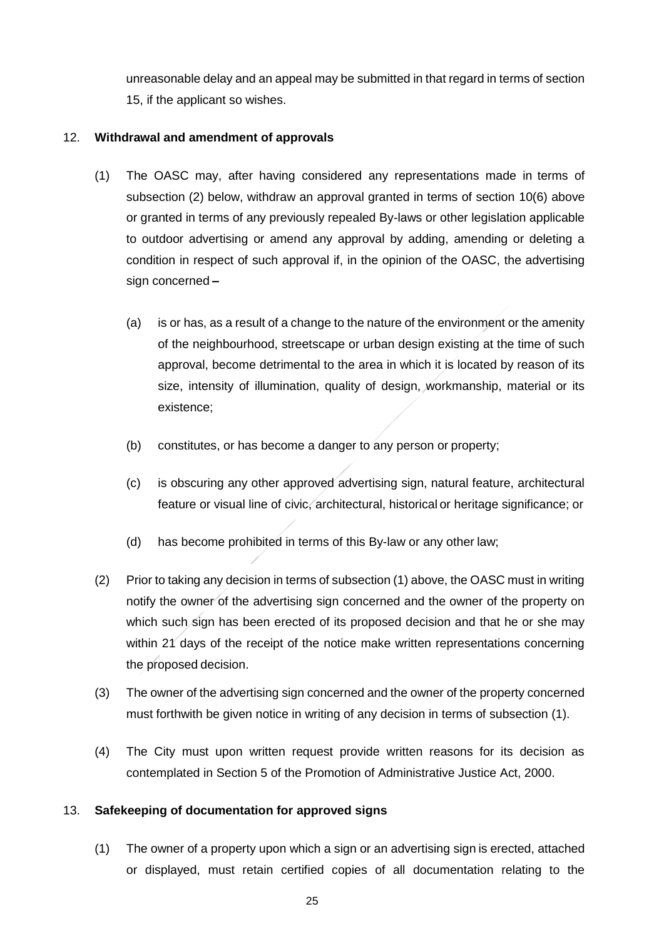unreasonable delay and an appeal may be submitted in that regard in terms of section 15, if the applicant so wishes.

## 12. **Withdrawal and amendment of approvals**

- (1) The OASC may, after having considered any representations made in terms of subsection (2) below, withdraw an approval granted in terms of section 10(6) above or granted in terms of any previously repealed By-laws or other legislation applicable to outdoor advertising or amend any approval by adding, amending or deleting a condition in respect of such approval if, in the opinion of the OASC, the advertising sign concerned **–**
	- (a) is or has, as a result of a change to the nature of the environment or the amenity of the neighbourhood, streetscape or urban design existing at the time of such approval, become detrimental to the area in which it is located by reason of its size, intensity of illumination, quality of design, workmanship, material or its existence;
	- (b) constitutes, or has become a danger to any person or property;
	- (c) is obscuring any other approved advertising sign, natural feature, architectural feature or visual line of civic, architectural, historical or heritage significance; or
	- (d) has become prohibited in terms of this By-law or any other law;
- (2) Prior to taking any decision in terms of subsection (1) above, the OASC must in writing notify the owner of the advertising sign concerned and the owner of the property on which such sign has been erected of its proposed decision and that he or she may within 21 days of the receipt of the notice make written representations concerning the proposed decision.
- (3) The owner of the advertising sign concerned and the owner of the property concerned must forthwith be given notice in writing of any decision in terms of subsection (1).
- (4) The City must upon written request provide written reasons for its decision as contemplated in Section 5 of the Promotion of Administrative Justice Act, 2000.

#### 13. **Safekeeping of documentation for approved signs**

(1) The owner of a property upon which a sign or an advertising sign is erected, attached or displayed, must retain certified copies of all documentation relating to the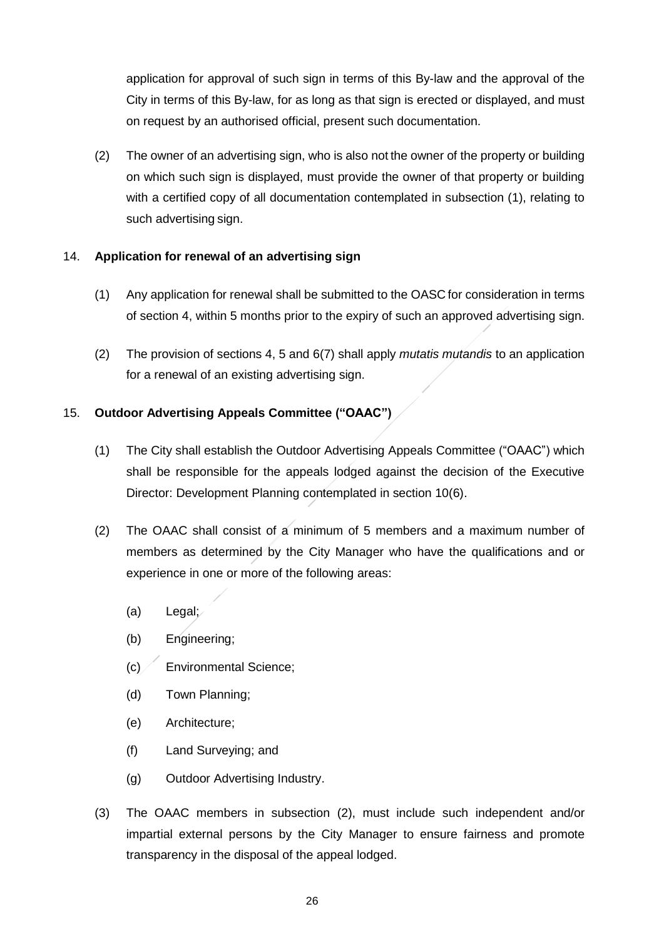application for approval of such sign in terms of this By-law and the approval of the City in terms of this By-law, for as long as that sign is erected or displayed, and must on request by an authorised official, present such documentation.

(2) The owner of an advertising sign, who is also not the owner of the property or building on which such sign is displayed, must provide the owner of that property or building with a certified copy of all documentation contemplated in subsection (1), relating to such advertising sign.

## 14. **Application for renewal of an advertising sign**

- (1) Any application for renewal shall be submitted to the OASC for consideration in terms of section 4, within 5 months prior to the expiry of such an approved advertising sign.
- (2) The provision of sections 4, 5 and 6(7) shall apply *mutatis mutandis* to an application for a renewal of an existing advertising sign.

## 15. **Outdoor Advertising Appeals Committee ("OAAC")**

- (1) The City shall establish the Outdoor Advertising Appeals Committee ("OAAC") which shall be responsible for the appeals lodged against the decision of the Executive Director: Development Planning contemplated in section 10(6).
- (2) The OAAC shall consist of a minimum of 5 members and a maximum number of members as determined by the City Manager who have the qualifications and or experience in one or more of the following areas:
	- (a) Legal;
	- (b) Engineering;
	- $(c)$  Environmental Science;
	- (d) Town Planning;
	- (e) Architecture;
	- (f) Land Surveying; and
	- (g) Outdoor Advertising Industry.
- (3) The OAAC members in subsection (2), must include such independent and/or impartial external persons by the City Manager to ensure fairness and promote transparency in the disposal of the appeal lodged.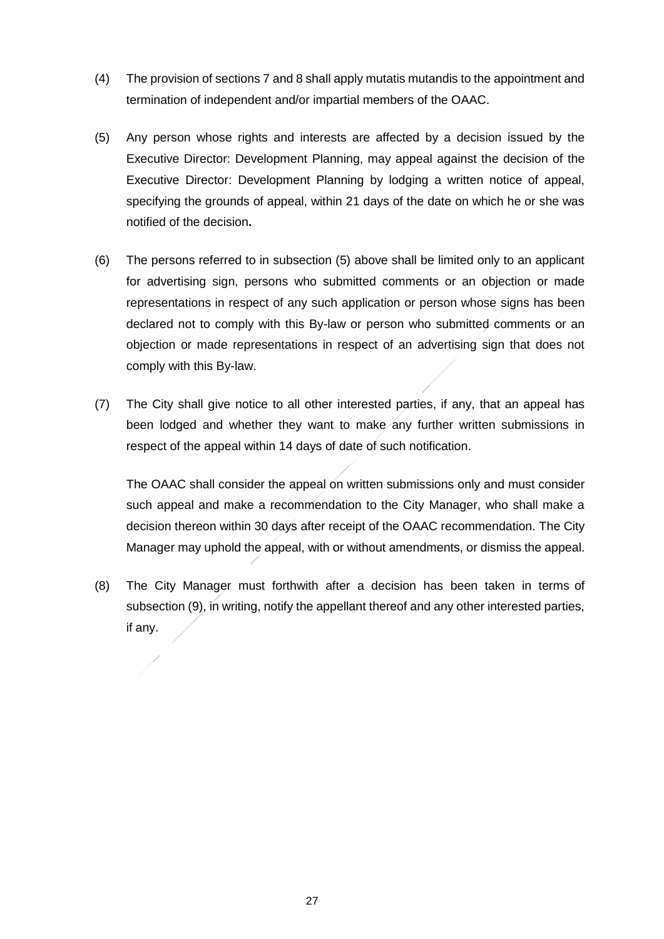- (4) The provision of sections 7 and 8 shall apply mutatis mutandis to the appointment and termination of independent and/or impartial members of the OAAC.
- (5) Any person whose rights and interests are affected by a decision issued by the Executive Director: Development Planning, may appeal against the decision of the Executive Director: Development Planning by lodging a written notice of appeal, specifying the grounds of appeal, within 21 days of the date on which he or she was notified of the decision**.**
- (6) The persons referred to in subsection (5) above shall be limited only to an applicant for advertising sign, persons who submitted comments or an objection or made representations in respect of any such application or person whose signs has been declared not to comply with this By-law or person who submitted comments or an objection or made representations in respect of an advertising sign that does not comply with this By-law.
- (7) The City shall give notice to all other interested parties, if any, that an appeal has been lodged and whether they want to make any further written submissions in respect of the appeal within 14 days of date of such notification.

The OAAC shall consider the appeal on written submissions only and must consider such appeal and make a recommendation to the City Manager, who shall make a decision thereon within 30 days after receipt of the OAAC recommendation. The City Manager may uphold the appeal, with or without amendments, or dismiss the appeal.

(8) The City Manager must forthwith after a decision has been taken in terms of subsection (9), in writing, notify the appellant thereof and any other interested parties, if any.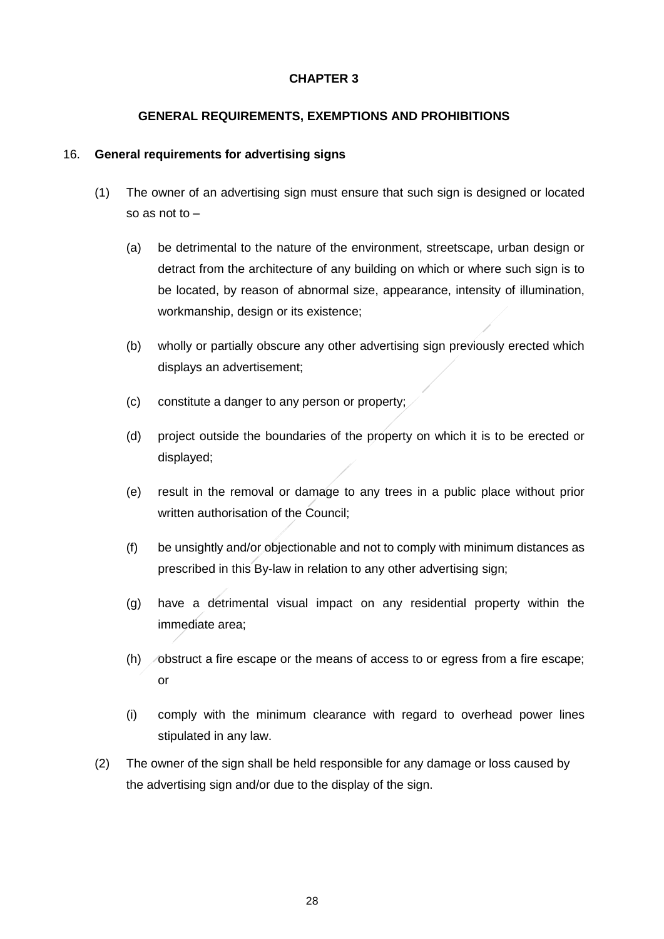## **CHAPTER 3**

## **GENERAL REQUIREMENTS, EXEMPTIONS AND PROHIBITIONS**

#### 16. **General requirements for advertising signs**

- (1) The owner of an advertising sign must ensure that such sign is designed or located so as not to –
	- (a) be detrimental to the nature of the environment, streetscape, urban design or detract from the architecture of any building on which or where such sign is to be located, by reason of abnormal size, appearance, intensity of illumination, workmanship, design or its existence;
	- (b) wholly or partially obscure any other advertising sign previously erected which displays an advertisement;
	- (c) constitute a danger to any person or property;
	- (d) project outside the boundaries of the property on which it is to be erected or displayed;
	- (e) result in the removal or damage to any trees in a public place without prior written authorisation of the Council;
	- (f) be unsightly and/or objectionable and not to comply with minimum distances as prescribed in this By-law in relation to any other advertising sign;
	- (g) have a detrimental visual impact on any residential property within the immediate area;
	- $(h)$  obstruct a fire escape or the means of access to or egress from a fire escape; or
	- (i) comply with the minimum clearance with regard to overhead power lines stipulated in any law.
- (2) The owner of the sign shall be held responsible for any damage or loss caused by the advertising sign and/or due to the display of the sign.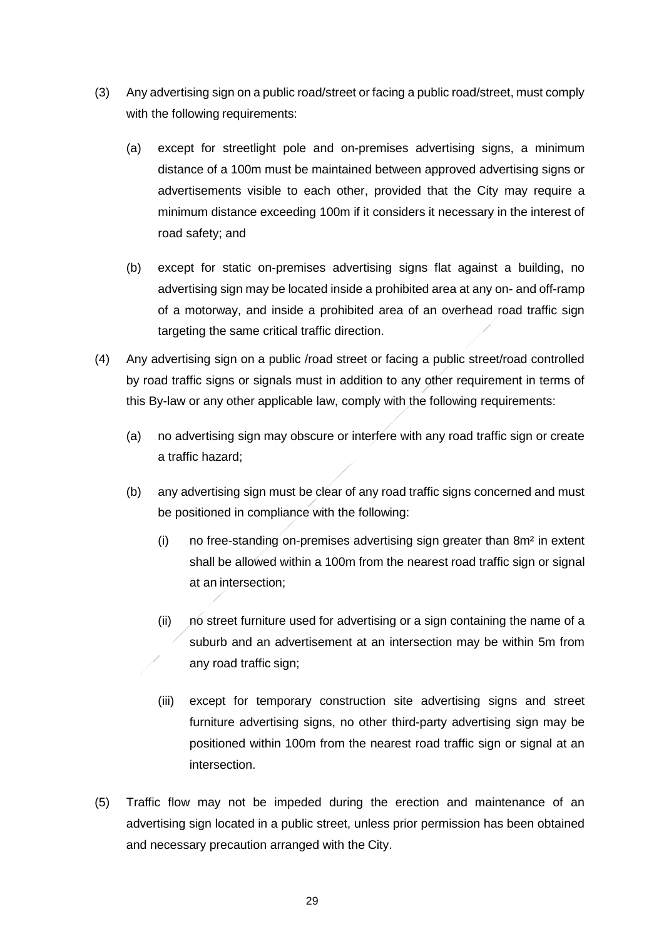- (3) Any advertising sign on a public road/street or facing a public road/street, must comply with the following requirements:
	- (a) except for streetlight pole and on-premises advertising signs, a minimum distance of a 100m must be maintained between approved advertising signs or advertisements visible to each other, provided that the City may require a minimum distance exceeding 100m if it considers it necessary in the interest of road safety; and
	- (b) except for static on-premises advertising signs flat against a building, no advertising sign may be located inside a prohibited area at any on- and off-ramp of a motorway, and inside a prohibited area of an overhead road traffic sign targeting the same critical traffic direction.
- (4) Any advertising sign on a public /road street or facing a public street/road controlled by road traffic signs or signals must in addition to any other requirement in terms of this By-law or any other applicable law, comply with the following requirements:
	- (a) no advertising sign may obscure or interfere with any road traffic sign or create a traffic hazard;
	- (b) any advertising sign must be clear of any road traffic signs concerned and must be positioned in compliance with the following:
		- (i) no free-standing on-premises advertising sign greater than 8m² in extent shall be allowed within a 100m from the nearest road traffic sign or signal at an intersection;
		- (ii) no street furniture used for advertising or a sign containing the name of a suburb and an advertisement at an intersection may be within 5m from any road traffic sign;
		- (iii) except for temporary construction site advertising signs and street furniture advertising signs, no other third-party advertising sign may be positioned within 100m from the nearest road traffic sign or signal at an intersection.
- (5) Traffic flow may not be impeded during the erection and maintenance of an advertising sign located in a public street, unless prior permission has been obtained and necessary precaution arranged with the City.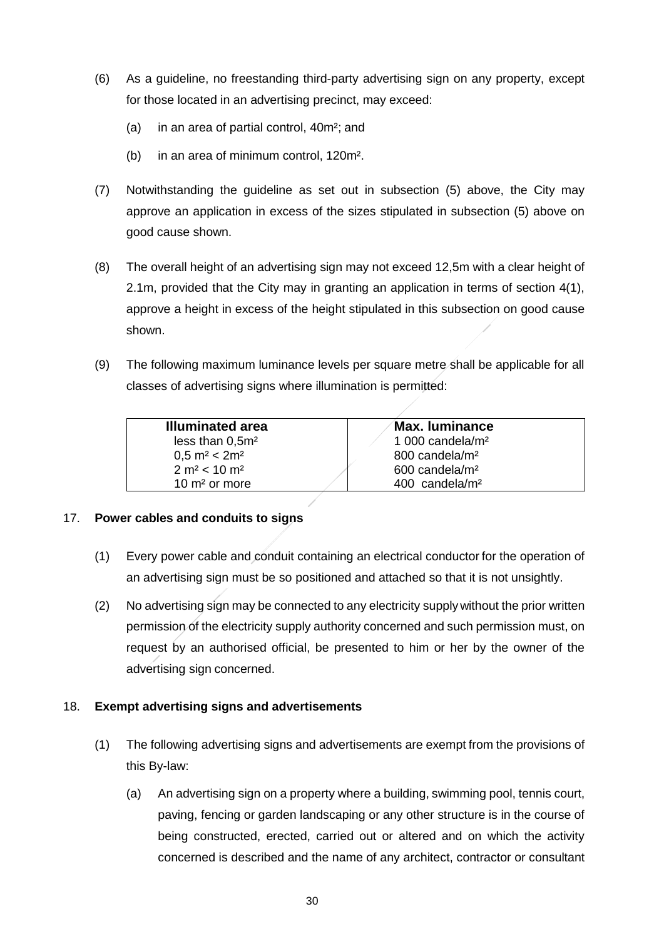- (6) As a guideline, no freestanding third-party advertising sign on any property, except for those located in an advertising precinct, may exceed:
	- (a) in an area of partial control, 40m²; and
	- (b) in an area of minimum control, 120m².
- (7) Notwithstanding the guideline as set out in subsection (5) above, the City may approve an application in excess of the sizes stipulated in subsection (5) above on good cause shown.
- (8) The overall height of an advertising sign may not exceed 12,5m with a clear height of 2.1m, provided that the City may in granting an application in terms of section 4(1), approve a height in excess of the height stipulated in this subsection on good cause shown.
- (9) The following maximum luminance levels per square metre shall be applicable for all classes of advertising signs where illumination is permitted:

| <b>Illuminated area</b>              | Max. Iuminance               |
|--------------------------------------|------------------------------|
| less than $0.5m2$                    | 1 000 candela/ $m2$          |
| $0.5 \text{ m}^2 < 2 \text{ m}^2$    | 800 candela/m <sup>2</sup>   |
| 2 m <sup>2</sup> < 10 m <sup>2</sup> | 600 candela/m <sup>2</sup>   |
| 10 $m2$ or more                      | $400$ candela/m <sup>2</sup> |

## 17. **Power cables and conduits to signs**

- (1) Every power cable and conduit containing an electrical conductor for the operation of an advertising sign must be so positioned and attached so that it is not unsightly.
- (2) No advertising sign may be connected to any electricity supplywithout the prior written permission of the electricity supply authority concerned and such permission must, on request by an authorised official, be presented to him or her by the owner of the advertising sign concerned.

## 18. **Exempt advertising signs and advertisements**

- (1) The following advertising signs and advertisements are exempt from the provisions of this By-law:
	- (a) An advertising sign on a property where a building, swimming pool, tennis court, paving, fencing or garden landscaping or any other structure is in the course of being constructed, erected, carried out or altered and on which the activity concerned is described and the name of any architect, contractor or consultant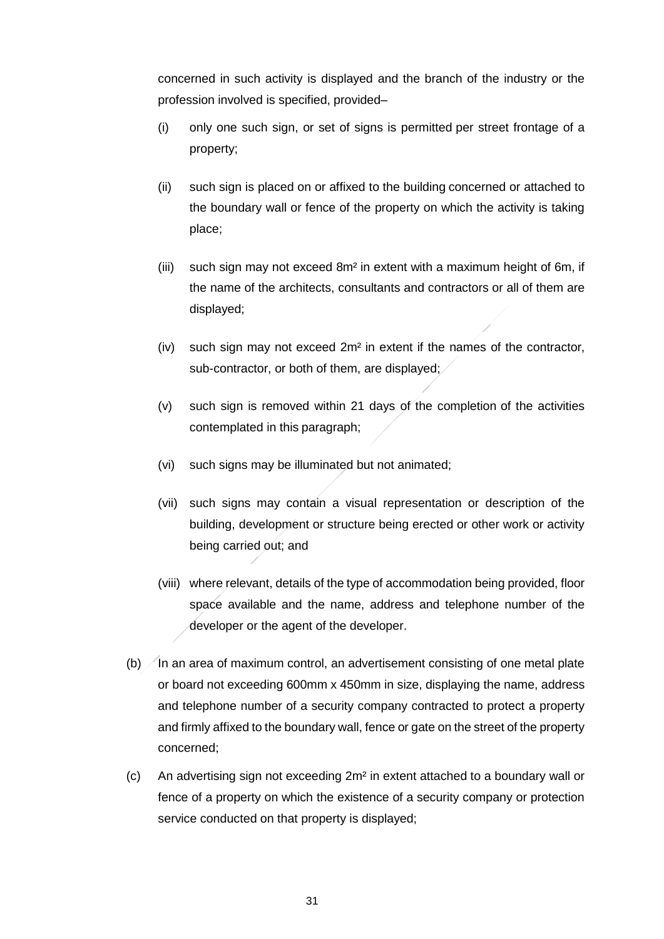concerned in such activity is displayed and the branch of the industry or the profession involved is specified, provided–

- (i) only one such sign, or set of signs is permitted per street frontage of a property;
- (ii) such sign is placed on or affixed to the building concerned or attached to the boundary wall or fence of the property on which the activity is taking place;
- (iii) such sign may not exceed 8m² in extent with a maximum height of 6m, if the name of the architects, consultants and contractors or all of them are displayed;
- (iv) such sign may not exceed 2m² in extent if the names of the contractor, sub-contractor, or both of them, are displayed;
- (v) such sign is removed within 21 days of the completion of the activities contemplated in this paragraph;
- (vi) such signs may be illuminated but not animated;
- (vii) such signs may contain a visual representation or description of the building, development or structure being erected or other work or activity being carried out; and
- (viii) where relevant, details of the type of accommodation being provided, floor space available and the name, address and telephone number of the developer or the agent of the developer.
- (b)  $\sqrt{}$  In an area of maximum control, an advertisement consisting of one metal plate or board not exceeding 600mm x 450mm in size, displaying the name, address and telephone number of a security company contracted to protect a property and firmly affixed to the boundary wall, fence or gate on the street of the property concerned;
- (c) An advertising sign not exceeding 2m² in extent attached to a boundary wall or fence of a property on which the existence of a security company or protection service conducted on that property is displayed;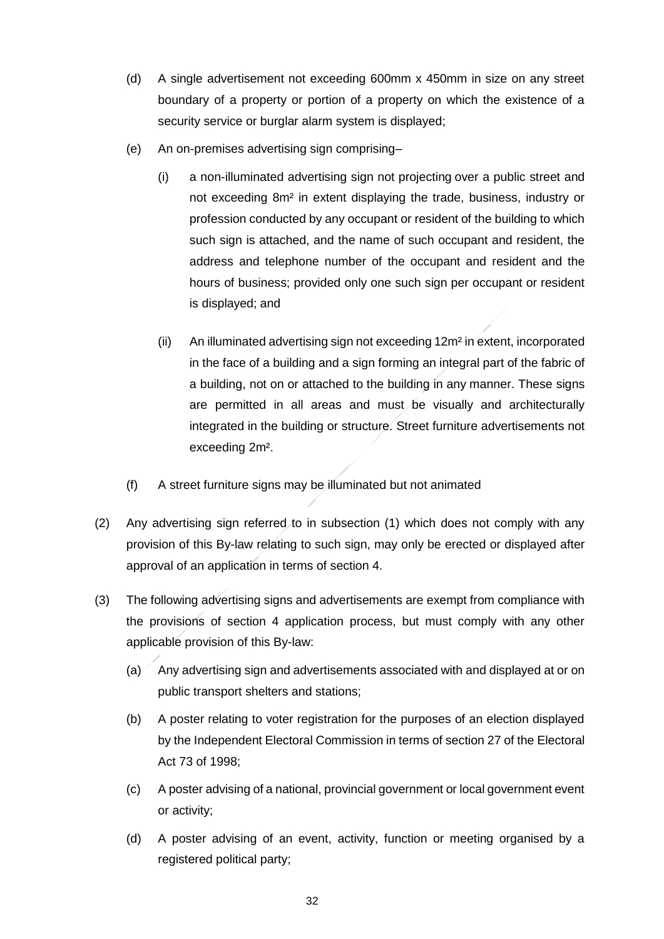- (d) A single advertisement not exceeding 600mm x 450mm in size on any street boundary of a property or portion of a property on which the existence of a security service or burglar alarm system is displayed;
- (e) An on-premises advertising sign comprising–
	- (i) a non-illuminated advertising sign not projecting over a public street and not exceeding 8m² in extent displaying the trade, business, industry or profession conducted by any occupant or resident of the building to which such sign is attached, and the name of such occupant and resident, the address and telephone number of the occupant and resident and the hours of business; provided only one such sign per occupant or resident is displayed; and
	- (ii) An illuminated advertising sign not exceeding 12m² in extent, incorporated in the face of a building and a sign forming an integral part of the fabric of a building, not on or attached to the building in any manner. These signs are permitted in all areas and must be visually and architecturally integrated in the building or structure. Street furniture advertisements not exceeding 2m².
- (f) A street furniture signs may be illuminated but not animated
- (2) Any advertising sign referred to in subsection (1) which does not comply with any provision of this By-law relating to such sign, may only be erected or displayed after approval of an application in terms of section 4.
- (3) The following advertising signs and advertisements are exempt from compliance with the provisions of section 4 application process, but must comply with any other applicable provision of this By-law:
	- $(a)$  Any advertising sign and advertisements associated with and displayed at or on public transport shelters and stations;
	- (b) A poster relating to voter registration for the purposes of an election displayed by the Independent Electoral Commission in terms of section 27 of the Electoral Act 73 of 1998;
	- (c) A poster advising of a national, provincial government or local government event or activity;
	- (d) A poster advising of an event, activity, function or meeting organised by a registered political party;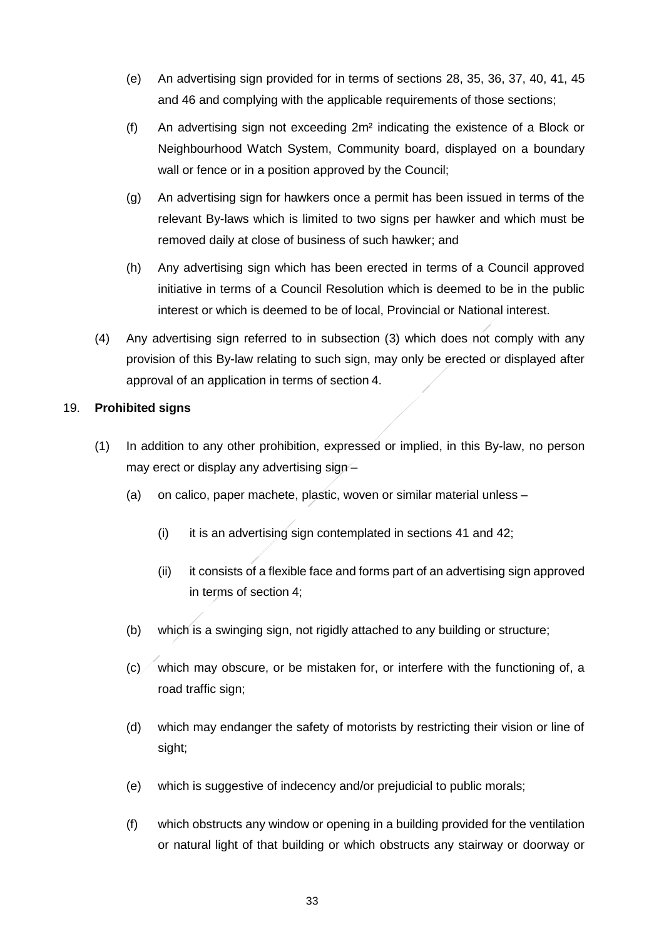- (e) An advertising sign provided for in terms of sections 28, 35, 36, 37, 40, 41, 45 and 46 and complying with the applicable requirements of those sections;
- (f) An advertising sign not exceeding 2m² indicating the existence of a Block or Neighbourhood Watch System, Community board, displayed on a boundary wall or fence or in a position approved by the Council;
- (g) An advertising sign for hawkers once a permit has been issued in terms of the relevant By-laws which is limited to two signs per hawker and which must be removed daily at close of business of such hawker; and
- (h) Any advertising sign which has been erected in terms of a Council approved initiative in terms of a Council Resolution which is deemed to be in the public interest or which is deemed to be of local, Provincial or National interest.
- (4) Any advertising sign referred to in subsection (3) which does not comply with any provision of this By-law relating to such sign, may only be erected or displayed after approval of an application in terms of section 4.

## 19. **Prohibited signs**

- (1) In addition to any other prohibition, expressed or implied, in this By-law, no person may erect or display any advertising sign-
	- (a) on calico, paper machete, plastic, woven or similar material unless
		- (i) it is an advertising sign contemplated in sections 41 and 42;
		- (ii) it consists of a flexible face and forms part of an advertising sign approved in terms of section 4;
	- (b) which is a swinging sign, not rigidly attached to any building or structure;
	- $(c)$  which may obscure, or be mistaken for, or interfere with the functioning of, a road traffic sign;
	- (d) which may endanger the safety of motorists by restricting their vision or line of sight;
	- (e) which is suggestive of indecency and/or prejudicial to public morals;
	- (f) which obstructs any window or opening in a building provided for the ventilation or natural light of that building or which obstructs any stairway or doorway or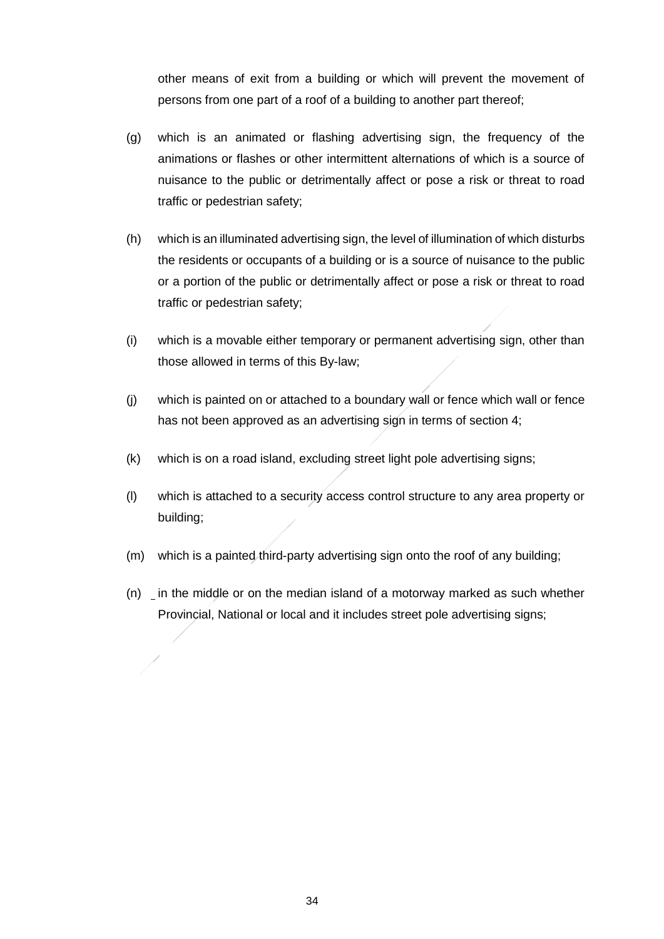other means of exit from a building or which will prevent the movement of persons from one part of a roof of a building to another part thereof;

- (g) which is an animated or flashing advertising sign, the frequency of the animations or flashes or other intermittent alternations of which is a source of nuisance to the public or detrimentally affect or pose a risk or threat to road traffic or pedestrian safety;
- (h) which is an illuminated advertising sign, the level of illumination of which disturbs the residents or occupants of a building or is a source of nuisance to the public or a portion of the public or detrimentally affect or pose a risk or threat to road traffic or pedestrian safety;
- (i) which is a movable either temporary or permanent advertising sign, other than those allowed in terms of this By-law;
- (j) which is painted on or attached to a boundary wall or fence which wall or fence has not been approved as an advertising sign in terms of section 4;
- (k) which is on a road island, excluding street light pole advertising signs;
- (l) which is attached to a security access control structure to any area property or building;
- (m) which is a painted third-party advertising sign onto the roof of any building;
- (n) in the middle or on the median island of a motorway marked as such whether Provincial, National or local and it includes street pole advertising signs;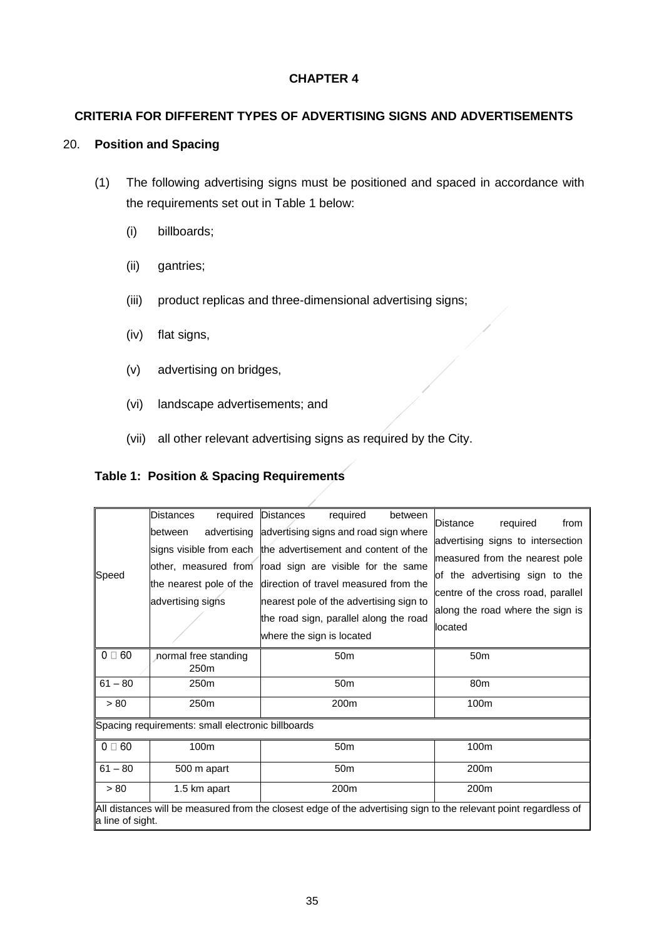### **CHAPTER 4**

## **CRITERIA FOR DIFFERENT TYPES OF ADVERTISING SIGNS AND ADVERTISEMENTS**

#### 20. **Position and Spacing**

- (1) The following advertising signs must be positioned and spaced in accordance with the requirements set out in Table 1 below:
	- (i) billboards;
	- (ii) gantries;
	- (iii) product replicas and three-dimensional advertising signs;
	- (iv) flat signs,
	- (v) advertising on bridges,
	- (vi) landscape advertisements; and
	- (vii) all other relevant advertising signs as required by the City.

#### **Table 1: Position & Spacing Requirements**

| Speed                                                                                                                                | Distances<br>required<br>advertising<br>between<br>lother. measured from<br>the nearest pole of the<br>advertising signs | <b>Distances</b><br>required<br>between<br>advertising signs and road sign where<br>signs visible from each the advertisement and content of the<br>road sign are visible for the same<br>direction of travel measured from the<br>nearest pole of the advertising sign to<br>the road sign, parallel along the road<br>where the sign is located | required<br>Distance<br>from<br>advertising signs to intersection<br>measured from the nearest pole<br>of the advertising sign to the<br>centre of the cross road, parallel<br>along the road where the sign is<br>llocated |  |  |  |  |
|--------------------------------------------------------------------------------------------------------------------------------------|--------------------------------------------------------------------------------------------------------------------------|---------------------------------------------------------------------------------------------------------------------------------------------------------------------------------------------------------------------------------------------------------------------------------------------------------------------------------------------------|-----------------------------------------------------------------------------------------------------------------------------------------------------------------------------------------------------------------------------|--|--|--|--|
| $0 \square 60$                                                                                                                       | normal free standing<br>250 <sub>m</sub>                                                                                 | 50 <sub>m</sub>                                                                                                                                                                                                                                                                                                                                   | 50 <sub>m</sub>                                                                                                                                                                                                             |  |  |  |  |
| $61 - 80$                                                                                                                            | 250 <sub>m</sub>                                                                                                         | 50 <sub>m</sub>                                                                                                                                                                                                                                                                                                                                   | 80 <sub>m</sub>                                                                                                                                                                                                             |  |  |  |  |
| > 80                                                                                                                                 | 250 <sub>m</sub>                                                                                                         | 200m                                                                                                                                                                                                                                                                                                                                              | 100m                                                                                                                                                                                                                        |  |  |  |  |
| Spacing requirements: small electronic billboards                                                                                    |                                                                                                                          |                                                                                                                                                                                                                                                                                                                                                   |                                                                                                                                                                                                                             |  |  |  |  |
| $0 \square 60$                                                                                                                       | 100m                                                                                                                     | 50 <sub>m</sub>                                                                                                                                                                                                                                                                                                                                   | 100m                                                                                                                                                                                                                        |  |  |  |  |
| $61 - 80$                                                                                                                            | 500 m apart                                                                                                              | 50 <sub>m</sub>                                                                                                                                                                                                                                                                                                                                   | 200 <sub>m</sub>                                                                                                                                                                                                            |  |  |  |  |
| > 80                                                                                                                                 | 1.5 km apart                                                                                                             | 200m                                                                                                                                                                                                                                                                                                                                              | 200m                                                                                                                                                                                                                        |  |  |  |  |
| All distances will be measured from the closest edge of the advertising sign to the relevant point regardless of<br>a line of sight. |                                                                                                                          |                                                                                                                                                                                                                                                                                                                                                   |                                                                                                                                                                                                                             |  |  |  |  |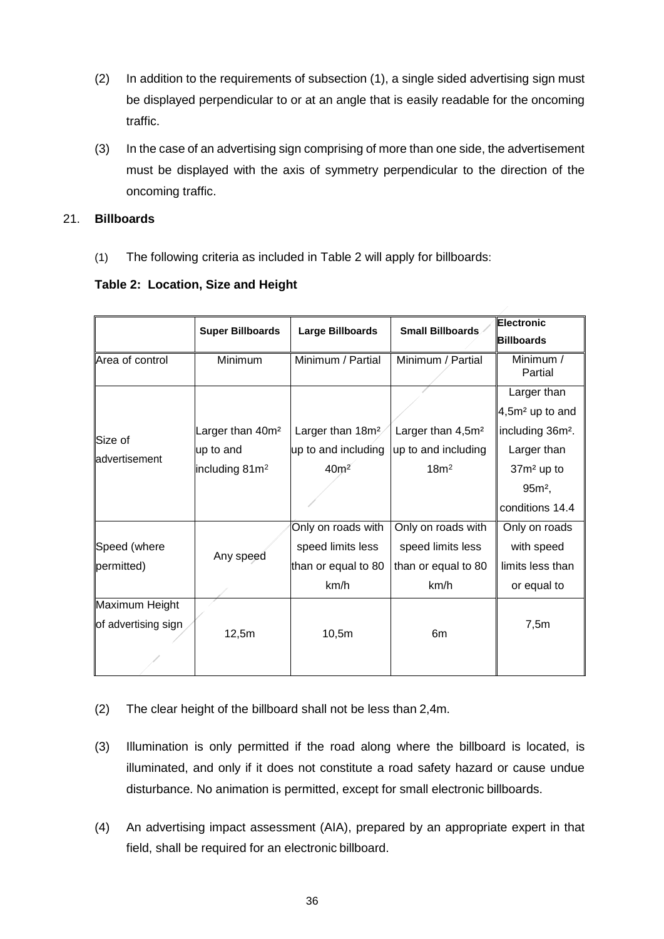- (2) In addition to the requirements of subsection (1), a single sided advertising sign must be displayed perpendicular to or at an angle that is easily readable for the oncoming traffic.
- (3) In the case of an advertising sign comprising of more than one side, the advertisement must be displayed with the axis of symmetry perpendicular to the direction of the oncoming traffic.

## 21. **Billboards**

(1) The following criteria as included in Table 2 will apply for billboards:

|                           | <b>Super Billboards</b>      | <b>Large Billboards</b>      | <b>Small Billboards</b>       | Electronic<br><b>Billboards</b> |
|---------------------------|------------------------------|------------------------------|-------------------------------|---------------------------------|
| Area of control           | Minimum                      | Minimum / Partial            | Minimum / Partial             | Minimum /<br>Partial            |
|                           |                              |                              |                               | Larger than                     |
| Size of<br>ladvertisement |                              |                              |                               | 4,5m <sup>2</sup> up to and     |
|                           | Larger than 40m <sup>2</sup> | Larger than 18m <sup>2</sup> | Larger than 4,5m <sup>2</sup> | including 36m <sup>2</sup> .    |
|                           | up to and                    | up to and including          | up to and including           | Larger than                     |
|                           | including 81m <sup>2</sup>   | 40m <sup>2</sup>             | 18m <sup>2</sup>              | 37m <sup>2</sup> up to          |
|                           |                              |                              |                               | $95m^2$ ,                       |
|                           |                              |                              |                               | conditions 14.4                 |
|                           | Any speed                    | Only on roads with           | Only on roads with            | Only on roads                   |
| Speed (where              |                              | speed limits less            | speed limits less             | with speed                      |
| permitted)                |                              | than or equal to 80          | than or equal to 80           | limits less than                |
|                           |                              | km/h                         | km/h                          | or equal to                     |
| Maximum Height            |                              |                              |                               |                                 |
| of advertising sign       | 12,5m                        | 10,5m                        | 6 <sub>m</sub>                | 7,5m                            |
|                           |                              |                              |                               |                                 |

- (2) The clear height of the billboard shall not be less than 2,4m.
- (3) Illumination is only permitted if the road along where the billboard is located, is illuminated, and only if it does not constitute a road safety hazard or cause undue disturbance. No animation is permitted, except for small electronic billboards.
- (4) An advertising impact assessment (AIA), prepared by an appropriate expert in that field, shall be required for an electronic billboard.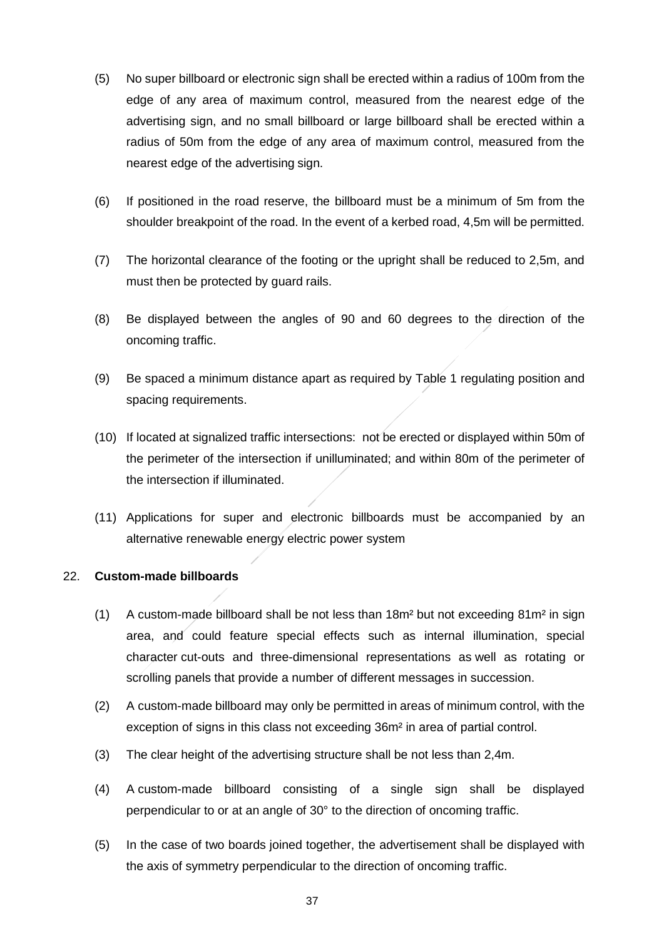- (5) No super billboard or electronic sign shall be erected within a radius of 100m from the edge of any area of maximum control, measured from the nearest edge of the advertising sign, and no small billboard or large billboard shall be erected within a radius of 50m from the edge of any area of maximum control, measured from the nearest edge of the advertising sign.
- (6) If positioned in the road reserve, the billboard must be a minimum of 5m from the shoulder breakpoint of the road. In the event of a kerbed road, 4,5m will be permitted.
- (7) The horizontal clearance of the footing or the upright shall be reduced to 2,5m, and must then be protected by guard rails.
- (8) Be displayed between the angles of 90 and 60 degrees to the direction of the oncoming traffic.
- (9) Be spaced a minimum distance apart as required by Table 1 regulating position and spacing requirements.
- (10) If located at signalized traffic intersections: not be erected or displayed within 50m of the perimeter of the intersection if unilluminated; and within 80m of the perimeter of the intersection if illuminated.
- (11) Applications for super and electronic billboards must be accompanied by an alternative renewable energy electric power system

### 22. **Custom-made billboards**

- (1) A custom-made billboard shall be not less than  $18m<sup>2</sup>$  but not exceeding  $81m<sup>2</sup>$  in sign area, and could feature special effects such as internal illumination, special character cut-outs and three-dimensional representations as well as rotating or scrolling panels that provide a number of different messages in succession.
- (2) A custom-made billboard may only be permitted in areas of minimum control, with the exception of signs in this class not exceeding 36m² in area of partial control.
- (3) The clear height of the advertising structure shall be not less than 2,4m.
- (4) A custom-made billboard consisting of a single sign shall be displayed perpendicular to or at an angle of 30° to the direction of oncoming traffic.
- (5) In the case of two boards joined together, the advertisement shall be displayed with the axis of symmetry perpendicular to the direction of oncoming traffic.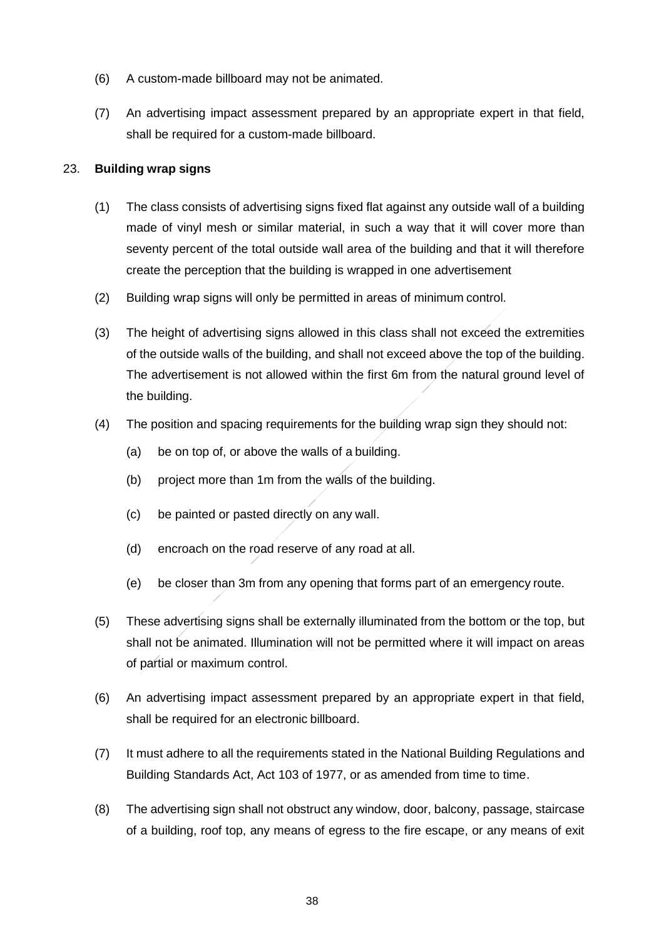- (6) A custom-made billboard may not be animated.
- (7) An advertising impact assessment prepared by an appropriate expert in that field, shall be required for a custom-made billboard.

### 23. **Building wrap signs**

- (1) The class consists of advertising signs fixed flat against any outside wall of a building made of vinyl mesh or similar material, in such a way that it will cover more than seventy percent of the total outside wall area of the building and that it will therefore create the perception that the building is wrapped in one advertisement
- (2) Building wrap signs will only be permitted in areas of minimum control.
- (3) The height of advertising signs allowed in this class shall not exceed the extremities of the outside walls of the building, and shall not exceed above the top of the building. The advertisement is not allowed within the first 6m from the natural ground level of the building.
- (4) The position and spacing requirements for the building wrap sign they should not:
	- (a) be on top of, or above the walls of a building.
	- (b) project more than 1m from the walls of the building.
	- (c) be painted or pasted directly on any wall.
	- (d) encroach on the road reserve of any road at all.
	- (e) be closer than 3m from any opening that forms part of an emergency route.
- (5) These advertising signs shall be externally illuminated from the bottom or the top, but shall not be animated. Illumination will not be permitted where it will impact on areas of partial or maximum control.
- (6) An advertising impact assessment prepared by an appropriate expert in that field, shall be required for an electronic billboard.
- (7) It must adhere to all the requirements stated in the National Building Regulations and Building Standards Act, Act 103 of 1977, or as amended from time to time.
- (8) The advertising sign shall not obstruct any window, door, balcony, passage, staircase of a building, roof top, any means of egress to the fire escape, or any means of exit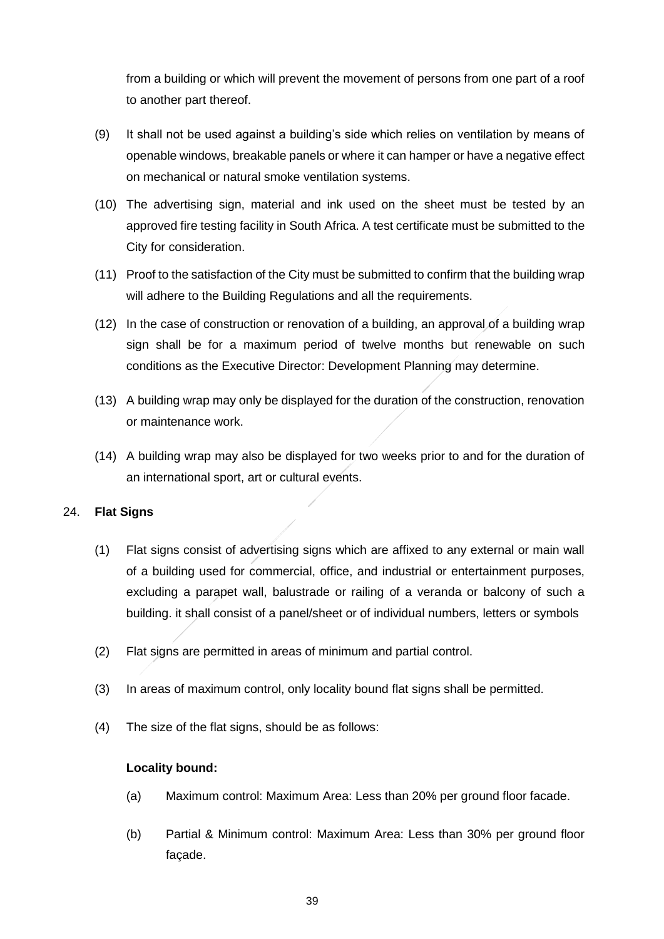from a building or which will prevent the movement of persons from one part of a roof to another part thereof.

- (9) It shall not be used against a building's side which relies on ventilation by means of openable windows, breakable panels or where it can hamper or have a negative effect on mechanical or natural smoke ventilation systems.
- (10) The advertising sign, material and ink used on the sheet must be tested by an approved fire testing facility in South Africa. A test certificate must be submitted to the City for consideration.
- (11) Proof to the satisfaction of the City must be submitted to confirm that the building wrap will adhere to the Building Regulations and all the requirements.
- (12) In the case of construction or renovation of a building, an approval of a building wrap sign shall be for a maximum period of twelve months but renewable on such conditions as the Executive Director: Development Planning may determine.
- (13) A building wrap may only be displayed for the duration of the construction, renovation or maintenance work.
- (14) A building wrap may also be displayed for two weeks prior to and for the duration of an international sport, art or cultural events.

## 24. **Flat Signs**

- (1) Flat signs consist of advertising signs which are affixed to any external or main wall of a building used for commercial, office, and industrial or entertainment purposes, excluding a parapet wall, balustrade or railing of a veranda or balcony of such a building. it shall consist of a panel/sheet or of individual numbers, letters or symbols
- (2) Flat signs are permitted in areas of minimum and partial control.
- (3) In areas of maximum control, only locality bound flat signs shall be permitted.
- (4) The size of the flat signs, should be as follows:

### **Locality bound:**

- (a) Maximum control: Maximum Area: Less than 20% per ground floor facade.
- (b) Partial & Minimum control: Maximum Area: Less than 30% per ground floor façade.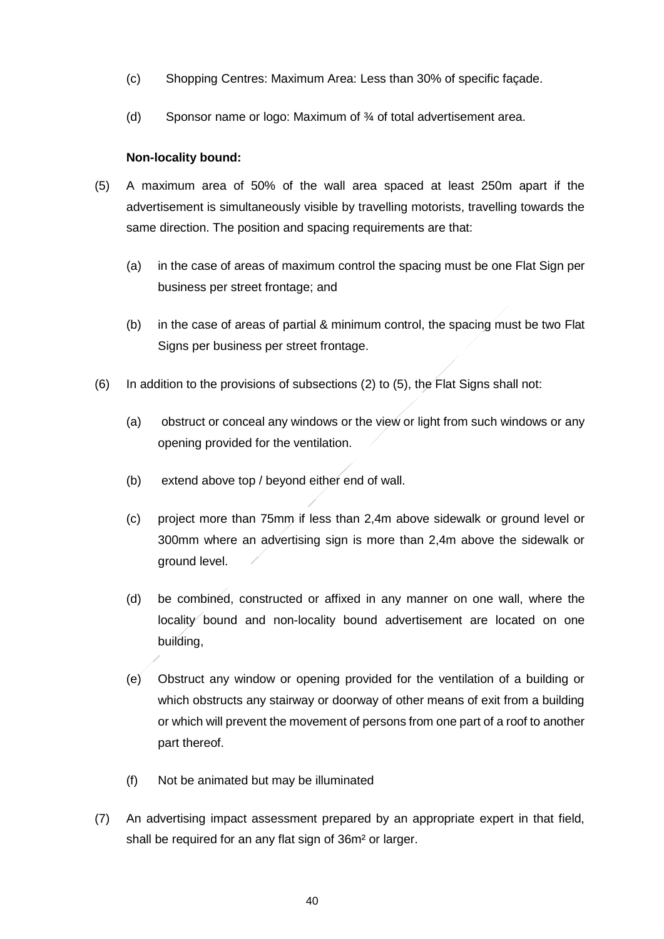- (c) Shopping Centres: Maximum Area: Less than 30% of specific façade.
- (d) Sponsor name or logo: Maximum of ¾ of total advertisement area.

### **Non-locality bound:**

- (5) A maximum area of 50% of the wall area spaced at least 250m apart if the advertisement is simultaneously visible by travelling motorists, travelling towards the same direction. The position and spacing requirements are that:
	- (a) in the case of areas of maximum control the spacing must be one Flat Sign per business per street frontage; and
	- (b) in the case of areas of partial & minimum control, the spacing must be two Flat Signs per business per street frontage.
- (6) In addition to the provisions of subsections (2) to (5), the Flat Signs shall not:
	- (a) obstruct or conceal any windows or the view or light from such windows or any opening provided for the ventilation.
	- (b) extend above top / beyond either end of wall.
	- (c) project more than 75mm if less than 2,4m above sidewalk or ground level or 300mm where an advertising sign is more than 2,4m above the sidewalk or ground level.
	- (d) be combined, constructed or affixed in any manner on one wall, where the locality bound and non-locality bound advertisement are located on one building,
	- (e) Obstruct any window or opening provided for the ventilation of a building or which obstructs any stairway or doorway of other means of exit from a building or which will prevent the movement of persons from one part of a roof to another part thereof.
	- (f) Not be animated but may be illuminated
- (7) An advertising impact assessment prepared by an appropriate expert in that field, shall be required for an any flat sign of 36m² or larger.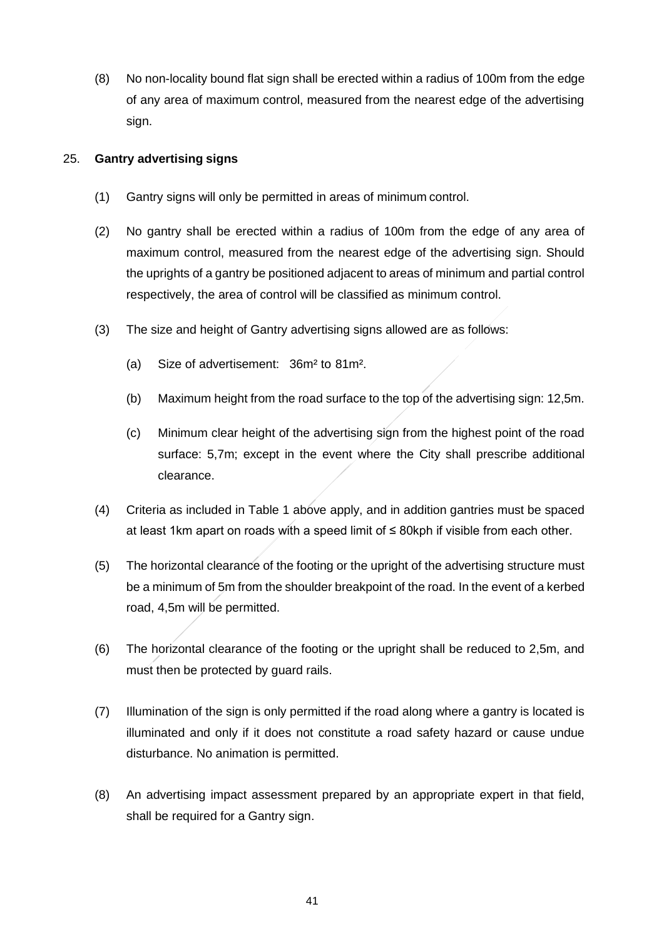(8) No non-locality bound flat sign shall be erected within a radius of 100m from the edge of any area of maximum control, measured from the nearest edge of the advertising sign.

### 25. **Gantry advertising signs**

- (1) Gantry signs will only be permitted in areas of minimum control.
- (2) No gantry shall be erected within a radius of 100m from the edge of any area of maximum control, measured from the nearest edge of the advertising sign. Should the uprights of a gantry be positioned adjacent to areas of minimum and partial control respectively, the area of control will be classified as minimum control.
- (3) The size and height of Gantry advertising signs allowed are as follows:
	- (a) Size of advertisement: 36m² to 81m².
	- (b) Maximum height from the road surface to the top of the advertising sign: 12,5m.
	- (c) Minimum clear height of the advertising sign from the highest point of the road surface: 5,7m; except in the event where the City shall prescribe additional clearance.
- (4) Criteria as included in Table 1 above apply, and in addition gantries must be spaced at least 1km apart on roads with a speed limit of ≤ 80kph if visible from each other.
- (5) The horizontal clearance of the footing or the upright of the advertising structure must be a minimum of 5m from the shoulder breakpoint of the road. In the event of a kerbed road, 4,5m will be permitted.
- (6) The horizontal clearance of the footing or the upright shall be reduced to 2,5m, and must then be protected by guard rails.
- (7) Illumination of the sign is only permitted if the road along where a gantry is located is illuminated and only if it does not constitute a road safety hazard or cause undue disturbance. No animation is permitted.
- (8) An advertising impact assessment prepared by an appropriate expert in that field, shall be required for a Gantry sign.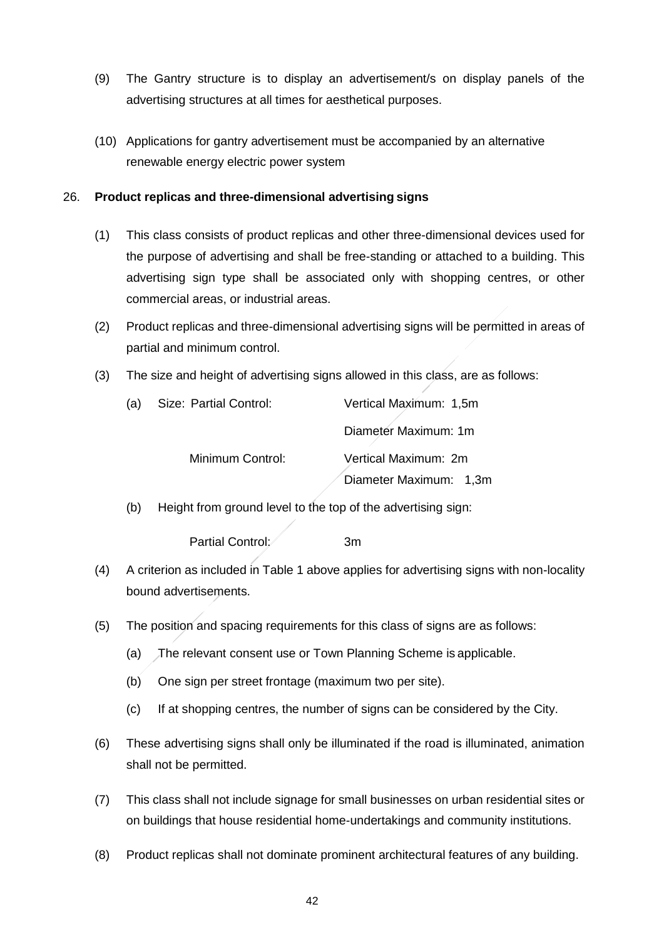- (9) The Gantry structure is to display an advertisement/s on display panels of the advertising structures at all times for aesthetical purposes.
- (10) Applications for gantry advertisement must be accompanied by an alternative renewable energy electric power system

### 26. **Product replicas and three-dimensional advertising signs**

- (1) This class consists of product replicas and other three-dimensional devices used for the purpose of advertising and shall be free-standing or attached to a building. This advertising sign type shall be associated only with shopping centres, or other commercial areas, or industrial areas.
- (2) Product replicas and three-dimensional advertising signs will be permitted in areas of partial and minimum control.
- (3) The size and height of advertising signs allowed in this class, are as follows:

| (a) | Size: Partial Control: | Vertical Maximum: 1,5m |  |  |
|-----|------------------------|------------------------|--|--|
|     |                        | Diameter Maximum: 1m   |  |  |
|     | Minimum Control:       | Vertical Maximum: 2m   |  |  |
|     |                        | Diameter Maximum: 1,3m |  |  |

(b) Height from ground level to the top of the advertising sign:

Partial Control: 3m

- (4) A criterion as included in Table 1 above applies for advertising signs with non-locality bound advertisements.
- (5) The position and spacing requirements for this class of signs are as follows:
	- (a) The relevant consent use or Town Planning Scheme is applicable.
	- (b) One sign per street frontage (maximum two per site).
	- (c) If at shopping centres, the number of signs can be considered by the City.
- (6) These advertising signs shall only be illuminated if the road is illuminated, animation shall not be permitted.
- (7) This class shall not include signage for small businesses on urban residential sites or on buildings that house residential home-undertakings and community institutions.
- (8) Product replicas shall not dominate prominent architectural features of any building.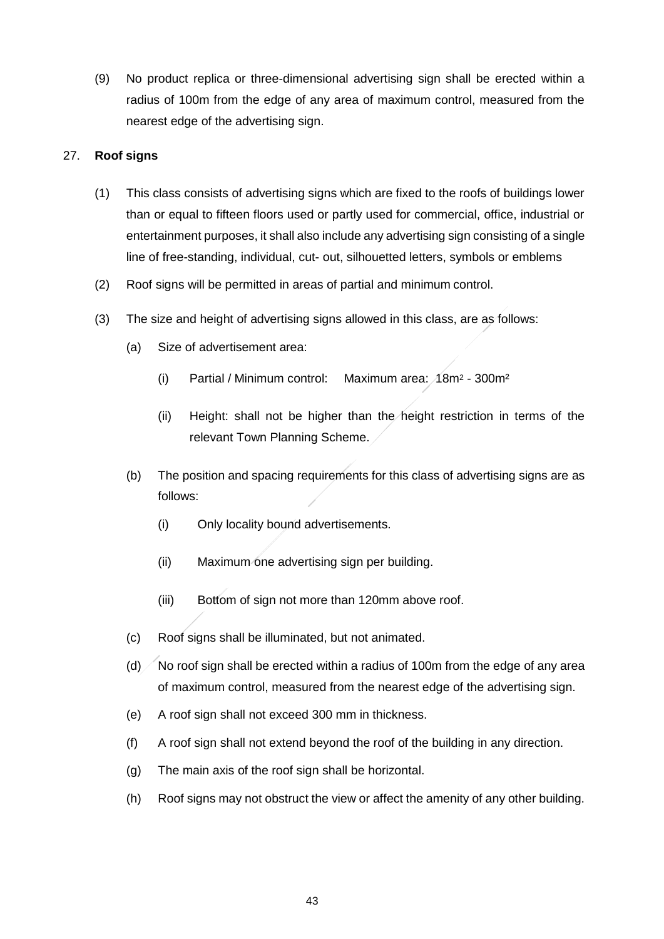(9) No product replica or three-dimensional advertising sign shall be erected within a radius of 100m from the edge of any area of maximum control, measured from the nearest edge of the advertising sign.

### 27. **Roof signs**

- (1) This class consists of advertising signs which are fixed to the roofs of buildings lower than or equal to fifteen floors used or partly used for commercial, office, industrial or entertainment purposes, it shall also include any advertising sign consisting of a single line of free-standing, individual, cut- out, silhouetted letters, symbols or emblems
- (2) Roof signs will be permitted in areas of partial and minimum control.
- (3) The size and height of advertising signs allowed in this class, are as follows:
	- (a) Size of advertisement area:
		- (i) Partial / Minimum control: Maximum area: 18m<sup>2</sup> 300m²
		- (ii) Height: shall not be higher than the height restriction in terms of the relevant Town Planning Scheme.
	- (b) The position and spacing requirements for this class of advertising signs are as follows:
		- (i) Only locality bound advertisements.
		- (ii) Maximum one advertising sign per building.
		- (iii) Bottom of sign not more than 120mm above roof.
	- (c) Roof signs shall be illuminated, but not animated.
	- (d)  $\diagup$  No roof sign shall be erected within a radius of 100m from the edge of any area of maximum control, measured from the nearest edge of the advertising sign.
	- (e) A roof sign shall not exceed 300 mm in thickness.
	- (f) A roof sign shall not extend beyond the roof of the building in any direction.
	- (g) The main axis of the roof sign shall be horizontal.
	- (h) Roof signs may not obstruct the view or affect the amenity of any other building.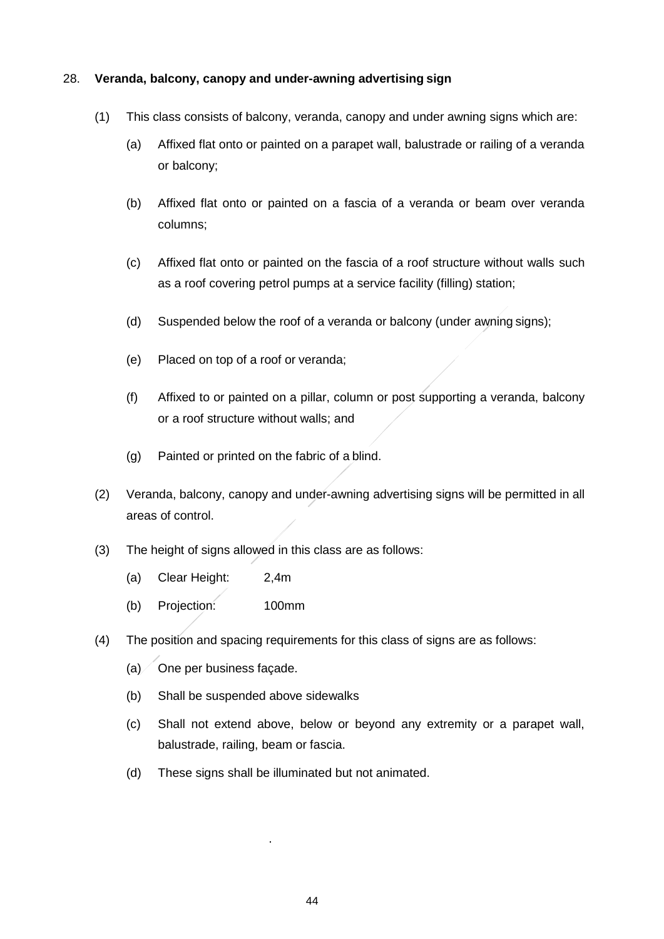### 28. **Veranda, balcony, canopy and under-awning advertising sign**

- (1) This class consists of balcony, veranda, canopy and under awning signs which are:
	- (a) Affixed flat onto or painted on a parapet wall, balustrade or railing of a veranda or balcony;
	- (b) Affixed flat onto or painted on a fascia of a veranda or beam over veranda columns;
	- (c) Affixed flat onto or painted on the fascia of a roof structure without walls such as a roof covering petrol pumps at a service facility (filling) station;
	- (d) Suspended below the roof of a veranda or balcony (under awning signs);
	- (e) Placed on top of a roof or veranda;
	- (f) Affixed to or painted on a pillar, column or post supporting a veranda, balcony or a roof structure without walls; and
	- (g) Painted or printed on the fabric of a blind.
- (2) Veranda, balcony, canopy and under-awning advertising signs will be permitted in all areas of control.
- (3) The height of signs allowed in this class are as follows:
	- (a) Clear Height: 2,4m
	- (b) Projection: 100mm
- (4) The position and spacing requirements for this class of signs are as follows:
	- $(a)$  One per business façade.
	- (b) Shall be suspended above sidewalks
	- (c) Shall not extend above, below or beyond any extremity or a parapet wall, balustrade, railing, beam or fascia.
	- (d) These signs shall be illuminated but not animated.

.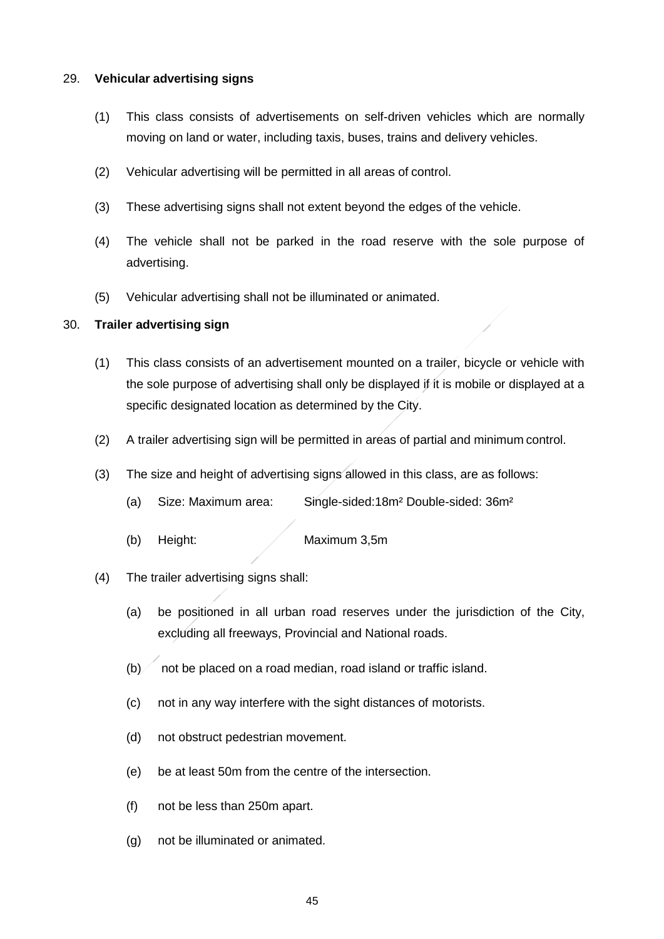#### 29. **Vehicular advertising signs**

- (1) This class consists of advertisements on self-driven vehicles which are normally moving on land or water, including taxis, buses, trains and delivery vehicles.
- (2) Vehicular advertising will be permitted in all areas of control.
- (3) These advertising signs shall not extent beyond the edges of the vehicle.
- (4) The vehicle shall not be parked in the road reserve with the sole purpose of advertising.
- (5) Vehicular advertising shall not be illuminated or animated.

### 30. **Trailer advertising sign**

- (1) This class consists of an advertisement mounted on a trailer, bicycle or vehicle with the sole purpose of advertising shall only be displayed if it is mobile or displayed at a specific designated location as determined by the City.
- (2) A trailer advertising sign will be permitted in areas of partial and minimum control.
- (3) The size and height of advertising signs allowed in this class, are as follows:
	- (a) Size: Maximum area: Single-sided:18m² Double-sided: 36m²
	- (b) Height: Maximum 3,5m
- (4) The trailer advertising signs shall:
	- (a) be positioned in all urban road reserves under the jurisdiction of the City, excluding all freeways, Provincial and National roads.
	- $(b)$  not be placed on a road median, road island or traffic island.
	- (c) not in any way interfere with the sight distances of motorists.
	- (d) not obstruct pedestrian movement.
	- (e) be at least 50m from the centre of the intersection.
	- (f) not be less than 250m apart.
	- (g) not be illuminated or animated.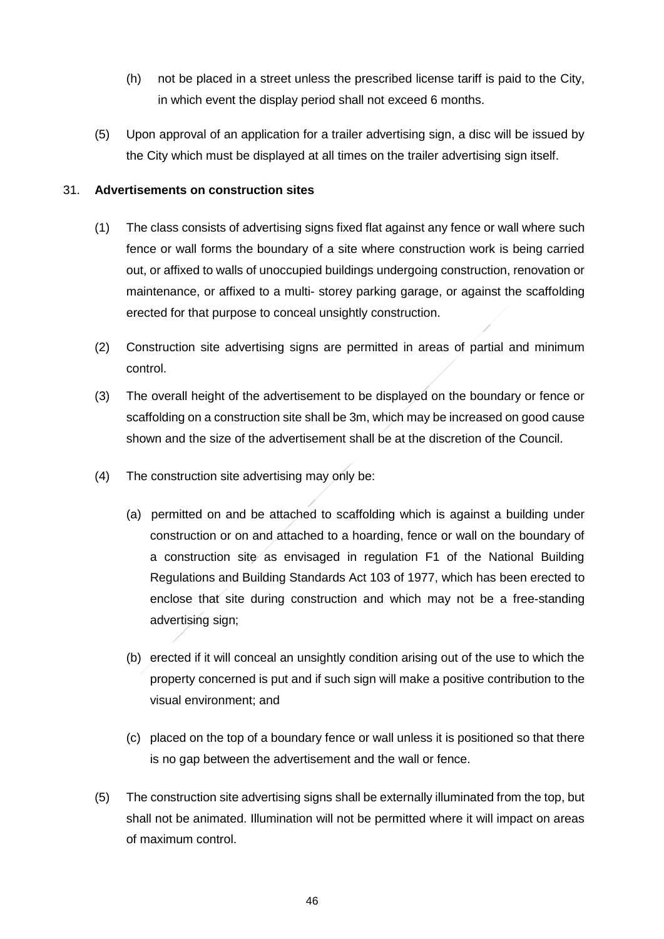- (h) not be placed in a street unless the prescribed license tariff is paid to the City, in which event the display period shall not exceed 6 months.
- (5) Upon approval of an application for a trailer advertising sign, a disc will be issued by the City which must be displayed at all times on the trailer advertising sign itself.

### 31. **Advertisements on construction sites**

- (1) The class consists of advertising signs fixed flat against any fence or wall where such fence or wall forms the boundary of a site where construction work is being carried out, or affixed to walls of unoccupied buildings undergoing construction, renovation or maintenance, or affixed to a multi- storey parking garage, or against the scaffolding erected for that purpose to conceal unsightly construction.
- (2) Construction site advertising signs are permitted in areas of partial and minimum control.
- (3) The overall height of the advertisement to be displayed on the boundary or fence or scaffolding on a construction site shall be 3m, which may be increased on good cause shown and the size of the advertisement shall be at the discretion of the Council.
- (4) The construction site advertising may only be:
	- (a) permitted on and be attached to scaffolding which is against a building under construction or on and attached to a hoarding, fence or wall on the boundary of a construction site as envisaged in regulation F1 of the National Building Regulations and Building Standards Act 103 of 1977, which has been erected to enclose that site during construction and which may not be a free-standing advertising sign;
	- (b) erected if it will conceal an unsightly condition arising out of the use to which the property concerned is put and if such sign will make a positive contribution to the visual environment; and
	- (c) placed on the top of a boundary fence or wall unless it is positioned so that there is no gap between the advertisement and the wall or fence.
- (5) The construction site advertising signs shall be externally illuminated from the top, but shall not be animated. Illumination will not be permitted where it will impact on areas of maximum control.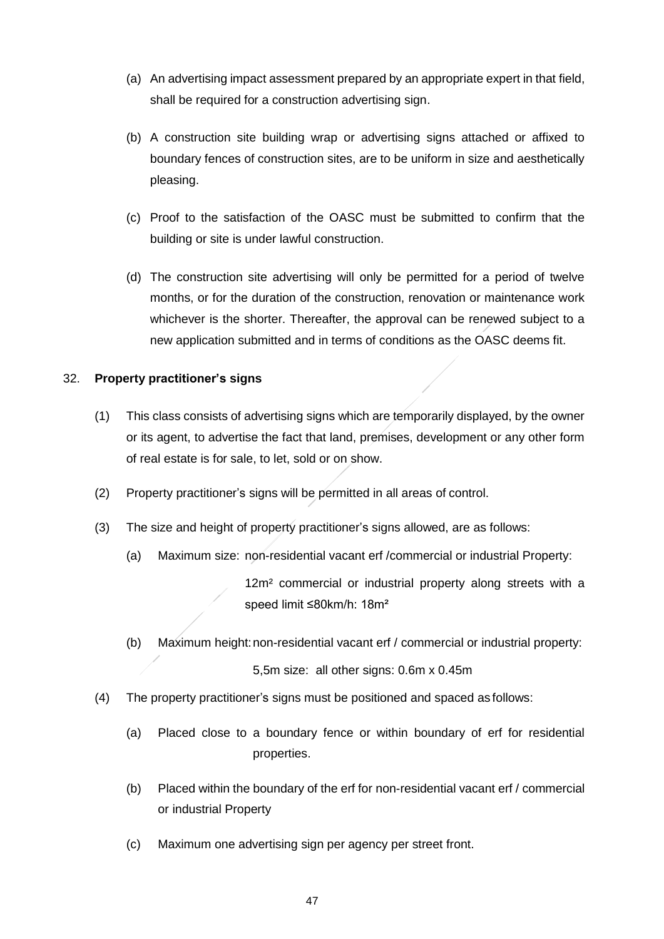- (a) An advertising impact assessment prepared by an appropriate expert in that field, shall be required for a construction advertising sign.
- (b) A construction site building wrap or advertising signs attached or affixed to boundary fences of construction sites, are to be uniform in size and aesthetically pleasing.
- (c) Proof to the satisfaction of the OASC must be submitted to confirm that the building or site is under lawful construction.
- (d) The construction site advertising will only be permitted for a period of twelve months, or for the duration of the construction, renovation or maintenance work whichever is the shorter. Thereafter, the approval can be renewed subject to a new application submitted and in terms of conditions as the OASC deems fit.

### 32. **Property practitioner's signs**

- (1) This class consists of advertising signs which are temporarily displayed, by the owner or its agent, to advertise the fact that land, premises, development or any other form of real estate is for sale, to let, sold or on show.
- (2) Property practitioner's signs will be permitted in all areas of control.
- (3) The size and height of property practitioner's signs allowed, are as follows:
	- (a) Maximum size: non-residential vacant erf /commercial or industrial Property:

12m<sup>2</sup> commercial or industrial property along streets with a speed limit ≤80km/h: 18m²

(b) Maximum height:non-residential vacant erf / commercial or industrial property:

5,5m size: all other signs: 0.6m x 0.45m

- (4) The property practitioner's signs must be positioned and spaced as follows:
	- (a) Placed close to a boundary fence or within boundary of erf for residential properties.
	- (b) Placed within the boundary of the erf for non-residential vacant erf / commercial or industrial Property
	- (c) Maximum one advertising sign per agency per street front.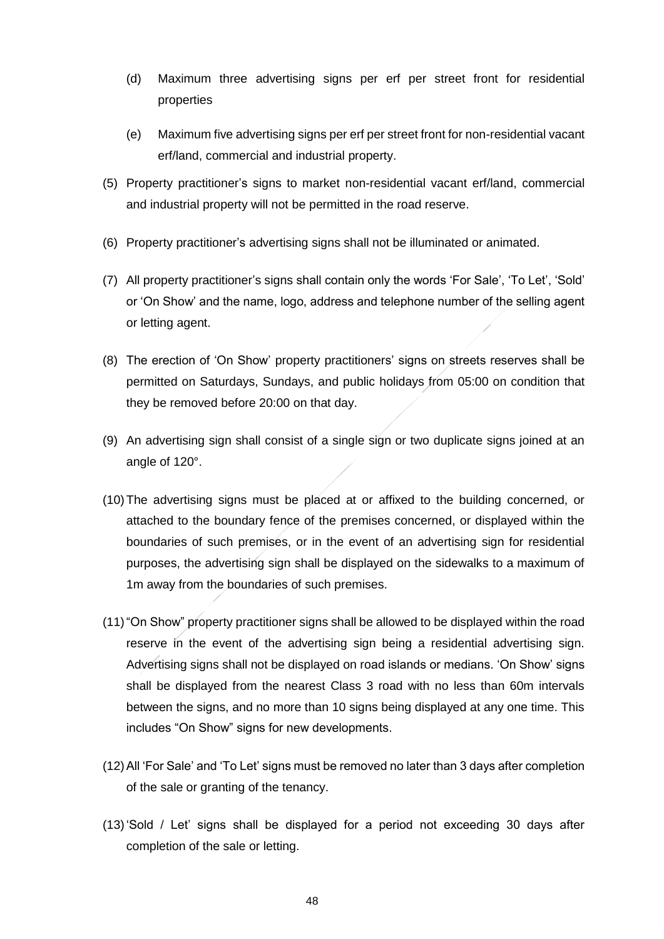- (d) Maximum three advertising signs per erf per street front for residential properties
- (e) Maximum five advertising signs per erf per street front for non-residential vacant erf/land, commercial and industrial property.
- (5) Property practitioner's signs to market non-residential vacant erf/land, commercial and industrial property will not be permitted in the road reserve.
- (6) Property practitioner's advertising signs shall not be illuminated or animated.
- (7) All property practitioner's signs shall contain only the words 'For Sale', 'To Let', 'Sold' or 'On Show' and the name, logo, address and telephone number of the selling agent or letting agent.
- (8) The erection of 'On Show' property practitioners' signs on streets reserves shall be permitted on Saturdays, Sundays, and public holidays from 05:00 on condition that they be removed before 20:00 on that day.
- (9) An advertising sign shall consist of a single sign or two duplicate signs joined at an angle of 120°.
- (10)The advertising signs must be placed at or affixed to the building concerned, or attached to the boundary fence of the premises concerned, or displayed within the boundaries of such premises, or in the event of an advertising sign for residential purposes, the advertising sign shall be displayed on the sidewalks to a maximum of 1m away from the boundaries of such premises.
- (11)"On Show" property practitioner signs shall be allowed to be displayed within the road reserve in the event of the advertising sign being a residential advertising sign. Advertising signs shall not be displayed on road islands or medians. 'On Show' signs shall be displayed from the nearest Class 3 road with no less than 60m intervals between the signs, and no more than 10 signs being displayed at any one time. This includes "On Show" signs for new developments.
- (12)All 'For Sale' and 'To Let' signs must be removed no later than 3 days after completion of the sale or granting of the tenancy.
- (13)'Sold / Let' signs shall be displayed for a period not exceeding 30 days after completion of the sale or letting.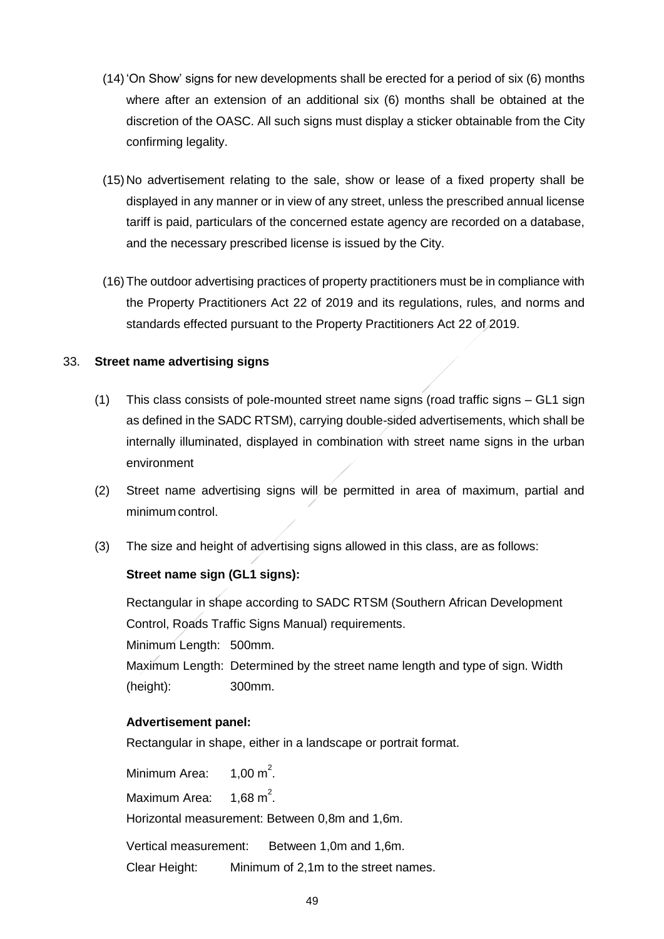- (14)'On Show' signs for new developments shall be erected for a period of six (6) months where after an extension of an additional six (6) months shall be obtained at the discretion of the OASC. All such signs must display a sticker obtainable from the City confirming legality.
- (15) No advertisement relating to the sale, show or lease of a fixed property shall be displayed in any manner or in view of any street, unless the prescribed annual license tariff is paid, particulars of the concerned estate agency are recorded on a database, and the necessary prescribed license is issued by the City.
- (16)The outdoor advertising practices of property practitioners must be in compliance with the Property Practitioners Act 22 of 2019 and its regulations, rules, and norms and standards effected pursuant to the Property Practitioners Act 22 of 2019.

### 33. **Street name advertising signs**

- (1) This class consists of pole-mounted street name signs (road traffic signs GL1 sign as defined in the SADC RTSM), carrying double-sided advertisements, which shall be internally illuminated, displayed in combination with street name signs in the urban environment
- (2) Street name advertising signs will be permitted in area of maximum, partial and minimum control.
- (3) The size and height of advertising signs allowed in this class, are as follows:

## **Street name sign (GL1 signs):**

Rectangular in shape according to SADC RTSM (Southern African Development Control, Roads Traffic Signs Manual) requirements. Minimum Length: 500mm. Maximum Length: Determined by the street name length and type of sign. Width (height): 300mm.

### **Advertisement panel:**

Rectangular in shape, either in a landscape or portrait format.

Minimum Area: 2 . Maximum Area: 2 . Horizontal measurement: Between 0,8m and 1,6m. Vertical measurement: Between 1,0m and 1,6m.

Clear Height: Minimum of 2,1m to the street names.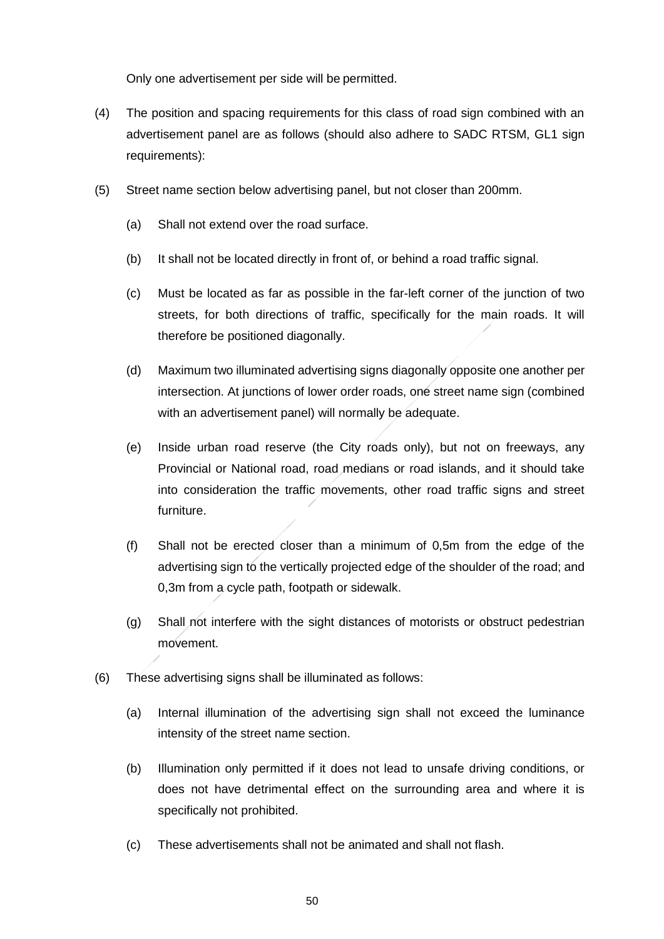Only one advertisement per side will be permitted.

- (4) The position and spacing requirements for this class of road sign combined with an advertisement panel are as follows (should also adhere to SADC RTSM, GL1 sign requirements):
- (5) Street name section below advertising panel, but not closer than 200mm.
	- (a) Shall not extend over the road surface.
	- (b) It shall not be located directly in front of, or behind a road traffic signal.
	- (c) Must be located as far as possible in the far-left corner of the junction of two streets, for both directions of traffic, specifically for the main roads. It will therefore be positioned diagonally.
	- (d) Maximum two illuminated advertising signs diagonally opposite one another per intersection. At junctions of lower order roads, one street name sign (combined with an advertisement panel) will normally be adequate.
	- (e) Inside urban road reserve (the City roads only), but not on freeways, any Provincial or National road, road medians or road islands, and it should take into consideration the traffic movements, other road traffic signs and street furniture.
	- (f) Shall not be erected closer than a minimum of 0,5m from the edge of the advertising sign to the vertically projected edge of the shoulder of the road; and 0,3m from a cycle path, footpath or sidewalk.
	- (g) Shall not interfere with the sight distances of motorists or obstruct pedestrian movement.
- (6) These advertising signs shall be illuminated as follows:
	- (a) Internal illumination of the advertising sign shall not exceed the luminance intensity of the street name section.
	- (b) Illumination only permitted if it does not lead to unsafe driving conditions, or does not have detrimental effect on the surrounding area and where it is specifically not prohibited.
	- (c) These advertisements shall not be animated and shall not flash.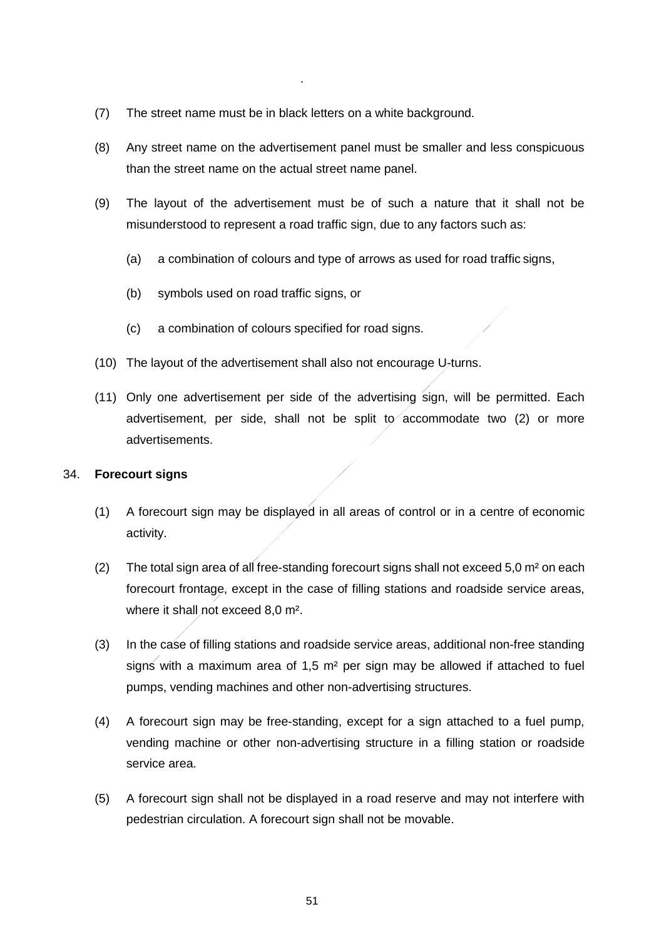(7) The street name must be in black letters on a white background.

.

- (8) Any street name on the advertisement panel must be smaller and less conspicuous than the street name on the actual street name panel.
- (9) The layout of the advertisement must be of such a nature that it shall not be misunderstood to represent a road traffic sign, due to any factors such as:
	- (a) a combination of colours and type of arrows as used for road traffic signs,
	- (b) symbols used on road traffic signs, or
	- (c) a combination of colours specified for road signs.
- (10) The layout of the advertisement shall also not encourage U-turns.
- (11) Only one advertisement per side of the advertising sign, will be permitted. Each advertisement, per side, shall not be split to accommodate two (2) or more advertisements.

### 34. **Forecourt signs**

- (1) A forecourt sign may be displayed in all areas of control or in a centre of economic activity.
- (2) The total sign area of all free-standing forecourt signs shall not exceed  $5.0$  m<sup>2</sup> on each forecourt frontage, except in the case of filling stations and roadside service areas, where it shall not exceed 8,0 m².
- (3) In the case of filling stations and roadside service areas, additional non-free standing signs with a maximum area of 1,5 m² per sign may be allowed if attached to fuel pumps, vending machines and other non-advertising structures.
- (4) A forecourt sign may be free-standing, except for a sign attached to a fuel pump, vending machine or other non-advertising structure in a filling station or roadside service area.
- (5) A forecourt sign shall not be displayed in a road reserve and may not interfere with pedestrian circulation. A forecourt sign shall not be movable.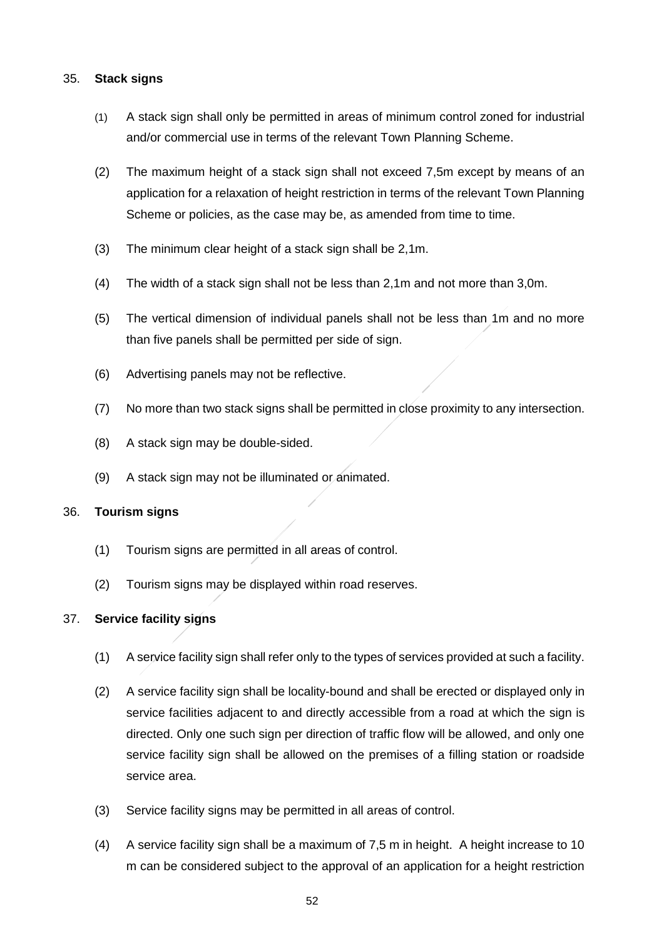### 35. **Stack signs**

- (1) A stack sign shall only be permitted in areas of minimum control zoned for industrial and/or commercial use in terms of the relevant Town Planning Scheme.
- (2) The maximum height of a stack sign shall not exceed 7,5m except by means of an application for a relaxation of height restriction in terms of the relevant Town Planning Scheme or policies, as the case may be, as amended from time to time.
- (3) The minimum clear height of a stack sign shall be 2,1m.
- (4) The width of a stack sign shall not be less than 2,1m and not more than 3,0m.
- (5) The vertical dimension of individual panels shall not be less than 1m and no more than five panels shall be permitted per side of sign.
- (6) Advertising panels may not be reflective.
- (7) No more than two stack signs shall be permitted in close proximity to any intersection.
- (8) A stack sign may be double-sided.
- (9) A stack sign may not be illuminated or animated.

### 36. **Tourism signs**

- (1) Tourism signs are permitted in all areas of control.
- (2) Tourism signs may be displayed within road reserves.

## 37. **Service facility signs**

- (1) A service facility sign shall refer only to the types of services provided at such a facility.
- (2) A service facility sign shall be locality-bound and shall be erected or displayed only in service facilities adjacent to and directly accessible from a road at which the sign is directed. Only one such sign per direction of traffic flow will be allowed, and only one service facility sign shall be allowed on the premises of a filling station or roadside service area.
- (3) Service facility signs may be permitted in all areas of control.
- (4) A service facility sign shall be a maximum of 7,5 m in height. A height increase to 10 m can be considered subject to the approval of an application for a height restriction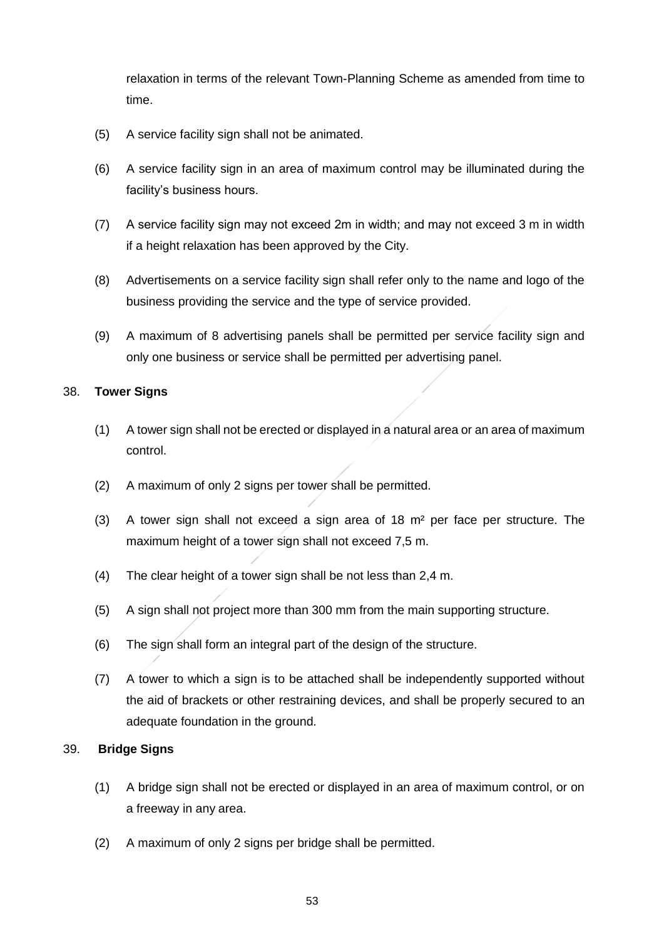relaxation in terms of the relevant Town-Planning Scheme as amended from time to time.

- (5) A service facility sign shall not be animated.
- (6) A service facility sign in an area of maximum control may be illuminated during the facility's business hours.
- (7) A service facility sign may not exceed 2m in width; and may not exceed 3 m in width if a height relaxation has been approved by the City.
- (8) Advertisements on a service facility sign shall refer only to the name and logo of the business providing the service and the type of service provided.
- (9) A maximum of 8 advertising panels shall be permitted per service facility sign and only one business or service shall be permitted per advertising panel.

### 38. **Tower Signs**

- (1) A tower sign shall not be erected or displayed in a natural area or an area of maximum control.
- (2) A maximum of only 2 signs per tower shall be permitted.
- (3) A tower sign shall not exceed a sign area of  $18 \text{ m}^2$  per face per structure. The maximum height of a tower sign shall not exceed 7,5 m.
- (4) The clear height of a tower sign shall be not less than 2,4 m.
- (5) A sign shall not project more than 300 mm from the main supporting structure.
- (6) The sign shall form an integral part of the design of the structure.
- (7) A tower to which a sign is to be attached shall be independently supported without the aid of brackets or other restraining devices, and shall be properly secured to an adequate foundation in the ground.

### 39. **Bridge Signs**

- (1) A bridge sign shall not be erected or displayed in an area of maximum control, or on a freeway in any area.
- (2) A maximum of only 2 signs per bridge shall be permitted.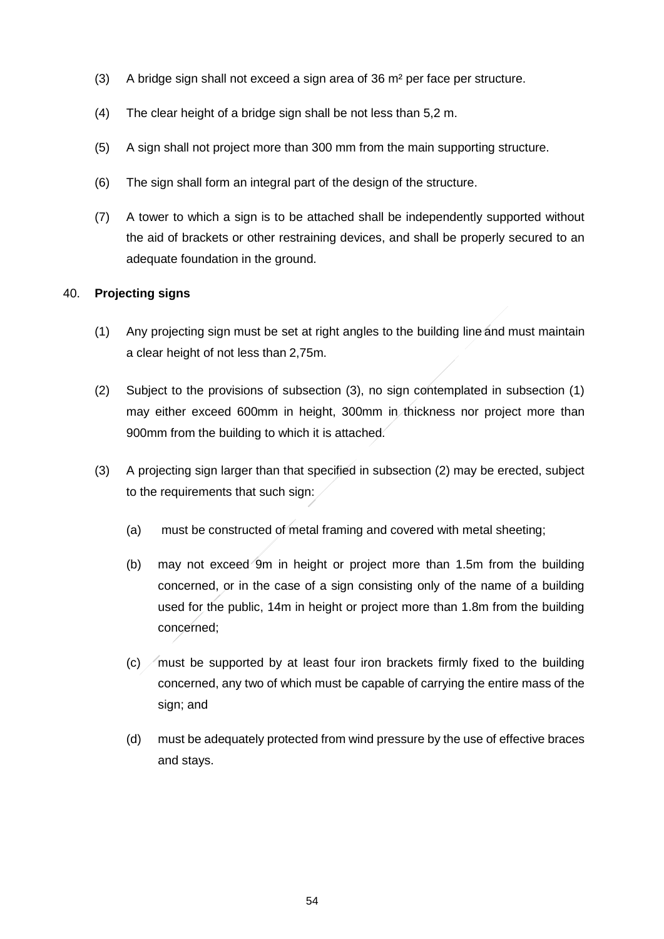- (3) A bridge sign shall not exceed a sign area of 36 m² per face per structure.
- (4) The clear height of a bridge sign shall be not less than 5,2 m.
- (5) A sign shall not project more than 300 mm from the main supporting structure.
- (6) The sign shall form an integral part of the design of the structure.
- (7) A tower to which a sign is to be attached shall be independently supported without the aid of brackets or other restraining devices, and shall be properly secured to an adequate foundation in the ground.

### 40. **Projecting signs**

- (1) Any projecting sign must be set at right angles to the building line and must maintain a clear height of not less than 2,75m.
- (2) Subject to the provisions of subsection (3), no sign contemplated in subsection (1) may either exceed 600mm in height, 300mm in thickness nor project more than 900mm from the building to which it is attached.
- (3) A projecting sign larger than that specified in subsection (2) may be erected, subject to the requirements that such sign:
	- (a) must be constructed of metal framing and covered with metal sheeting;
	- (b) may not exceed 9m in height or project more than 1.5m from the building concerned, or in the case of a sign consisting only of the name of a building used for the public, 14m in height or project more than 1.8m from the building concerned;
	- $(c)$  must be supported by at least four iron brackets firmly fixed to the building concerned, any two of which must be capable of carrying the entire mass of the sign; and
	- (d) must be adequately protected from wind pressure by the use of effective braces and stays.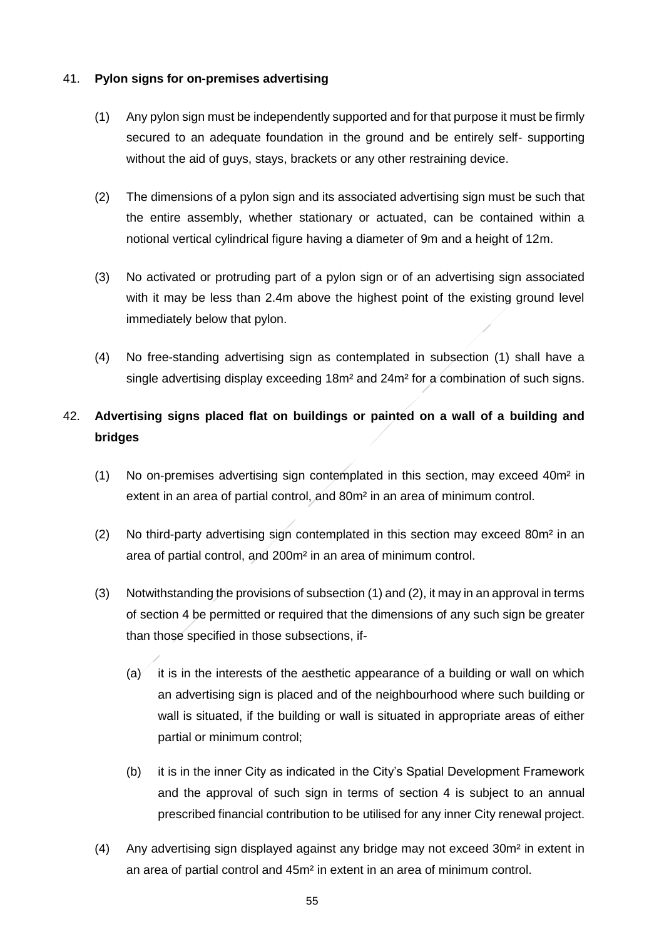### 41. **Pylon signs for on-premises advertising**

- (1) Any pylon sign must be independently supported and for that purpose it must be firmly secured to an adequate foundation in the ground and be entirely self- supporting without the aid of guys, stays, brackets or any other restraining device.
- (2) The dimensions of a pylon sign and its associated advertising sign must be such that the entire assembly, whether stationary or actuated, can be contained within a notional vertical cylindrical figure having a diameter of 9m and a height of 12m.
- (3) No activated or protruding part of a pylon sign or of an advertising sign associated with it may be less than 2.4m above the highest point of the existing ground level immediately below that pylon.
- (4) No free-standing advertising sign as contemplated in subsection (1) shall have a single advertising display exceeding 18m² and 24m² for a combination of such signs.

# 42. **Advertising signs placed flat on buildings or painted on a wall of a building and bridges**

- (1) No on-premises advertising sign contemplated in this section, may exceed 40m² in extent in an area of partial control, and 80m² in an area of minimum control.
- (2) No third-party advertising sign contemplated in this section may exceed 80m² in an area of partial control, and 200m² in an area of minimum control.
- (3) Notwithstanding the provisions of subsection (1) and (2), it may in an approval in terms of section 4 be permitted or required that the dimensions of any such sign be greater than those specified in those subsections, if-
	- $(a)$  it is in the interests of the aesthetic appearance of a building or wall on which an advertising sign is placed and of the neighbourhood where such building or wall is situated, if the building or wall is situated in appropriate areas of either partial or minimum control;
	- (b) it is in the inner City as indicated in the City's Spatial Development Framework and the approval of such sign in terms of section 4 is subject to an annual prescribed financial contribution to be utilised for any inner City renewal project.
- (4) Any advertising sign displayed against any bridge may not exceed 30m² in extent in an area of partial control and 45m² in extent in an area of minimum control.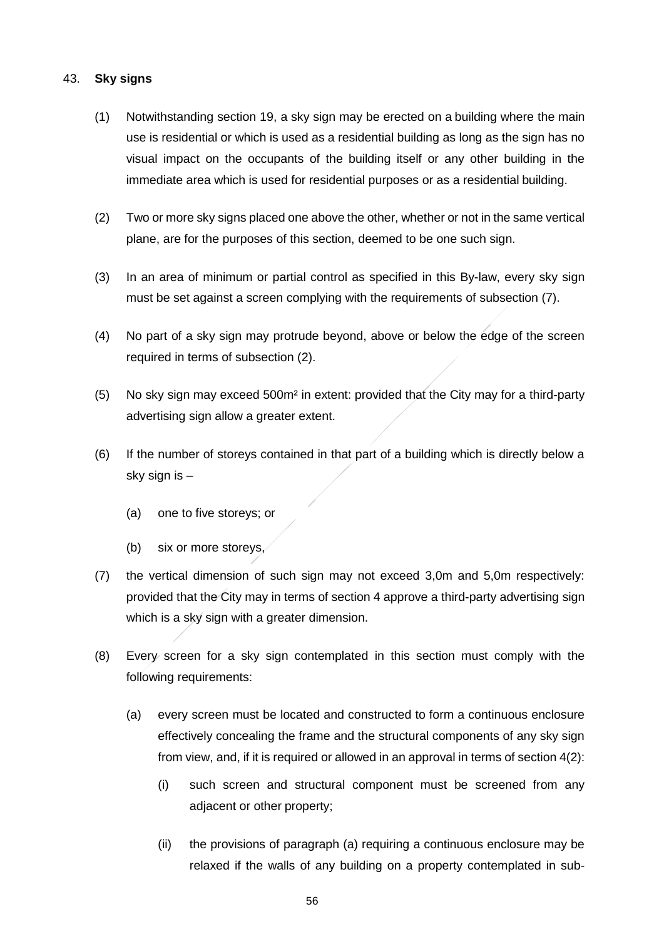### 43. **Sky signs**

- (1) Notwithstanding section 19, a sky sign may be erected on a building where the main use is residential or which is used as a residential building as long as the sign has no visual impact on the occupants of the building itself or any other building in the immediate area which is used for residential purposes or as a residential building.
- (2) Two or more sky signs placed one above the other, whether or not in the same vertical plane, are for the purposes of this section, deemed to be one such sign.
- (3) In an area of minimum or partial control as specified in this By-law, every sky sign must be set against a screen complying with the requirements of subsection (7).
- (4) No part of a sky sign may protrude beyond, above or below the edge of the screen required in terms of subsection (2).
- (5) No sky sign may exceed 500m² in extent: provided that the City may for a third-party advertising sign allow a greater extent.
- (6) If the number of storeys contained in that part of a building which is directly below a sky sign is –
	- (a) one to five storeys; or
	- (b) six or more storeys,
- (7) the vertical dimension of such sign may not exceed 3,0m and 5,0m respectively: provided that the City may in terms of section 4 approve a third-party advertising sign which is a sky sign with a greater dimension.
- (8) Every screen for a sky sign contemplated in this section must comply with the following requirements:
	- (a) every screen must be located and constructed to form a continuous enclosure effectively concealing the frame and the structural components of any sky sign from view, and, if it is required or allowed in an approval in terms of section 4(2):
		- (i) such screen and structural component must be screened from any adjacent or other property;
		- (ii) the provisions of paragraph (a) requiring a continuous enclosure may be relaxed if the walls of any building on a property contemplated in sub-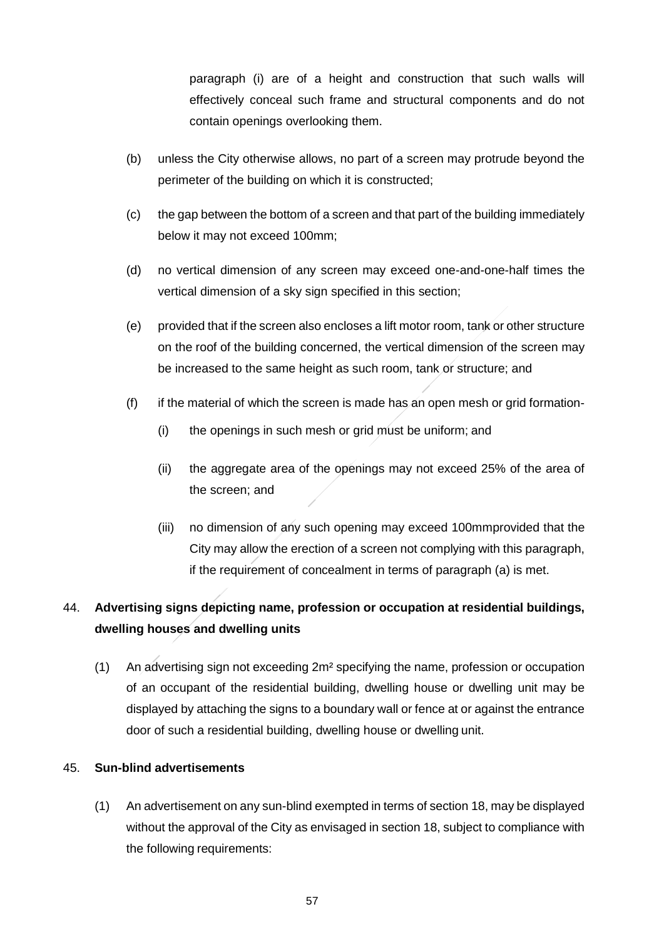paragraph (i) are of a height and construction that such walls will effectively conceal such frame and structural components and do not contain openings overlooking them.

- (b) unless the City otherwise allows, no part of a screen may protrude beyond the perimeter of the building on which it is constructed;
- (c) the gap between the bottom of a screen and that part of the building immediately below it may not exceed 100mm;
- (d) no vertical dimension of any screen may exceed one-and-one-half times the vertical dimension of a sky sign specified in this section;
- (e) provided that if the screen also encloses a lift motor room, tank or other structure on the roof of the building concerned, the vertical dimension of the screen may be increased to the same height as such room, tank or structure; and
- (f) if the material of which the screen is made has an open mesh or grid formation-
	- (i) the openings in such mesh or grid must be uniform; and
	- (ii) the aggregate area of the openings may not exceed 25% of the area of the screen; and
	- (iii) no dimension of any such opening may exceed 100mmprovided that the City may allow the erection of a screen not complying with this paragraph, if the requirement of concealment in terms of paragraph (a) is met.

# 44. **Advertising signs depicting name, profession or occupation at residential buildings, dwelling houses and dwelling units**

(1) An advertising sign not exceeding 2m² specifying the name, profession or occupation of an occupant of the residential building, dwelling house or dwelling unit may be displayed by attaching the signs to a boundary wall or fence at or against the entrance door of such a residential building, dwelling house or dwelling unit.

## 45. **Sun-blind advertisements**

(1) An advertisement on any sun-blind exempted in terms of section 18, may be displayed without the approval of the City as envisaged in section 18, subject to compliance with the following requirements: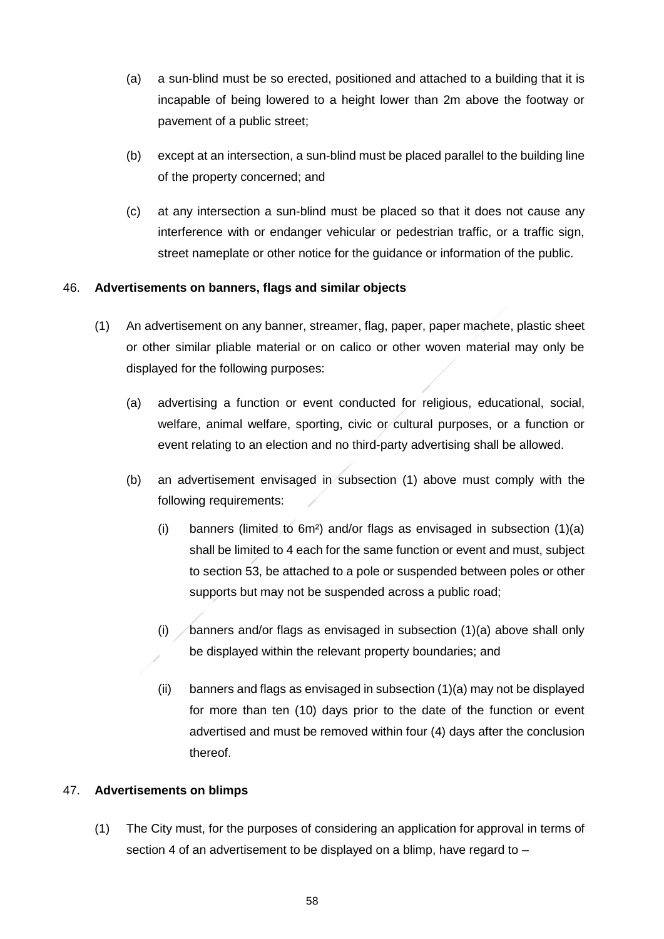- (a) a sun-blind must be so erected, positioned and attached to a building that it is incapable of being lowered to a height lower than 2m above the footway or pavement of a public street;
- (b) except at an intersection, a sun-blind must be placed parallel to the building line of the property concerned; and
- (c) at any intersection a sun-blind must be placed so that it does not cause any interference with or endanger vehicular or pedestrian traffic, or a traffic sign, street nameplate or other notice for the guidance or information of the public.

## 46. **Advertisements on banners, flags and similar objects**

- (1) An advertisement on any banner, streamer, flag, paper, paper machete, plastic sheet or other similar pliable material or on calico or other woven material may only be displayed for the following purposes:
	- (a) advertising a function or event conducted for religious, educational, social, welfare, animal welfare, sporting, civic or cultural purposes, or a function or event relating to an election and no third-party advertising shall be allowed.
	- (b) an advertisement envisaged in subsection (1) above must comply with the following requirements:
		- (i) banners (limited to  $6m^2$ ) and/or flags as envisaged in subsection  $(1)(a)$ shall be limited to 4 each for the same function or event and must, subject to section 53, be attached to a pole or suspended between poles or other supports but may not be suspended across a public road;
		- (i)  $\triangle$  banners and/or flags as envisaged in subsection (1)(a) above shall only be displayed within the relevant property boundaries; and
		- (ii) banners and flags as envisaged in subsection (1)(a) may not be displayed for more than ten (10) days prior to the date of the function or event advertised and must be removed within four (4) days after the conclusion thereof.

### 47. **Advertisements on blimps**

(1) The City must, for the purposes of considering an application for approval in terms of section 4 of an advertisement to be displayed on a blimp, have regard to -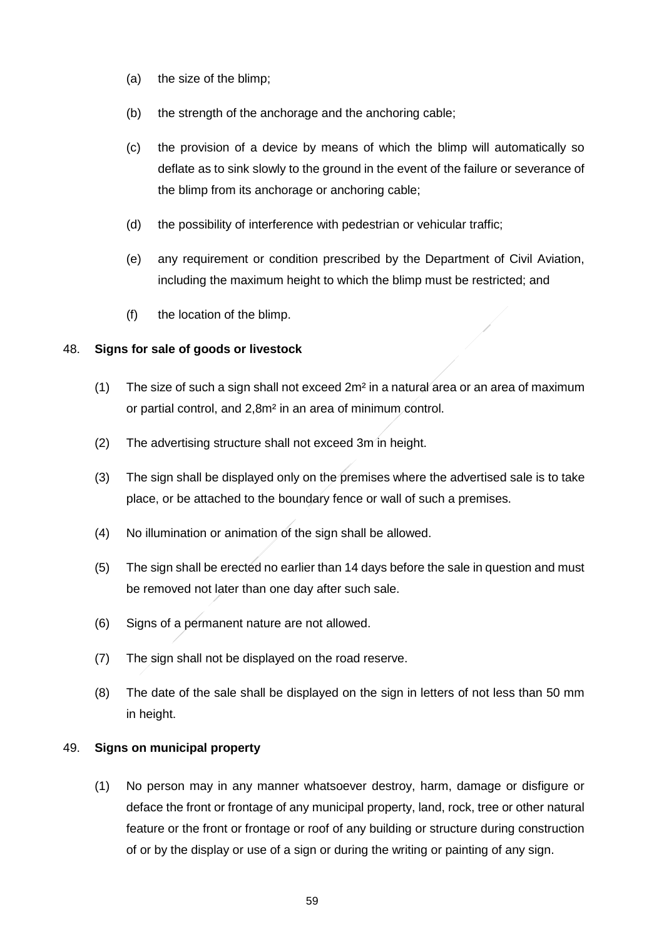- (a) the size of the blimp;
- (b) the strength of the anchorage and the anchoring cable;
- (c) the provision of a device by means of which the blimp will automatically so deflate as to sink slowly to the ground in the event of the failure or severance of the blimp from its anchorage or anchoring cable;
- (d) the possibility of interference with pedestrian or vehicular traffic;
- (e) any requirement or condition prescribed by the Department of Civil Aviation, including the maximum height to which the blimp must be restricted; and
- (f) the location of the blimp.

### 48. **Signs for sale of goods or livestock**

- (1) The size of such a sign shall not exceed  $2m<sup>2</sup>$  in a natural area or an area of maximum or partial control, and 2,8m² in an area of minimum control.
- (2) The advertising structure shall not exceed 3m in height.
- (3) The sign shall be displayed only on the premises where the advertised sale is to take place, or be attached to the boundary fence or wall of such a premises.
- (4) No illumination or animation of the sign shall be allowed.
- (5) The sign shall be erected no earlier than 14 days before the sale in question and must be removed not later than one day after such sale.
- (6) Signs of a permanent nature are not allowed.
- (7) The sign shall not be displayed on the road reserve.
- (8) The date of the sale shall be displayed on the sign in letters of not less than 50 mm in height.

### 49. **Signs on municipal property**

(1) No person may in any manner whatsoever destroy, harm, damage or disfigure or deface the front or frontage of any municipal property, land, rock, tree or other natural feature or the front or frontage or roof of any building or structure during construction of or by the display or use of a sign or during the writing or painting of any sign.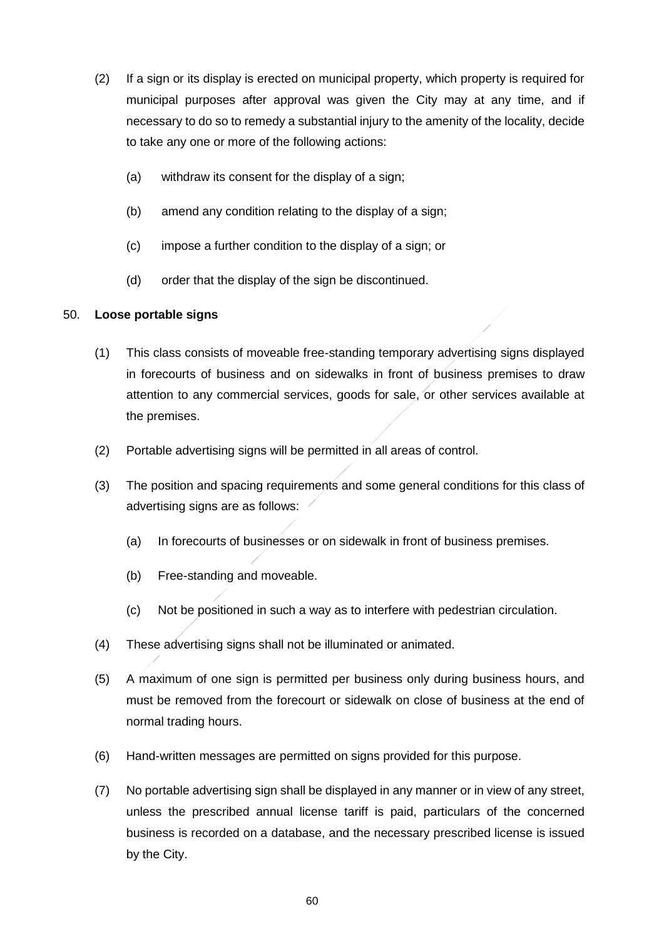- (2) If a sign or its display is erected on municipal property, which property is required for municipal purposes after approval was given the City may at any time, and if necessary to do so to remedy a substantial injury to the amenity of the locality, decide to take any one or more of the following actions:
	- (a) withdraw its consent for the display of a sign;
	- (b) amend any condition relating to the display of a sign;
	- (c) impose a further condition to the display of a sign; or
	- (d) order that the display of the sign be discontinued.

### 50. **Loose portable signs**

- (1) This class consists of moveable free-standing temporary advertising signs displayed in forecourts of business and on sidewalks in front of business premises to draw attention to any commercial services, goods for sale, or other services available at the premises.
- (2) Portable advertising signs will be permitted in all areas of control.
- (3) The position and spacing requirements and some general conditions for this class of advertising signs are as follows:
	- (a) In forecourts of businesses or on sidewalk in front of business premises.
	- (b) Free-standing and moveable.
	- (c) Not be positioned in such a way as to interfere with pedestrian circulation.
- (4) These advertising signs shall not be illuminated or animated.
- (5) A maximum of one sign is permitted per business only during business hours, and must be removed from the forecourt or sidewalk on close of business at the end of normal trading hours.
- (6) Hand-written messages are permitted on signs provided for this purpose.
- (7) No portable advertising sign shall be displayed in any manner or in view of any street, unless the prescribed annual license tariff is paid, particulars of the concerned business is recorded on a database, and the necessary prescribed license is issued by the City.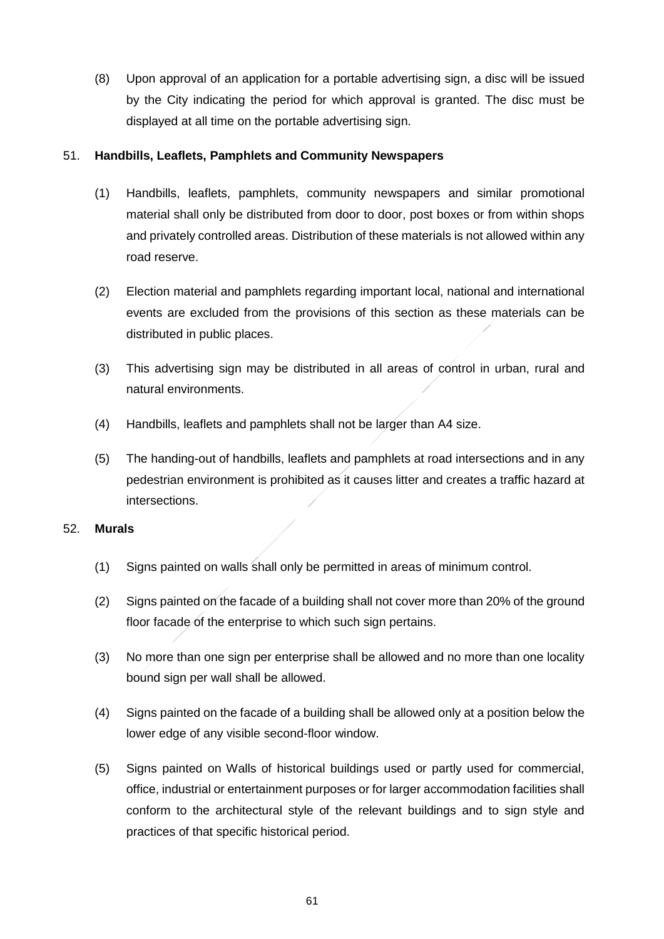(8) Upon approval of an application for a portable advertising sign, a disc will be issued by the City indicating the period for which approval is granted. The disc must be displayed at all time on the portable advertising sign.

### 51. **Handbills, Leaflets, Pamphlets and Community Newspapers**

- (1) Handbills, leaflets, pamphlets, community newspapers and similar promotional material shall only be distributed from door to door, post boxes or from within shops and privately controlled areas. Distribution of these materials is not allowed within any road reserve.
- (2) Election material and pamphlets regarding important local, national and international events are excluded from the provisions of this section as these materials can be distributed in public places.
- (3) This advertising sign may be distributed in all areas of control in urban, rural and natural environments.
- (4) Handbills, leaflets and pamphlets shall not be larger than A4 size.
- (5) The handing-out of handbills, leaflets and pamphlets at road intersections and in any pedestrian environment is prohibited as it causes litter and creates a traffic hazard at intersections.

### 52. **Murals**

- (1) Signs painted on walls shall only be permitted in areas of minimum control.
- (2) Signs painted on the facade of a building shall not cover more than 20% of the ground floor facade of the enterprise to which such sign pertains.
- (3) No more than one sign per enterprise shall be allowed and no more than one locality bound sign per wall shall be allowed.
- (4) Signs painted on the facade of a building shall be allowed only at a position below the lower edge of any visible second-floor window.
- (5) Signs painted on Walls of historical buildings used or partly used for commercial, office, industrial or entertainment purposes or for larger accommodation facilities shall conform to the architectural style of the relevant buildings and to sign style and practices of that specific historical period.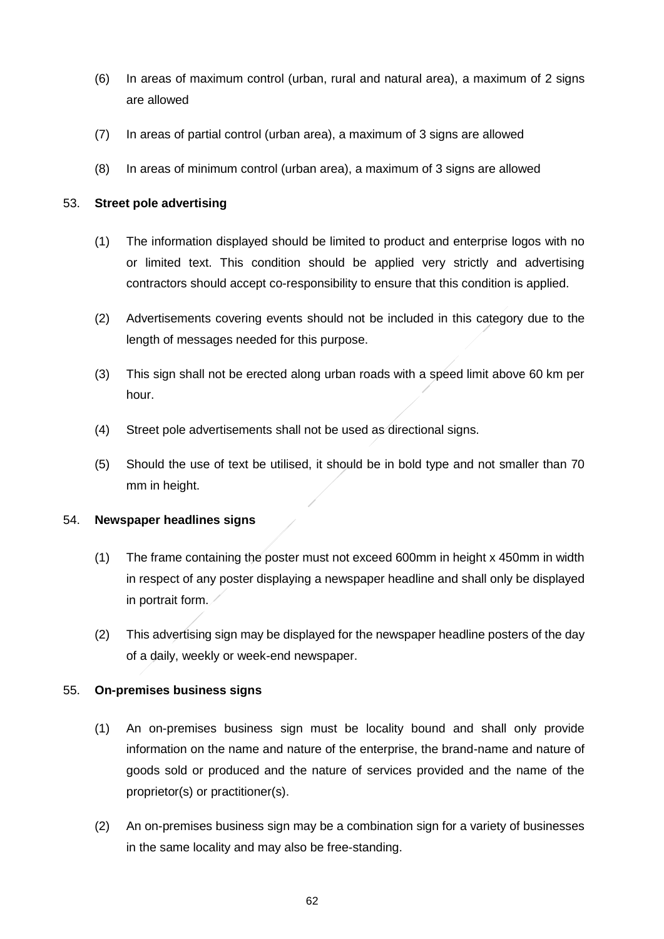- (6) In areas of maximum control (urban, rural and natural area), a maximum of 2 signs are allowed
- (7) In areas of partial control (urban area), a maximum of 3 signs are allowed
- (8) In areas of minimum control (urban area), a maximum of 3 signs are allowed

### 53. **Street pole advertising**

- (1) The information displayed should be limited to product and enterprise logos with no or limited text. This condition should be applied very strictly and advertising contractors should accept co-responsibility to ensure that this condition is applied.
- (2) Advertisements covering events should not be included in this category due to the length of messages needed for this purpose.
- (3) This sign shall not be erected along urban roads with a speed limit above 60 km per hour.
- (4) Street pole advertisements shall not be used as directional signs.
- (5) Should the use of text be utilised, it should be in bold type and not smaller than 70 mm in height.

### 54. **Newspaper headlines signs**

- (1) The frame containing the poster must not exceed 600mm in height x 450mm in width in respect of any poster displaying a newspaper headline and shall only be displayed in portrait form.
- (2) This advertising sign may be displayed for the newspaper headline posters of the day of a daily, weekly or week-end newspaper.

### 55. **On-premises business signs**

- (1) An on-premises business sign must be locality bound and shall only provide information on the name and nature of the enterprise, the brand-name and nature of goods sold or produced and the nature of services provided and the name of the proprietor(s) or practitioner(s).
- (2) An on-premises business sign may be a combination sign for a variety of businesses in the same locality and may also be free-standing.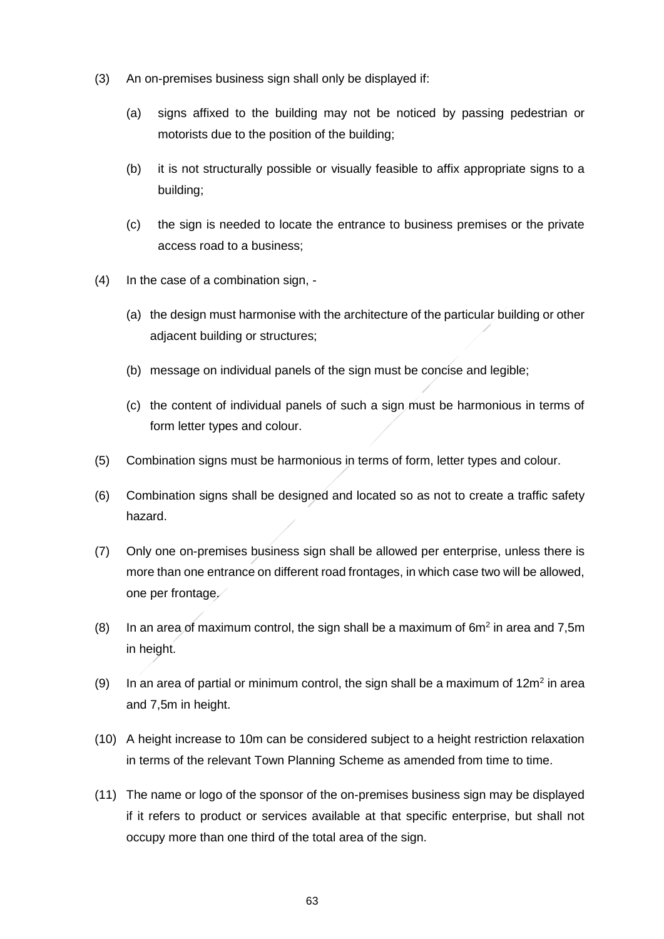- (3) An on-premises business sign shall only be displayed if:
	- (a) signs affixed to the building may not be noticed by passing pedestrian or motorists due to the position of the building;
	- (b) it is not structurally possible or visually feasible to affix appropriate signs to a building;
	- (c) the sign is needed to locate the entrance to business premises or the private access road to a business;
- (4) In the case of a combination sign,
	- (a) the design must harmonise with the architecture of the particular building or other adjacent building or structures;
	- (b) message on individual panels of the sign must be concise and legible;
	- (c) the content of individual panels of such a sign must be harmonious in terms of form letter types and colour.
- (5) Combination signs must be harmonious in terms of form, letter types and colour.
- (6) Combination signs shall be designed and located so as not to create a traffic safety hazard.
- (7) Only one on-premises business sign shall be allowed per enterprise, unless there is more than one entrance on different road frontages, in which case two will be allowed, one per frontage.
- $(8)$  In an area of maximum control, the sign shall be a maximum of 6 $m<sup>2</sup>$  in area and 7,5m in height.
- (9) In an area of partial or minimum control, the sign shall be a maximum of  $12m^2$  in area and 7,5m in height.
- (10) A height increase to 10m can be considered subject to a height restriction relaxation in terms of the relevant Town Planning Scheme as amended from time to time.
- (11) The name or logo of the sponsor of the on-premises business sign may be displayed if it refers to product or services available at that specific enterprise, but shall not occupy more than one third of the total area of the sign.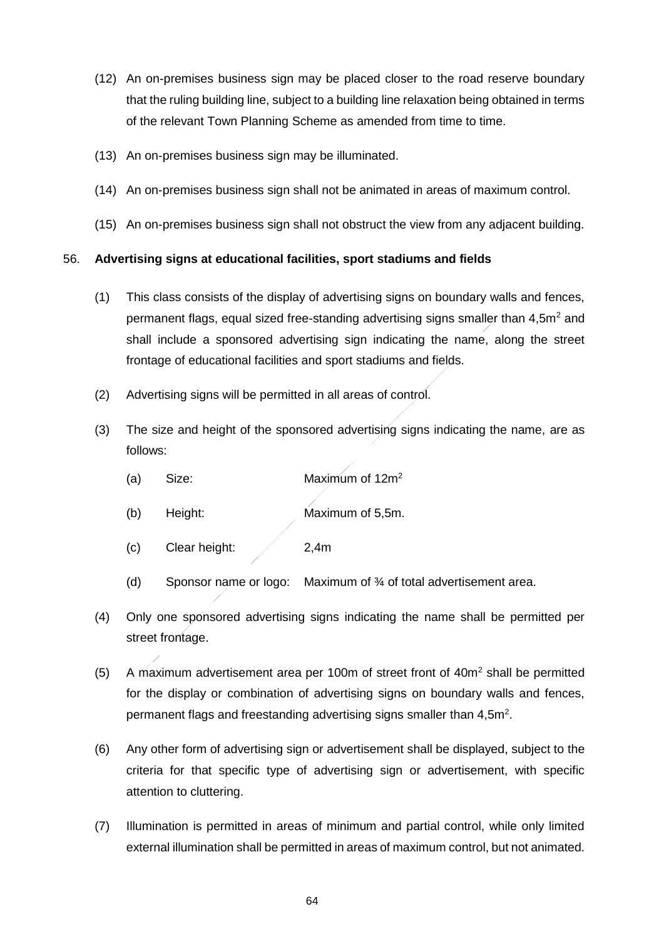- (12) An on-premises business sign may be placed closer to the road reserve boundary that the ruling building line, subject to a building line relaxation being obtained in terms of the relevant Town Planning Scheme as amended from time to time.
- (13) An on-premises business sign may be illuminated.
- (14) An on-premises business sign shall not be animated in areas of maximum control.
- (15) An on-premises business sign shall not obstruct the view from any adjacent building.

### 56. **Advertising signs at educational facilities, sport stadiums and fields**

- (1) This class consists of the display of advertising signs on boundary walls and fences, permanent flags, equal sized free-standing advertising signs smaller than  $4.5m<sup>2</sup>$  and shall include a sponsored advertising sign indicating the name, along the street frontage of educational facilities and sport stadiums and fields.
- (2) Advertising signs will be permitted in all areas of control.
- (3) The size and height of the sponsored advertising signs indicating the name, are as follows:
	- (a) Size:  $\mu$  Maximum of 12m<sup>2</sup>
	- (b) Height: Maximum of 5,5m.
	- (c) Clear height: 2,4m
	- (d) Sponsor name or logo: Maximum of  $\frac{3}{4}$  of total advertisement area.
- (4) Only one sponsored advertising signs indicating the name shall be permitted per street frontage.
- (5) A maximum advertisement area per 100m of street front of  $40m<sup>2</sup>$  shall be permitted for the display or combination of advertising signs on boundary walls and fences, permanent flags and freestanding advertising signs smaller than 4,5m<sup>2</sup>.
- (6) Any other form of advertising sign or advertisement shall be displayed, subject to the criteria for that specific type of advertising sign or advertisement, with specific attention to cluttering.
- (7) Illumination is permitted in areas of minimum and partial control, while only limited external illumination shall be permitted in areas of maximum control, but not animated.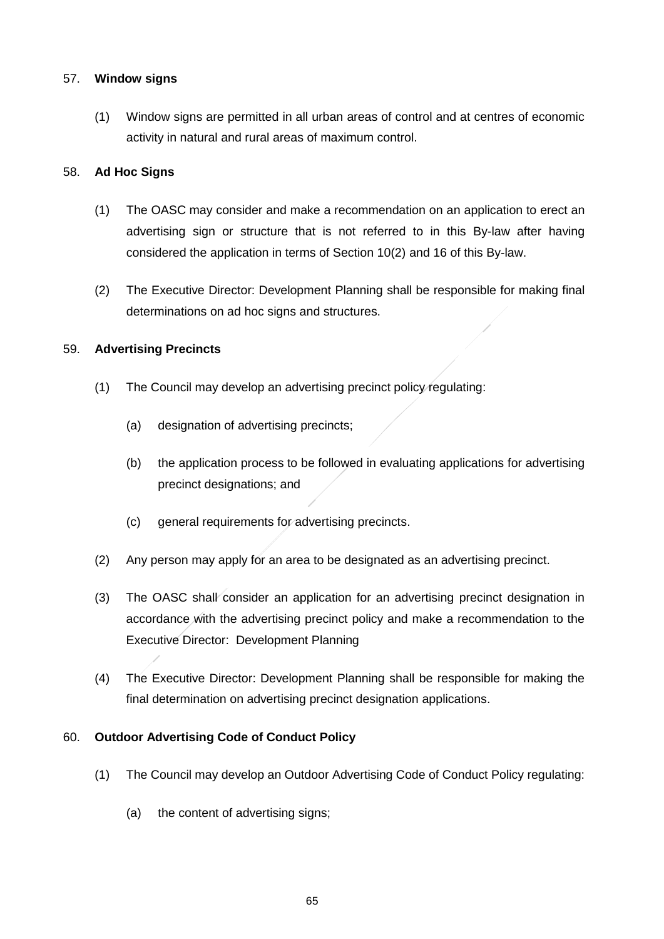### 57. **Window signs**

(1) Window signs are permitted in all urban areas of control and at centres of economic activity in natural and rural areas of maximum control.

### 58. **Ad Hoc Signs**

- (1) The OASC may consider and make a recommendation on an application to erect an advertising sign or structure that is not referred to in this By-law after having considered the application in terms of Section 10(2) and 16 of this By-law.
- (2) The Executive Director: Development Planning shall be responsible for making final determinations on ad hoc signs and structures.

### 59. **Advertising Precincts**

- (1) The Council may develop an advertising precinct policy regulating:
	- (a) designation of advertising precincts;
	- (b) the application process to be followed in evaluating applications for advertising precinct designations; and
	- (c) general requirements for advertising precincts.
- (2) Any person may apply for an area to be designated as an advertising precinct.
- (3) The OASC shall consider an application for an advertising precinct designation in accordance with the advertising precinct policy and make a recommendation to the Executive Director: Development Planning
- (4) The Executive Director: Development Planning shall be responsible for making the final determination on advertising precinct designation applications.

### 60. **Outdoor Advertising Code of Conduct Policy**

- (1) The Council may develop an Outdoor Advertising Code of Conduct Policy regulating:
	- (a) the content of advertising signs;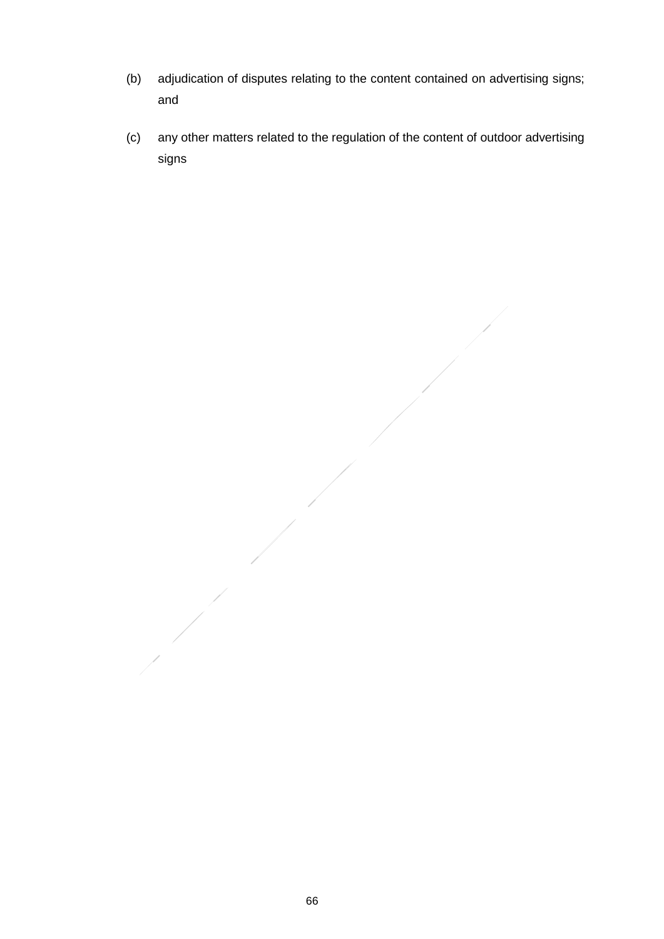- (b) adjudication of disputes relating to the content contained on advertising signs; and
- (c) any other matters related to the regulation of the content of outdoor advertising signs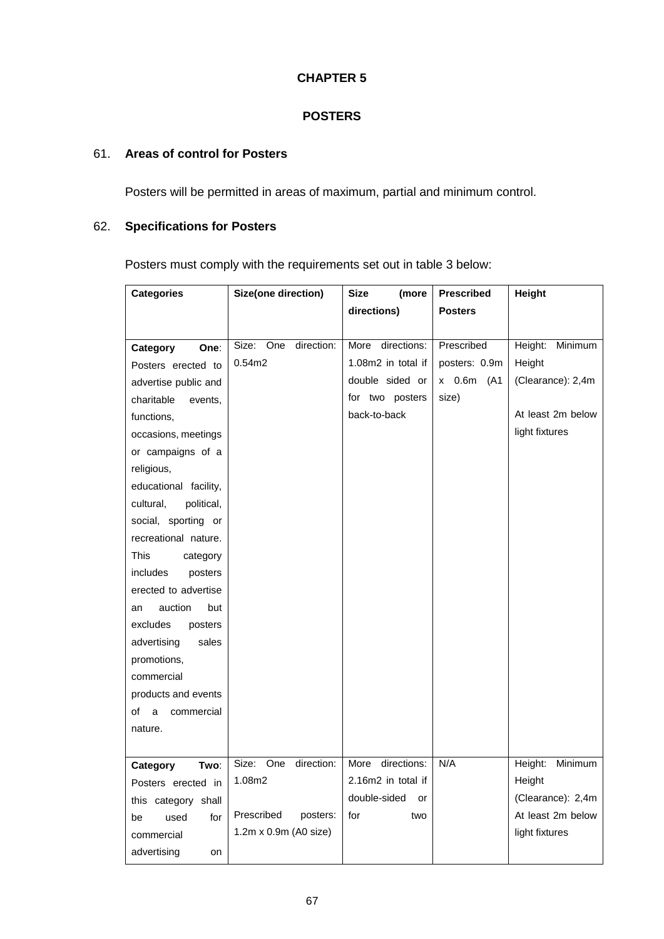### **CHAPTER 5**

### **POSTERS**

### 61. **Areas of control for Posters**

Posters will be permitted in areas of maximum, partial and minimum control.

## 62. **Specifications for Posters**

Posters must comply with the requirements set out in table 3 below:

| <b>Categories</b>       | Size(one direction)        | <b>Size</b><br>(more | <b>Prescribed</b> | Height             |
|-------------------------|----------------------------|----------------------|-------------------|--------------------|
|                         |                            | directions)          | <b>Posters</b>    |                    |
|                         |                            |                      |                   |                    |
| Category<br>One:        | direction:<br>Size:<br>One | directions:<br>More  | Prescribed        | Height:<br>Minimum |
| Posters erected to      | 0.54m2                     | 1.08m2 in total if   | posters: 0.9m     | Height             |
| advertise public and    |                            | double sided or      | x 0.6m<br>(A1     | (Clearance): 2,4m  |
| charitable<br>events,   |                            | for two posters      | size)             |                    |
| functions,              |                            | back-to-back         |                   | At least 2m below  |
| occasions, meetings     |                            |                      |                   | light fixtures     |
| or campaigns of a       |                            |                      |                   |                    |
| religious,              |                            |                      |                   |                    |
| educational facility,   |                            |                      |                   |                    |
| cultural,<br>political, |                            |                      |                   |                    |
| social, sporting or     |                            |                      |                   |                    |
| recreational nature.    |                            |                      |                   |                    |
| This<br>category        |                            |                      |                   |                    |
| includes<br>posters     |                            |                      |                   |                    |
| erected to advertise    |                            |                      |                   |                    |
| auction<br>but<br>an    |                            |                      |                   |                    |
| excludes<br>posters     |                            |                      |                   |                    |
| advertising<br>sales    |                            |                      |                   |                    |
| promotions,             |                            |                      |                   |                    |
| commercial              |                            |                      |                   |                    |
| products and events     |                            |                      |                   |                    |
| commercial<br>of a      |                            |                      |                   |                    |
| nature.                 |                            |                      |                   |                    |
|                         |                            |                      |                   |                    |
| Two:<br>Category        | One<br>direction:<br>Size: | directions:<br>More  | N/A               | Height:<br>Minimum |
| Posters erected in      | 1.08m2                     | 2.16m2 in total if   |                   | Height             |
| this category shall     |                            | double-sided<br>or   |                   | (Clearance): 2,4m  |
| used<br>for<br>be       | Prescribed<br>posters:     | for<br>two           |                   | At least 2m below  |
| commercial              | 1.2m x 0.9m (A0 size)      |                      |                   | light fixtures     |
| advertising<br>on       |                            |                      |                   |                    |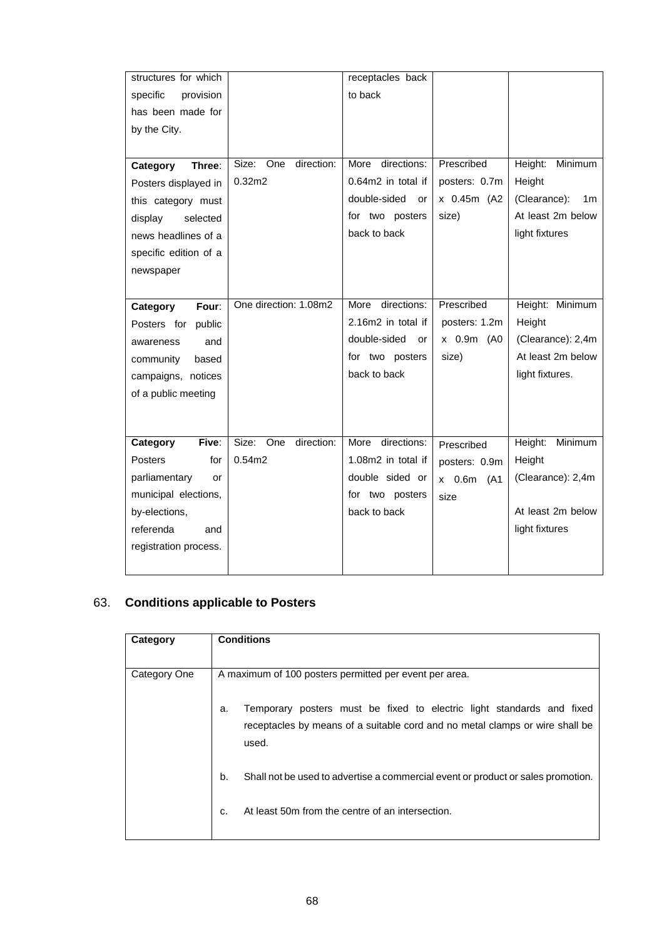| structures for which  |                         | receptacles back    |               |                                |
|-----------------------|-------------------------|---------------------|---------------|--------------------------------|
| provision<br>specific |                         | to back             |               |                                |
| has been made for     |                         |                     |               |                                |
| by the City.          |                         |                     |               |                                |
|                       |                         |                     |               |                                |
| Category<br>Three:    | direction:<br>Size: One | directions:<br>More | Prescribed    | Height:<br>Minimum             |
| Posters displayed in  | 0.32 <sub>m2</sub>      | 0.64m2 in total if  | posters: 0.7m | Height                         |
| this category must    |                         | double-sided<br>or  | x 0.45m (A2   | (Clearance):<br>1 <sub>m</sub> |
| selected<br>display   |                         | for two posters     | size)         | At least 2m below              |
| news headlines of a   |                         | back to back        |               | light fixtures                 |
| specific edition of a |                         |                     |               |                                |
| newspaper             |                         |                     |               |                                |
|                       |                         |                     |               |                                |
| Four:<br>Category     | One direction: 1.08m2   | directions:<br>More | Prescribed    | Height: Minimum                |
| Posters for public    |                         | 2.16m2 in total if  | posters: 1.2m | Height                         |
| and<br>awareness      |                         | double-sided<br>or  | x 0.9m (A0    | (Clearance): 2,4m              |
| community<br>based    |                         | for two posters     | size)         | At least 2m below              |
| campaigns, notices    |                         | back to back        |               | light fixtures.                |
| of a public meeting   |                         |                     |               |                                |
|                       |                         |                     |               |                                |
|                       |                         |                     |               |                                |
| Five:<br>Category     | direction:<br>Size: One | directions:<br>More | Prescribed    | Height:<br>Minimum             |
| for<br>Posters        | 0.54m2                  | 1.08m2 in total if  | posters: 0.9m | Height                         |
| parliamentary<br>or   |                         | double sided or     | x 0.6m (A1    | (Clearance): 2,4m              |
| municipal elections,  |                         | for two posters     | size          |                                |
| by-elections,         |                         | back to back        |               | At least 2m below              |
| referenda<br>and      |                         |                     |               | light fixtures                 |
| registration process. |                         |                     |               |                                |
|                       |                         |                     |               |                                |

## 63. **Conditions applicable to Posters**

| Category     | <b>Conditions</b>                                                                                                                                                    |  |  |
|--------------|----------------------------------------------------------------------------------------------------------------------------------------------------------------------|--|--|
|              |                                                                                                                                                                      |  |  |
| Category One | A maximum of 100 posters permitted per event per area.                                                                                                               |  |  |
|              | Temporary posters must be fixed to electric light standards and fixed<br>a.<br>receptacles by means of a suitable cord and no metal clamps or wire shall be<br>used. |  |  |
|              | b.<br>Shall not be used to advertise a commercial event or product or sales promotion.                                                                               |  |  |
|              | At least 50m from the centre of an intersection.<br>C.                                                                                                               |  |  |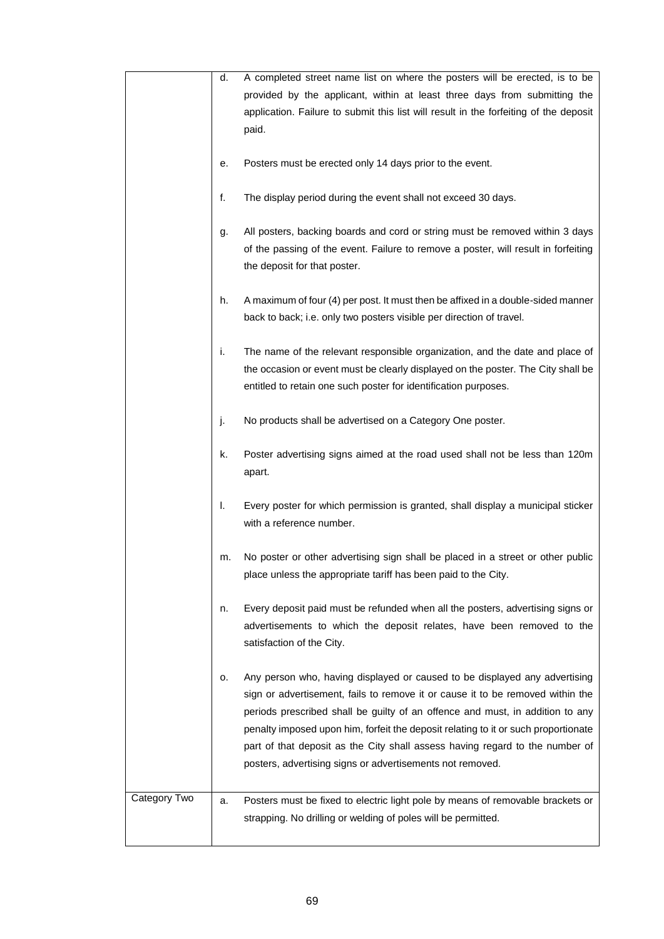|              | d. | A completed street name list on where the posters will be erected, is to be                                                                                                                                                                                                                                                                                                                                                                                                      |
|--------------|----|----------------------------------------------------------------------------------------------------------------------------------------------------------------------------------------------------------------------------------------------------------------------------------------------------------------------------------------------------------------------------------------------------------------------------------------------------------------------------------|
|              |    | provided by the applicant, within at least three days from submitting the                                                                                                                                                                                                                                                                                                                                                                                                        |
|              |    | application. Failure to submit this list will result in the forfeiting of the deposit                                                                                                                                                                                                                                                                                                                                                                                            |
|              |    | paid.                                                                                                                                                                                                                                                                                                                                                                                                                                                                            |
|              |    |                                                                                                                                                                                                                                                                                                                                                                                                                                                                                  |
|              | е. | Posters must be erected only 14 days prior to the event.                                                                                                                                                                                                                                                                                                                                                                                                                         |
|              | f. | The display period during the event shall not exceed 30 days.                                                                                                                                                                                                                                                                                                                                                                                                                    |
|              | g. | All posters, backing boards and cord or string must be removed within 3 days<br>of the passing of the event. Failure to remove a poster, will result in forfeiting                                                                                                                                                                                                                                                                                                               |
|              |    | the deposit for that poster.                                                                                                                                                                                                                                                                                                                                                                                                                                                     |
|              | h. | A maximum of four (4) per post. It must then be affixed in a double-sided manner<br>back to back; i.e. only two posters visible per direction of travel.                                                                                                                                                                                                                                                                                                                         |
|              | i. | The name of the relevant responsible organization, and the date and place of                                                                                                                                                                                                                                                                                                                                                                                                     |
|              |    | the occasion or event must be clearly displayed on the poster. The City shall be                                                                                                                                                                                                                                                                                                                                                                                                 |
|              |    | entitled to retain one such poster for identification purposes.                                                                                                                                                                                                                                                                                                                                                                                                                  |
|              |    |                                                                                                                                                                                                                                                                                                                                                                                                                                                                                  |
|              | j. | No products shall be advertised on a Category One poster.                                                                                                                                                                                                                                                                                                                                                                                                                        |
|              | k. | Poster advertising signs aimed at the road used shall not be less than 120m<br>apart.                                                                                                                                                                                                                                                                                                                                                                                            |
|              | I. | Every poster for which permission is granted, shall display a municipal sticker<br>with a reference number.                                                                                                                                                                                                                                                                                                                                                                      |
|              | m. | No poster or other advertising sign shall be placed in a street or other public<br>place unless the appropriate tariff has been paid to the City.                                                                                                                                                                                                                                                                                                                                |
|              | n. | Every deposit paid must be refunded when all the posters, advertising signs or<br>advertisements to which the deposit relates, have been removed to the<br>satisfaction of the City.                                                                                                                                                                                                                                                                                             |
|              | о. | Any person who, having displayed or caused to be displayed any advertising<br>sign or advertisement, fails to remove it or cause it to be removed within the<br>periods prescribed shall be guilty of an offence and must, in addition to any<br>penalty imposed upon him, forfeit the deposit relating to it or such proportionate<br>part of that deposit as the City shall assess having regard to the number of<br>posters, advertising signs or advertisements not removed. |
| Category Two | a. | Posters must be fixed to electric light pole by means of removable brackets or                                                                                                                                                                                                                                                                                                                                                                                                   |
|              |    | strapping. No drilling or welding of poles will be permitted.                                                                                                                                                                                                                                                                                                                                                                                                                    |
|              |    |                                                                                                                                                                                                                                                                                                                                                                                                                                                                                  |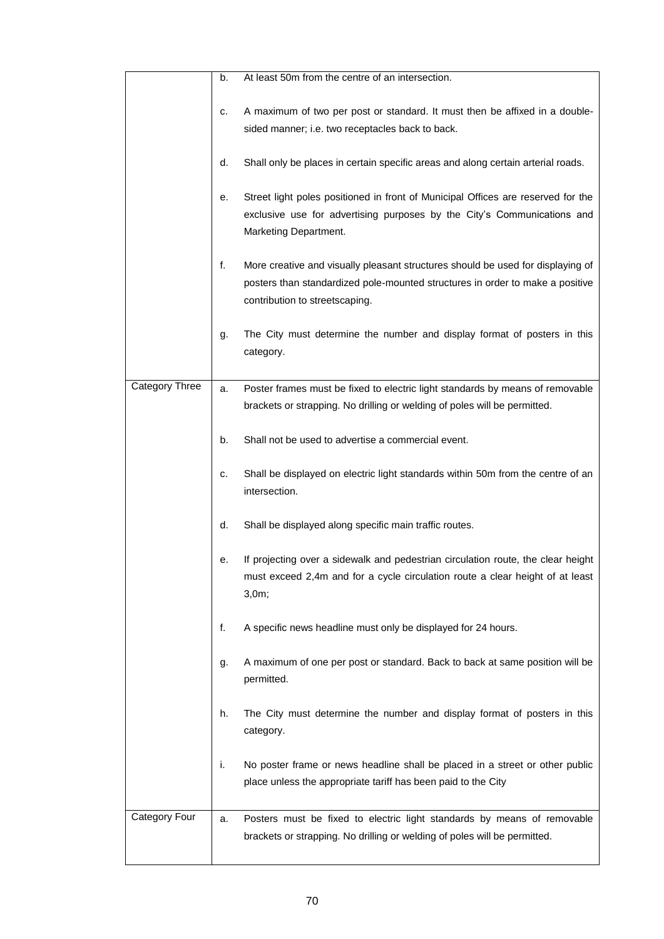|                       | b. | At least 50m from the centre of an intersection.                                                                                                                                                   |
|-----------------------|----|----------------------------------------------------------------------------------------------------------------------------------------------------------------------------------------------------|
|                       | c. | A maximum of two per post or standard. It must then be affixed in a double-<br>sided manner; i.e. two receptacles back to back.                                                                    |
|                       | d. | Shall only be places in certain specific areas and along certain arterial roads.                                                                                                                   |
|                       | е. | Street light poles positioned in front of Municipal Offices are reserved for the<br>exclusive use for advertising purposes by the City's Communications and<br>Marketing Department.               |
|                       | f. | More creative and visually pleasant structures should be used for displaying of<br>posters than standardized pole-mounted structures in order to make a positive<br>contribution to streetscaping. |
|                       | g. | The City must determine the number and display format of posters in this<br>category.                                                                                                              |
| <b>Category Three</b> | a. | Poster frames must be fixed to electric light standards by means of removable<br>brackets or strapping. No drilling or welding of poles will be permitted.                                         |
|                       | b. | Shall not be used to advertise a commercial event.                                                                                                                                                 |
|                       | c. | Shall be displayed on electric light standards within 50m from the centre of an<br>intersection.                                                                                                   |
|                       | d. | Shall be displayed along specific main traffic routes.                                                                                                                                             |
|                       | е. | If projecting over a sidewalk and pedestrian circulation route, the clear height<br>must exceed 2,4m and for a cycle circulation route a clear height of at least<br>3,0m;                         |
|                       | f. | A specific news headline must only be displayed for 24 hours.                                                                                                                                      |
|                       | g. | A maximum of one per post or standard. Back to back at same position will be<br>permitted.                                                                                                         |
|                       | h. | The City must determine the number and display format of posters in this<br>category.                                                                                                              |
|                       | i. | No poster frame or news headline shall be placed in a street or other public<br>place unless the appropriate tariff has been paid to the City                                                      |
| Category Four         | a. | Posters must be fixed to electric light standards by means of removable<br>brackets or strapping. No drilling or welding of poles will be permitted.                                               |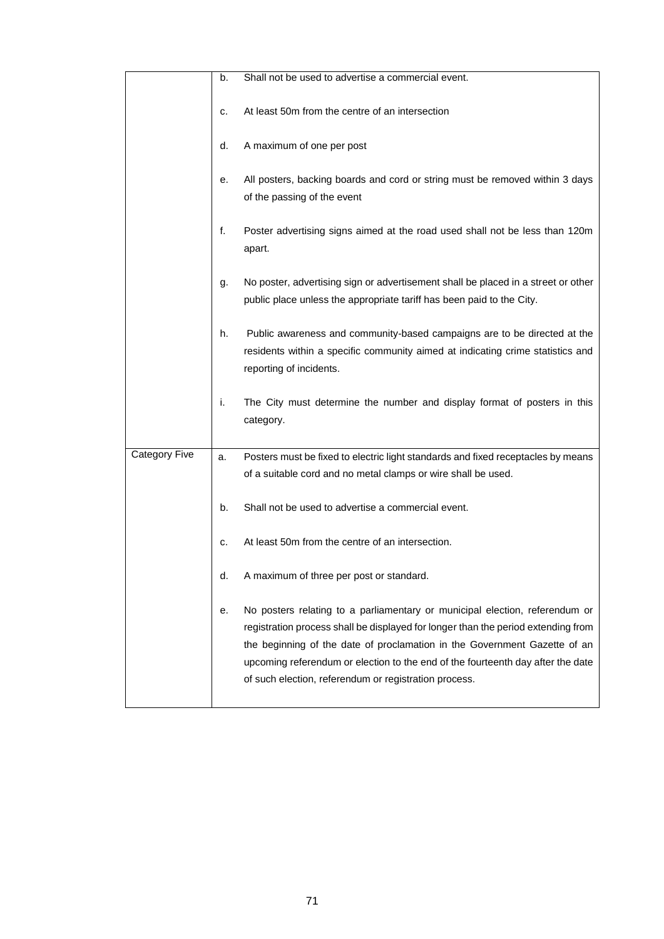|                      | b. | Shall not be used to advertise a commercial event.                                                                                                                                                                                                                                                                                                                                        |
|----------------------|----|-------------------------------------------------------------------------------------------------------------------------------------------------------------------------------------------------------------------------------------------------------------------------------------------------------------------------------------------------------------------------------------------|
|                      | c. | At least 50m from the centre of an intersection                                                                                                                                                                                                                                                                                                                                           |
|                      | d. | A maximum of one per post                                                                                                                                                                                                                                                                                                                                                                 |
|                      | е. | All posters, backing boards and cord or string must be removed within 3 days<br>of the passing of the event                                                                                                                                                                                                                                                                               |
|                      | f. | Poster advertising signs aimed at the road used shall not be less than 120m<br>apart.                                                                                                                                                                                                                                                                                                     |
|                      | g. | No poster, advertising sign or advertisement shall be placed in a street or other<br>public place unless the appropriate tariff has been paid to the City.                                                                                                                                                                                                                                |
|                      | h. | Public awareness and community-based campaigns are to be directed at the<br>residents within a specific community aimed at indicating crime statistics and<br>reporting of incidents.                                                                                                                                                                                                     |
|                      | i. | The City must determine the number and display format of posters in this<br>category.                                                                                                                                                                                                                                                                                                     |
| <b>Category Five</b> | a. | Posters must be fixed to electric light standards and fixed receptacles by means                                                                                                                                                                                                                                                                                                          |
|                      |    | of a suitable cord and no metal clamps or wire shall be used.                                                                                                                                                                                                                                                                                                                             |
|                      | b. | Shall not be used to advertise a commercial event.                                                                                                                                                                                                                                                                                                                                        |
|                      | c. | At least 50m from the centre of an intersection.                                                                                                                                                                                                                                                                                                                                          |
|                      | d. | A maximum of three per post or standard.                                                                                                                                                                                                                                                                                                                                                  |
|                      | е. | No posters relating to a parliamentary or municipal election, referendum or<br>registration process shall be displayed for longer than the period extending from<br>the beginning of the date of proclamation in the Government Gazette of an<br>upcoming referendum or election to the end of the fourteenth day after the date<br>of such election, referendum or registration process. |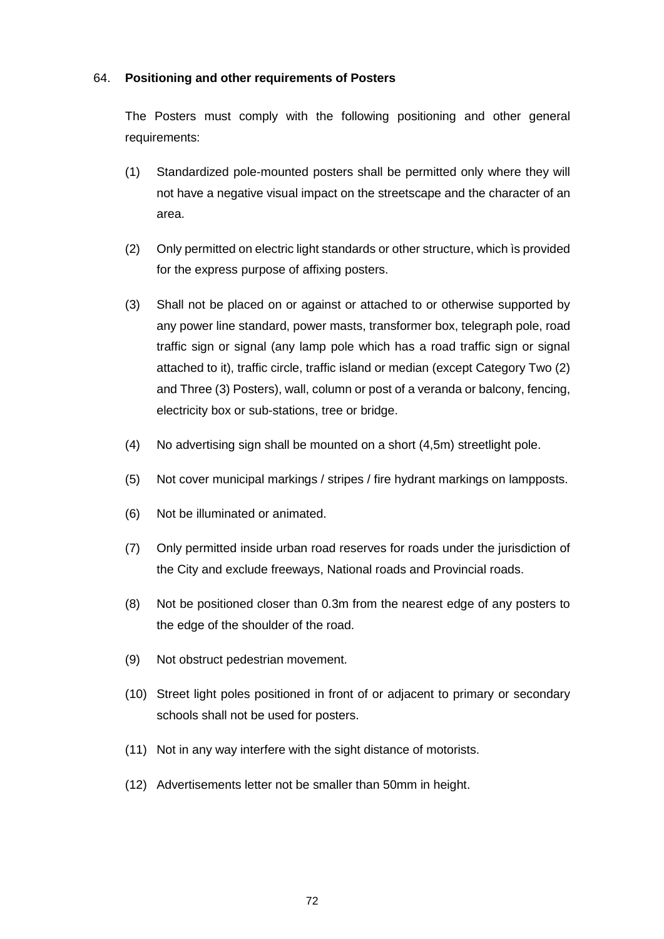### 64. **Positioning and other requirements of Posters**

The Posters must comply with the following positioning and other general requirements:

- (1) Standardized pole-mounted posters shall be permitted only where they will not have a negative visual impact on the streetscape and the character of an area.
- (2) Only permitted on electric light standards or other structure, which ìs provided for the express purpose of affixing posters.
- (3) Shall not be placed on or against or attached to or otherwise supported by any power line standard, power masts, transformer box, telegraph pole, road traffic sign or signal (any lamp pole which has a road traffic sign or signal attached to it), traffic circle, traffic island or median (except Category Two (2) and Three (3) Posters), wall, column or post of a veranda or balcony, fencing, electricity box or sub-stations, tree or bridge.
- (4) No advertising sign shall be mounted on a short (4,5m) streetlight pole.
- (5) Not cover municipal markings / stripes / fire hydrant markings on lampposts.
- (6) Not be illuminated or animated.
- (7) Only permitted inside urban road reserves for roads under the jurisdiction of the City and exclude freeways, National roads and Provincial roads.
- (8) Not be positioned closer than 0.3m from the nearest edge of any posters to the edge of the shoulder of the road.
- (9) Not obstruct pedestrian movement.
- (10) Street light poles positioned in front of or adjacent to primary or secondary schools shall not be used for posters.
- (11) Not in any way interfere with the sight distance of motorists.
- (12) Advertisements letter not be smaller than 50mm in height.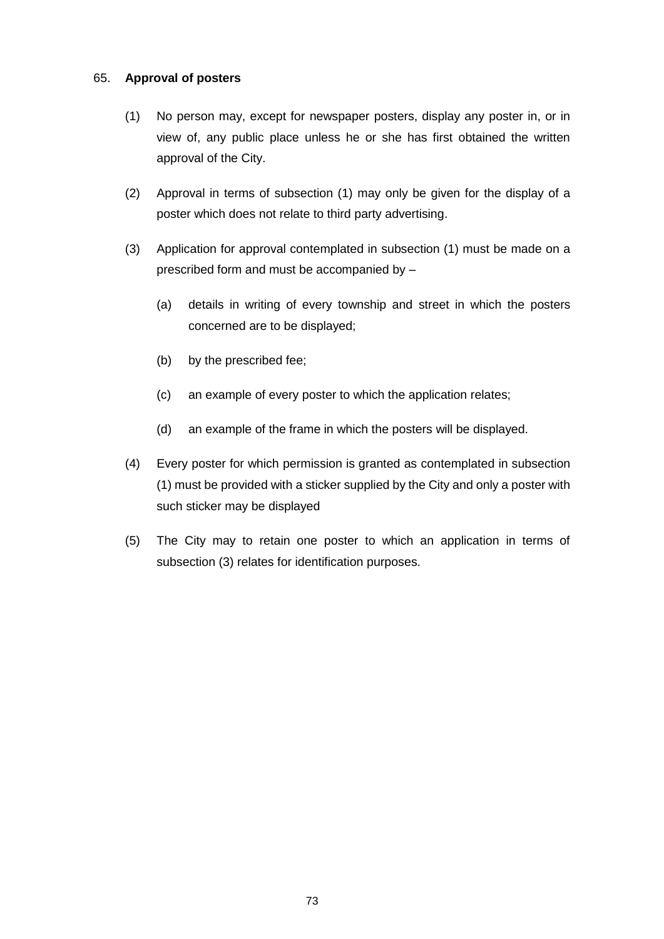#### 65. **Approval of posters**

- (1) No person may, except for newspaper posters, display any poster in, or in view of, any public place unless he or she has first obtained the written approval of the City.
- (2) Approval in terms of subsection (1) may only be given for the display of a poster which does not relate to third party advertising.
- (3) Application for approval contemplated in subsection (1) must be made on a prescribed form and must be accompanied by –
	- (a) details in writing of every township and street in which the posters concerned are to be displayed;
	- (b) by the prescribed fee;
	- (c) an example of every poster to which the application relates;
	- (d) an example of the frame in which the posters will be displayed.
- (4) Every poster for which permission is granted as contemplated in subsection (1) must be provided with a sticker supplied by the City and only a poster with such sticker may be displayed
- (5) The City may to retain one poster to which an application in terms of subsection (3) relates for identification purposes.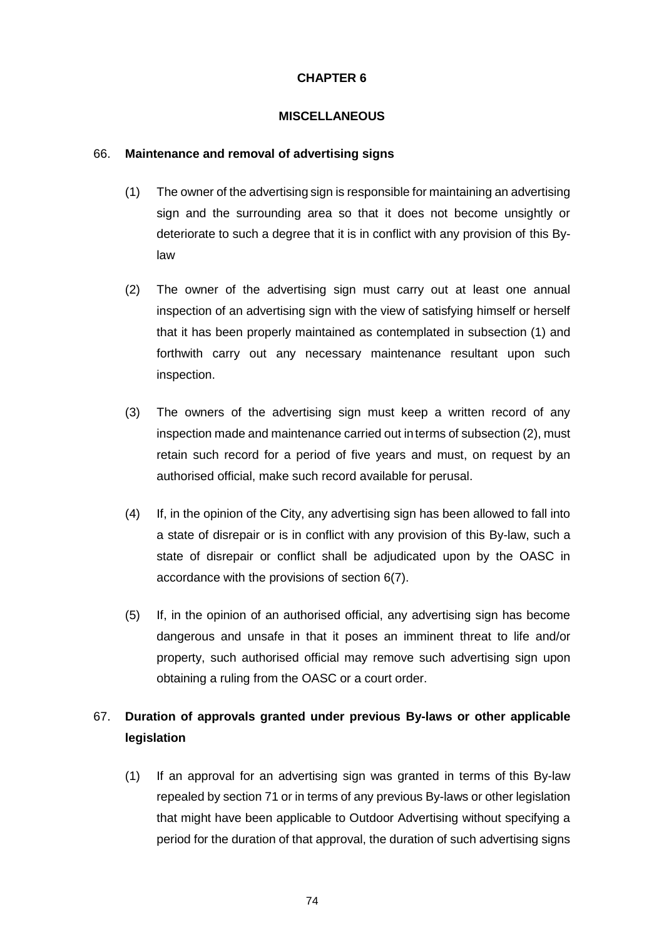# **CHAPTER 6**

#### **MISCELLANEOUS**

#### 66. **Maintenance and removal of advertising signs**

- (1) The owner of the advertising sign is responsible for maintaining an advertising sign and the surrounding area so that it does not become unsightly or deteriorate to such a degree that it is in conflict with any provision of this Bylaw
- (2) The owner of the advertising sign must carry out at least one annual inspection of an advertising sign with the view of satisfying himself or herself that it has been properly maintained as contemplated in subsection (1) and forthwith carry out any necessary maintenance resultant upon such inspection.
- (3) The owners of the advertising sign must keep a written record of any inspection made and maintenance carried out interms of subsection (2), must retain such record for a period of five years and must, on request by an authorised official, make such record available for perusal.
- (4) If, in the opinion of the City, any advertising sign has been allowed to fall into a state of disrepair or is in conflict with any provision of this By-law, such a state of disrepair or conflict shall be adjudicated upon by the OASC in accordance with the provisions of section 6(7).
- (5) If, in the opinion of an authorised official, any advertising sign has become dangerous and unsafe in that it poses an imminent threat to life and/or property, such authorised official may remove such advertising sign upon obtaining a ruling from the OASC or a court order.

# 67. **Duration of approvals granted under previous By-laws or other applicable legislation**

(1) If an approval for an advertising sign was granted in terms of this By-law repealed by section 71 or in terms of any previous By-laws or other legislation that might have been applicable to Outdoor Advertising without specifying a period for the duration of that approval, the duration of such advertising signs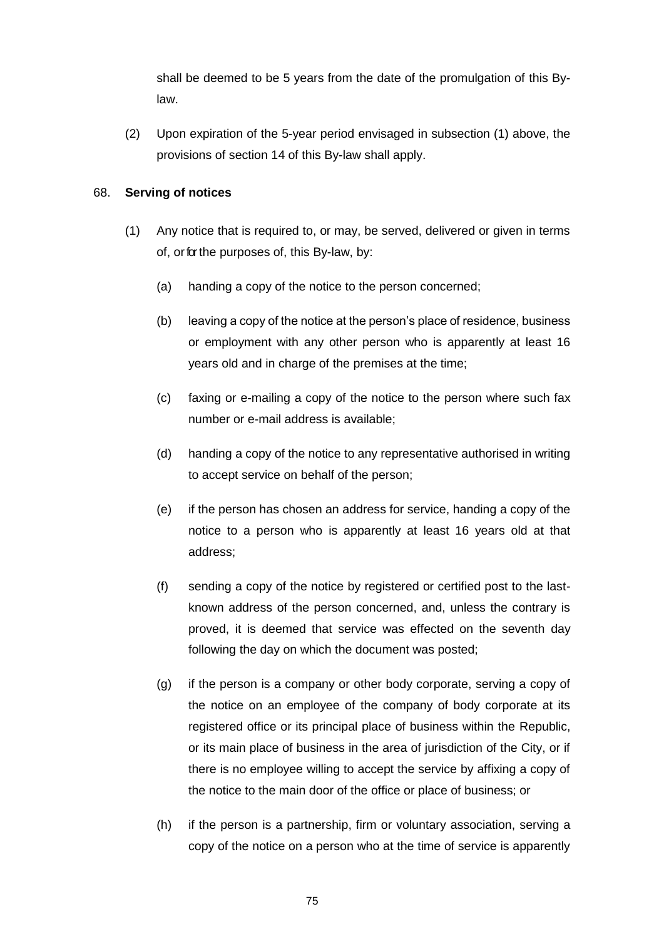shall be deemed to be 5 years from the date of the promulgation of this Bylaw.

(2) Upon expiration of the 5-year period envisaged in subsection (1) above, the provisions of section 14 of this By-law shall apply.

# 68. **Serving of notices**

- (1) Any notice that is required to, or may, be served, delivered or given in terms of, orforthe purposes of, this By-law, by:
	- (a) handing a copy of the notice to the person concerned;
	- (b) leaving a copy of the notice at the person's place of residence, business or employment with any other person who is apparently at least 16 years old and in charge of the premises at the time;
	- (c) faxing or e-mailing a copy of the notice to the person where such fax number or e-mail address is available;
	- (d) handing a copy of the notice to any representative authorised in writing to accept service on behalf of the person;
	- (e) if the person has chosen an address for service, handing a copy of the notice to a person who is apparently at least 16 years old at that address;
	- (f) sending a copy of the notice by registered or certified post to the lastknown address of the person concerned, and, unless the contrary is proved, it is deemed that service was effected on the seventh day following the day on which the document was posted;
	- (g) if the person is a company or other body corporate, serving a copy of the notice on an employee of the company of body corporate at its registered office or its principal place of business within the Republic, or its main place of business in the area of jurisdiction of the City, or if there is no employee willing to accept the service by affixing a copy of the notice to the main door of the office or place of business; or
	- (h) if the person is a partnership, firm or voluntary association, serving a copy of the notice on a person who at the time of service is apparently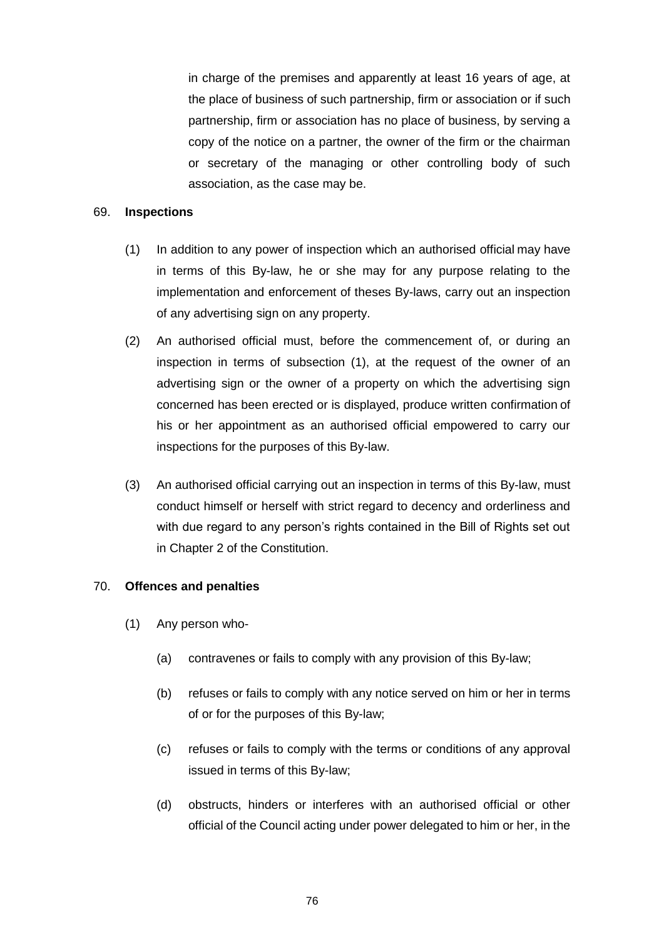in charge of the premises and apparently at least 16 years of age, at the place of business of such partnership, firm or association or if such partnership, firm or association has no place of business, by serving a copy of the notice on a partner, the owner of the firm or the chairman or secretary of the managing or other controlling body of such association, as the case may be.

#### 69. **Inspections**

- (1) In addition to any power of inspection which an authorised official may have in terms of this By-law, he or she may for any purpose relating to the implementation and enforcement of theses By-laws, carry out an inspection of any advertising sign on any property.
- (2) An authorised official must, before the commencement of, or during an inspection in terms of subsection (1), at the request of the owner of an advertising sign or the owner of a property on which the advertising sign concerned has been erected or is displayed, produce written confirmation of his or her appointment as an authorised official empowered to carry our inspections for the purposes of this By-law.
- (3) An authorised official carrying out an inspection in terms of this By-law, must conduct himself or herself with strict regard to decency and orderliness and with due regard to any person's rights contained in the Bill of Rights set out in Chapter 2 of the Constitution.

#### 70. **Offences and penalties**

- (1) Any person who-
	- (a) contravenes or fails to comply with any provision of this By-law;
	- (b) refuses or fails to comply with any notice served on him or her in terms of or for the purposes of this By-law;
	- (c) refuses or fails to comply with the terms or conditions of any approval issued in terms of this By-law;
	- (d) obstructs, hinders or interferes with an authorised official or other official of the Council acting under power delegated to him or her, in the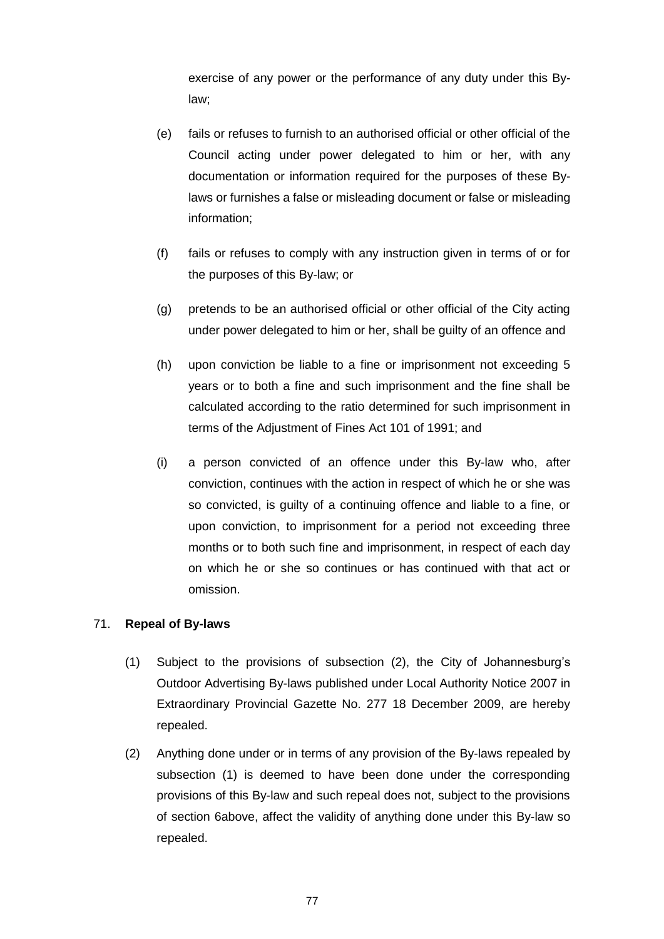exercise of any power or the performance of any duty under this Bylaw;

- (e) fails or refuses to furnish to an authorised official or other official of the Council acting under power delegated to him or her, with any documentation or information required for the purposes of these Bylaws or furnishes a false or misleading document or false or misleading information;
- (f) fails or refuses to comply with any instruction given in terms of or for the purposes of this By-law; or
- (g) pretends to be an authorised official or other official of the City acting under power delegated to him or her, shall be guilty of an offence and
- (h) upon conviction be liable to a fine or imprisonment not exceeding 5 years or to both a fine and such imprisonment and the fine shall be calculated according to the ratio determined for such imprisonment in terms of the Adjustment of Fines Act 101 of 1991; and
- (i) a person convicted of an offence under this By-law who, after conviction, continues with the action in respect of which he or she was so convicted, is guilty of a continuing offence and liable to a fine, or upon conviction, to imprisonment for a period not exceeding three months or to both such fine and imprisonment, in respect of each day on which he or she so continues or has continued with that act or omission.

#### 71. **Repeal of By-laws**

- (1) Subject to the provisions of subsection (2), the City of Johannesburg's Outdoor Advertising By-laws published under Local Authority Notice 2007 in Extraordinary Provincial Gazette No. 277 18 December 2009, are hereby repealed.
- (2) Anything done under or in terms of any provision of the By-laws repealed by subsection (1) is deemed to have been done under the corresponding provisions of this By-law and such repeal does not, subject to the provisions of section 6above, affect the validity of anything done under this By-law so repealed.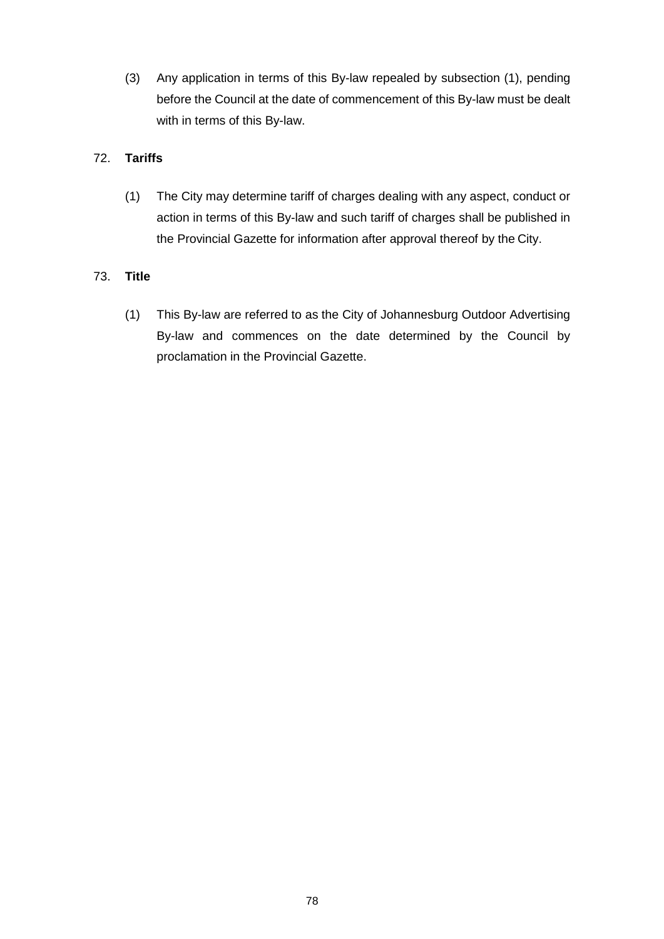(3) Any application in terms of this By-law repealed by subsection (1), pending before the Council at the date of commencement of this By-law must be dealt with in terms of this By-law.

# 72. **Tariffs**

(1) The City may determine tariff of charges dealing with any aspect, conduct or action in terms of this By-law and such tariff of charges shall be published in the Provincial Gazette for information after approval thereof by the City.

# 73. **Title**

(1) This By-law are referred to as the City of Johannesburg Outdoor Advertising By-law and commences on the date determined by the Council by proclamation in the Provincial Gazette.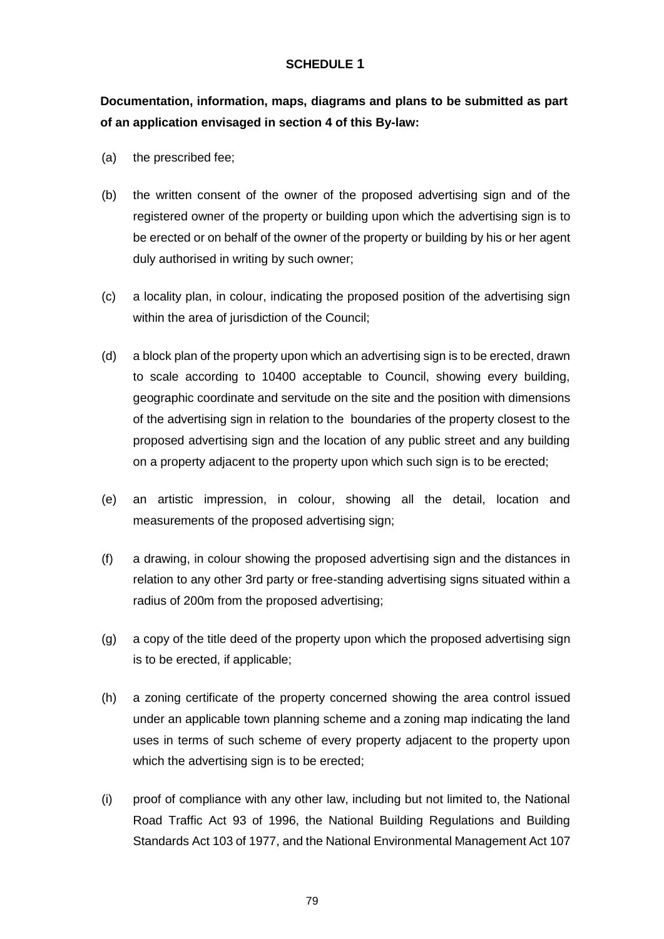#### **SCHEDULE 1**

**Documentation, information, maps, diagrams and plans to be submitted as part of an application envisaged in section 4 of this By-law:**

- (a) the prescribed fee;
- (b) the written consent of the owner of the proposed advertising sign and of the registered owner of the property or building upon which the advertising sign is to be erected or on behalf of the owner of the property or building by his or her agent duly authorised in writing by such owner;
- (c) a locality plan, in colour, indicating the proposed position of the advertising sign within the area of jurisdiction of the Council;
- (d) a block plan of the property upon which an advertising sign is to be erected, drawn to scale according to 10400 acceptable to Council, showing every building, geographic coordinate and servitude on the site and the position with dimensions of the advertising sign in relation to the boundaries of the property closest to the proposed advertising sign and the location of any public street and any building on a property adjacent to the property upon which such sign is to be erected;
- (e) an artistic impression, in colour, showing all the detail, location and measurements of the proposed advertising sign;
- (f) a drawing, in colour showing the proposed advertising sign and the distances in relation to any other 3rd party or free-standing advertising signs situated within a radius of 200m from the proposed advertising;
- (g) a copy of the title deed of the property upon which the proposed advertising sign is to be erected, if applicable;
- (h) a zoning certificate of the property concerned showing the area control issued under an applicable town planning scheme and a zoning map indicating the land uses in terms of such scheme of every property adjacent to the property upon which the advertising sign is to be erected;
- (i) proof of compliance with any other law, including but not limited to, the National Road Traffic Act 93 of 1996, the National Building Regulations and Building Standards Act 103 of 1977, and the National Environmental Management Act 107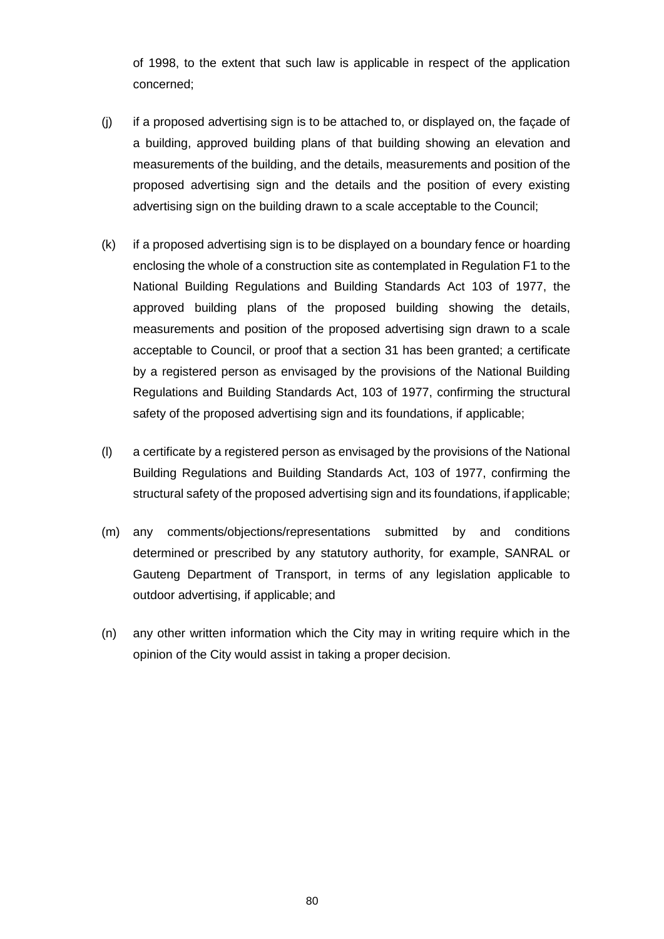of 1998, to the extent that such law is applicable in respect of the application concerned;

- (j) if a proposed advertising sign is to be attached to, or displayed on, the façade of a building, approved building plans of that building showing an elevation and measurements of the building, and the details, measurements and position of the proposed advertising sign and the details and the position of every existing advertising sign on the building drawn to a scale acceptable to the Council;
- (k) if a proposed advertising sign is to be displayed on a boundary fence or hoarding enclosing the whole of a construction site as contemplated in Regulation F1 to the National Building Regulations and Building Standards Act 103 of 1977, the approved building plans of the proposed building showing the details, measurements and position of the proposed advertising sign drawn to a scale acceptable to Council, or proof that a section 31 has been granted; a certificate by a registered person as envisaged by the provisions of the National Building Regulations and Building Standards Act, 103 of 1977, confirming the structural safety of the proposed advertising sign and its foundations, if applicable;
- (l) a certificate by a registered person as envisaged by the provisions of the National Building Regulations and Building Standards Act, 103 of 1977, confirming the structural safety of the proposed advertising sign and its foundations, if applicable;
- (m) any comments/objections/representations submitted by and conditions determined or prescribed by any statutory authority, for example, SANRAL or Gauteng Department of Transport, in terms of any legislation applicable to outdoor advertising, if applicable; and
- (n) any other written information which the City may in writing require which in the opinion of the City would assist in taking a proper decision.